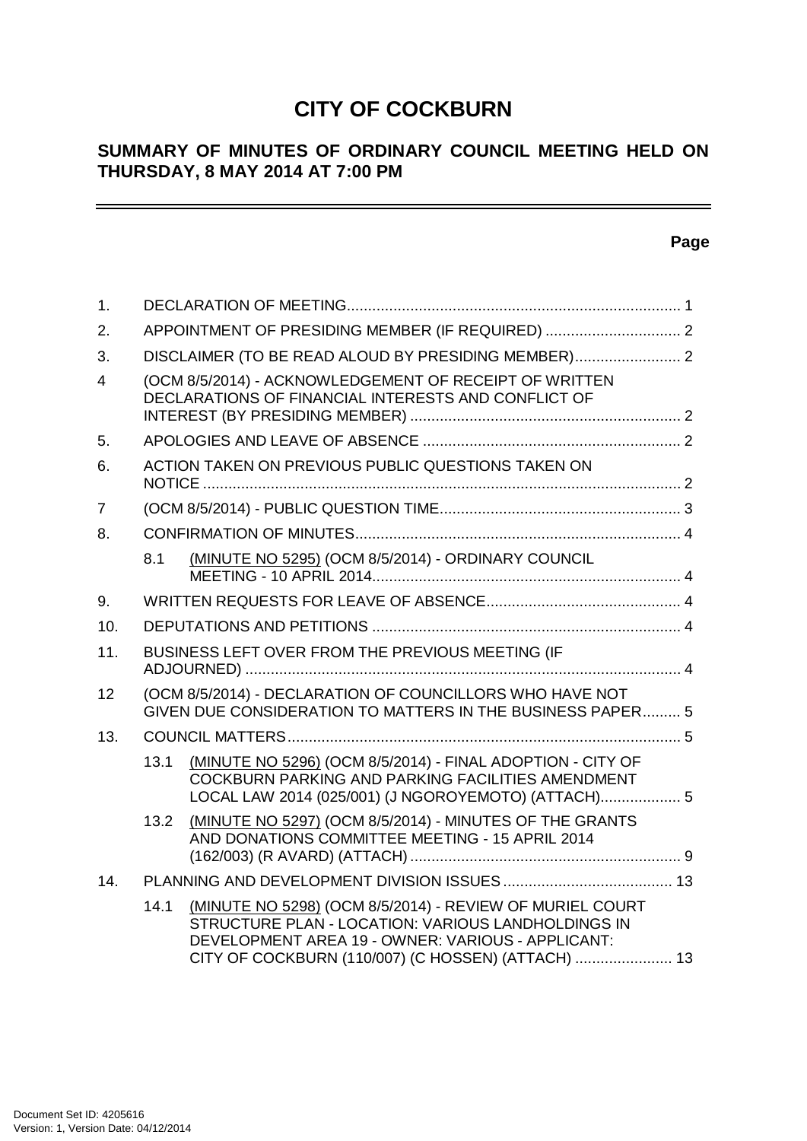# **CITY OF COCKBURN**

# **SUMMARY OF MINUTES OF ORDINARY COUNCIL MEETING HELD ON THURSDAY, 8 MAY 2014 AT 7:00 PM**

# **Page**

 $\overline{\phantom{0}}$ 

| 1.             |      |                                                                                                                                                                                                                           |  |
|----------------|------|---------------------------------------------------------------------------------------------------------------------------------------------------------------------------------------------------------------------------|--|
| 2.             |      | APPOINTMENT OF PRESIDING MEMBER (IF REQUIRED)  2                                                                                                                                                                          |  |
| 3.             |      | DISCLAIMER (TO BE READ ALOUD BY PRESIDING MEMBER) 2                                                                                                                                                                       |  |
| 4              |      | (OCM 8/5/2014) - ACKNOWLEDGEMENT OF RECEIPT OF WRITTEN<br>DECLARATIONS OF FINANCIAL INTERESTS AND CONFLICT OF                                                                                                             |  |
| 5.             |      |                                                                                                                                                                                                                           |  |
| 6.             |      | ACTION TAKEN ON PREVIOUS PUBLIC QUESTIONS TAKEN ON                                                                                                                                                                        |  |
| $\overline{7}$ |      |                                                                                                                                                                                                                           |  |
| 8.             |      |                                                                                                                                                                                                                           |  |
|                | 8.1  | (MINUTE NO 5295) (OCM 8/5/2014) - ORDINARY COUNCIL                                                                                                                                                                        |  |
| 9.             |      |                                                                                                                                                                                                                           |  |
| 10.            |      |                                                                                                                                                                                                                           |  |
| 11.            |      | BUSINESS LEFT OVER FROM THE PREVIOUS MEETING (IF                                                                                                                                                                          |  |
| 12             |      | (OCM 8/5/2014) - DECLARATION OF COUNCILLORS WHO HAVE NOT<br>GIVEN DUE CONSIDERATION TO MATTERS IN THE BUSINESS PAPER 5                                                                                                    |  |
| 13.            |      |                                                                                                                                                                                                                           |  |
|                | 13.1 | (MINUTE NO 5296) (OCM 8/5/2014) - FINAL ADOPTION - CITY OF<br><b>COCKBURN PARKING AND PARKING FACILITIES AMENDMENT</b><br>LOCAL LAW 2014 (025/001) (J NGOROYEMOTO) (ATTACH) 5                                             |  |
|                | 13.2 | (MINUTE NO 5297) (OCM 8/5/2014) - MINUTES OF THE GRANTS<br>AND DONATIONS COMMITTEE MEETING - 15 APRIL 2014                                                                                                                |  |
| 14.            |      |                                                                                                                                                                                                                           |  |
|                | 14.1 | (MINUTE NO 5298) (OCM 8/5/2014) - REVIEW OF MURIEL COURT<br>STRUCTURE PLAN - LOCATION: VARIOUS LANDHOLDINGS IN<br>DEVELOPMENT AREA 19 - OWNER: VARIOUS - APPLICANT:<br>CITY OF COCKBURN (110/007) (C HOSSEN) (ATTACH)  13 |  |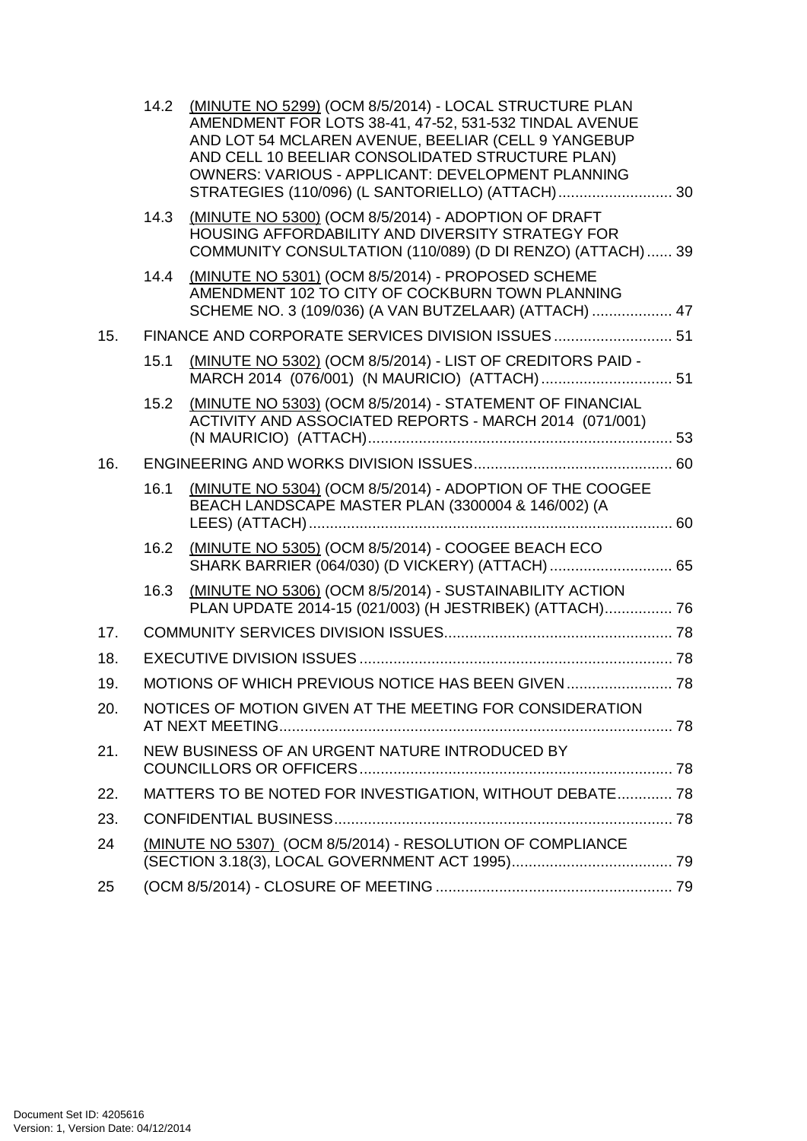|     |      | 14.2 (MINUTE NO 5299) (OCM 8/5/2014) - LOCAL STRUCTURE PLAN<br>AMENDMENT FOR LOTS 38-41, 47-52, 531-532 TINDAL AVENUE<br>AND LOT 54 MCLAREN AVENUE, BEELIAR (CELL 9 YANGEBUP<br>AND CELL 10 BEELIAR CONSOLIDATED STRUCTURE PLAN)<br><b>OWNERS: VARIOUS - APPLICANT: DEVELOPMENT PLANNING</b> |  |
|-----|------|----------------------------------------------------------------------------------------------------------------------------------------------------------------------------------------------------------------------------------------------------------------------------------------------|--|
|     | 14.3 | (MINUTE NO 5300) (OCM 8/5/2014) - ADOPTION OF DRAFT<br>HOUSING AFFORDABILITY AND DIVERSITY STRATEGY FOR<br>COMMUNITY CONSULTATION (110/089) (D DI RENZO) (ATTACH)  39                                                                                                                        |  |
|     |      | 14.4 (MINUTE NO 5301) (OCM 8/5/2014) - PROPOSED SCHEME<br>AMENDMENT 102 TO CITY OF COCKBURN TOWN PLANNING<br>SCHEME NO. 3 (109/036) (A VAN BUTZELAAR) (ATTACH)  47                                                                                                                           |  |
| 15. |      | FINANCE AND CORPORATE SERVICES DIVISION ISSUES 51                                                                                                                                                                                                                                            |  |
|     | 15.1 | (MINUTE NO 5302) (OCM 8/5/2014) - LIST OF CREDITORS PAID -                                                                                                                                                                                                                                   |  |
|     | 15.2 | (MINUTE NO 5303) (OCM 8/5/2014) - STATEMENT OF FINANCIAL<br>ACTIVITY AND ASSOCIATED REPORTS - MARCH 2014 (071/001)                                                                                                                                                                           |  |
| 16. |      |                                                                                                                                                                                                                                                                                              |  |
|     | 16.1 | (MINUTE NO 5304) (OCM 8/5/2014) - ADOPTION OF THE COOGEE<br>BEACH LANDSCAPE MASTER PLAN (3300004 & 146/002) (A                                                                                                                                                                               |  |
|     | 16.2 | (MINUTE NO 5305) (OCM 8/5/2014) - COOGEE BEACH ECO<br>SHARK BARRIER (064/030) (D VICKERY) (ATTACH)  65                                                                                                                                                                                       |  |
|     | 16.3 | (MINUTE NO 5306) (OCM 8/5/2014) - SUSTAINABILITY ACTION<br>PLAN UPDATE 2014-15 (021/003) (H JESTRIBEK) (ATTACH) 76                                                                                                                                                                           |  |
| 17. |      |                                                                                                                                                                                                                                                                                              |  |
| 18. |      |                                                                                                                                                                                                                                                                                              |  |
| 19. |      |                                                                                                                                                                                                                                                                                              |  |
| 20. |      | NOTICES OF MOTION GIVEN AT THE MEETING FOR CONSIDERATION                                                                                                                                                                                                                                     |  |
| 21. |      | NEW BUSINESS OF AN URGENT NATURE INTRODUCED BY                                                                                                                                                                                                                                               |  |
| 22. |      | MATTERS TO BE NOTED FOR INVESTIGATION, WITHOUT DEBATE 78                                                                                                                                                                                                                                     |  |
| 23. |      |                                                                                                                                                                                                                                                                                              |  |
| 24  |      | (MINUTE NO 5307) (OCM 8/5/2014) - RESOLUTION OF COMPLIANCE                                                                                                                                                                                                                                   |  |
| 25  |      |                                                                                                                                                                                                                                                                                              |  |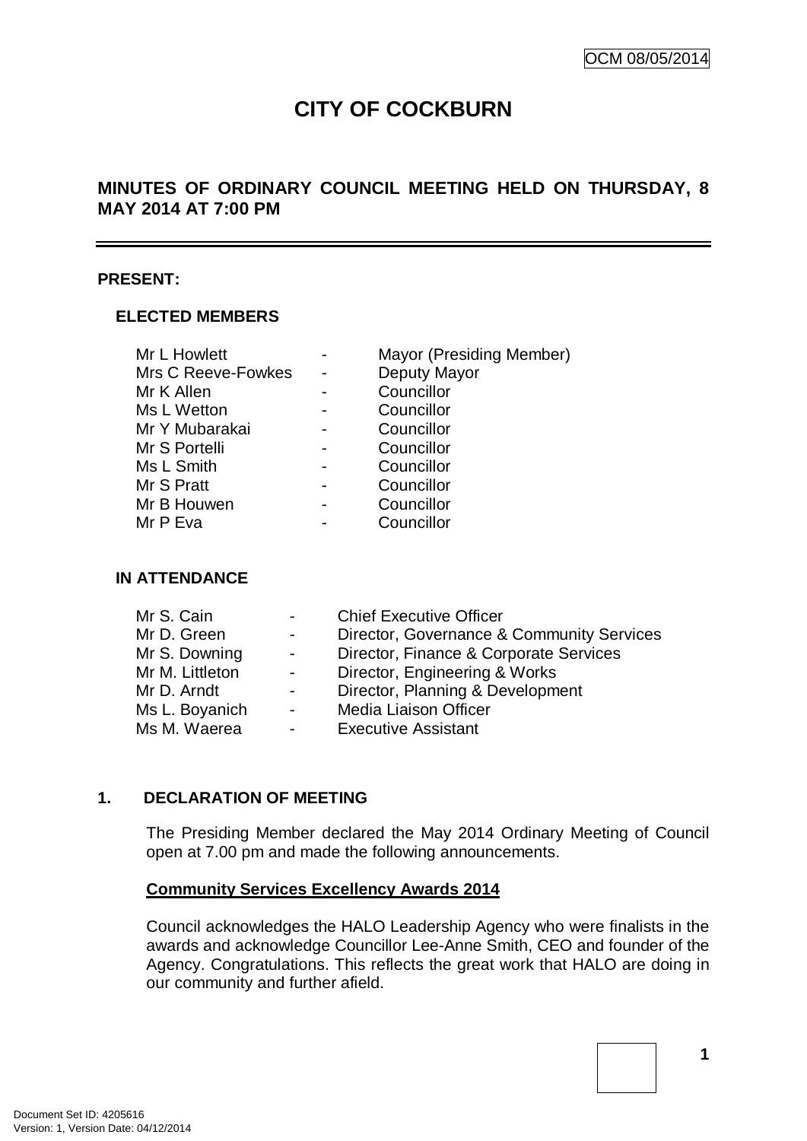# **CITY OF COCKBURN**

# **MINUTES OF ORDINARY COUNCIL MEETING HELD ON THURSDAY, 8 MAY 2014 AT 7:00 PM**

## **PRESENT:**

## **ELECTED MEMBERS**

| Mr L Howlett       | Mayor (Presiding Member) |
|--------------------|--------------------------|
| Mrs C Reeve-Fowkes | Deputy Mayor             |
| Mr K Allen         | Councillor               |
| Ms L Wetton        | Councillor               |
| Mr Y Mubarakai     | Councillor               |
| Mr S Portelli      | Councillor               |
| Ms L Smith         | Councillor               |
| Mr S Pratt         | Councillor               |
| Mr B Houwen        | Councillor               |
| Mr P Eva           | Councillor               |

# **IN ATTENDANCE**

| Mr S. Cain      | $\sim$ 100 $\mu$ | <b>Chief Executive Officer</b>            |
|-----------------|------------------|-------------------------------------------|
| Mr D. Green     | $\sim$           | Director, Governance & Community Services |
| Mr S. Downing   | $\blacksquare$   | Director, Finance & Corporate Services    |
| Mr M. Littleton | $\sim$           | Director, Engineering & Works             |
| Mr D. Arndt     | $\sim$           | Director, Planning & Development          |
| Ms L. Boyanich  | $\sim$           | Media Liaison Officer                     |
| Ms M. Waerea    | $\sim$           | <b>Executive Assistant</b>                |
|                 |                  |                                           |

## **1. DECLARATION OF MEETING**

The Presiding Member declared the May 2014 Ordinary Meeting of Council open at 7.00 pm and made the following announcements.

## **Community Services Excellency Awards 2014**

Council acknowledges the HALO Leadership Agency who were finalists in the awards and acknowledge Councillor Lee-Anne Smith, CEO and founder of the Agency. Congratulations. This reflects the great work that HALO are doing in our community and further afield.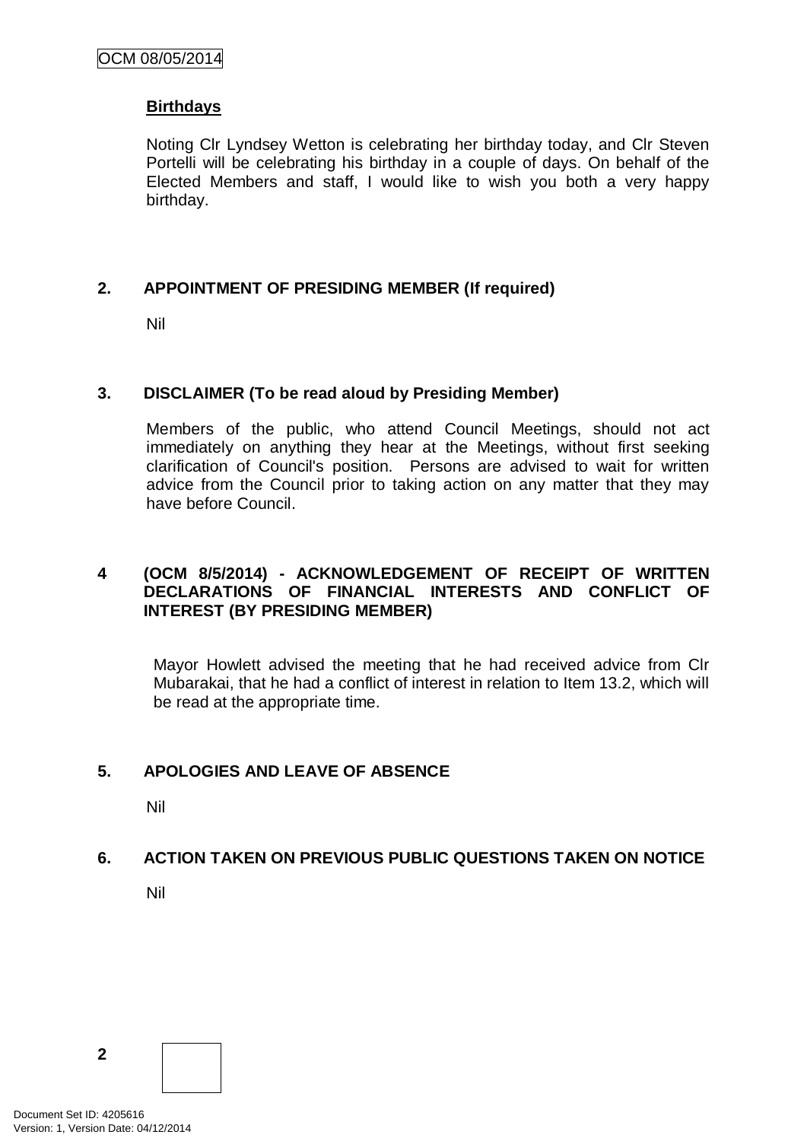#### **Birthdays**

Noting Clr Lyndsey Wetton is celebrating her birthday today, and Clr Steven Portelli will be celebrating his birthday in a couple of days. On behalf of the Elected Members and staff, I would like to wish you both a very happy birthday.

## **2. APPOINTMENT OF PRESIDING MEMBER (If required)**

Nil

#### **3. DISCLAIMER (To be read aloud by Presiding Member)**

Members of the public, who attend Council Meetings, should not act immediately on anything they hear at the Meetings, without first seeking clarification of Council's position. Persons are advised to wait for written advice from the Council prior to taking action on any matter that they may have before Council.

## **4 (OCM 8/5/2014) - ACKNOWLEDGEMENT OF RECEIPT OF WRITTEN DECLARATIONS OF FINANCIAL INTERESTS AND CONFLICT OF INTEREST (BY PRESIDING MEMBER)**

Mayor Howlett advised the meeting that he had received advice from Clr Mubarakai, that he had a conflict of interest in relation to Item 13.2, which will be read at the appropriate time.

## **5. APOLOGIES AND LEAVE OF ABSENCE**

Nil

## **6. ACTION TAKEN ON PREVIOUS PUBLIC QUESTIONS TAKEN ON NOTICE**

Nil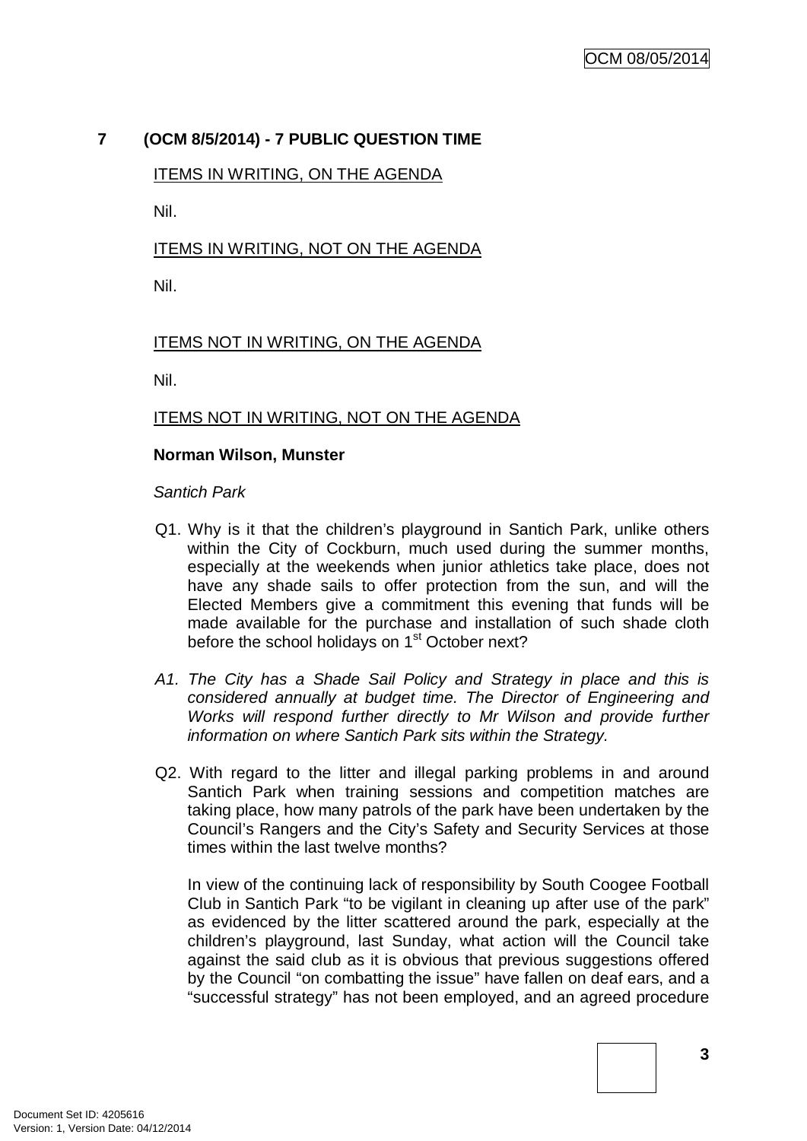# **7 (OCM 8/5/2014) - 7 PUBLIC QUESTION TIME**

## ITEMS IN WRITING, ON THE AGENDA

Nil.

# ITEMS IN WRITING, NOT ON THE AGENDA

Nil.

# ITEMS NOT IN WRITING, ON THE AGENDA

Nil.

## ITEMS NOT IN WRITING, NOT ON THE AGENDA

#### **Norman Wilson, Munster**

*Santich Park*

- Q1. Why is it that the children's playground in Santich Park, unlike others within the City of Cockburn, much used during the summer months, especially at the weekends when junior athletics take place, does not have any shade sails to offer protection from the sun, and will the Elected Members give a commitment this evening that funds will be made available for the purchase and installation of such shade cloth before the school holidays on 1<sup>st</sup> October next?
- *A1. The City has a Shade Sail Policy and Strategy in place and this is considered annually at budget time. The Director of Engineering and Works will respond further directly to Mr Wilson and provide further information on where Santich Park sits within the Strategy.*
- Q2. With regard to the litter and illegal parking problems in and around Santich Park when training sessions and competition matches are taking place, how many patrols of the park have been undertaken by the Council's Rangers and the City's Safety and Security Services at those times within the last twelve months?

In view of the continuing lack of responsibility by South Coogee Football Club in Santich Park "to be vigilant in cleaning up after use of the park" as evidenced by the litter scattered around the park, especially at the children's playground, last Sunday, what action will the Council take against the said club as it is obvious that previous suggestions offered by the Council "on combatting the issue" have fallen on deaf ears, and a "successful strategy" has not been employed, and an agreed procedure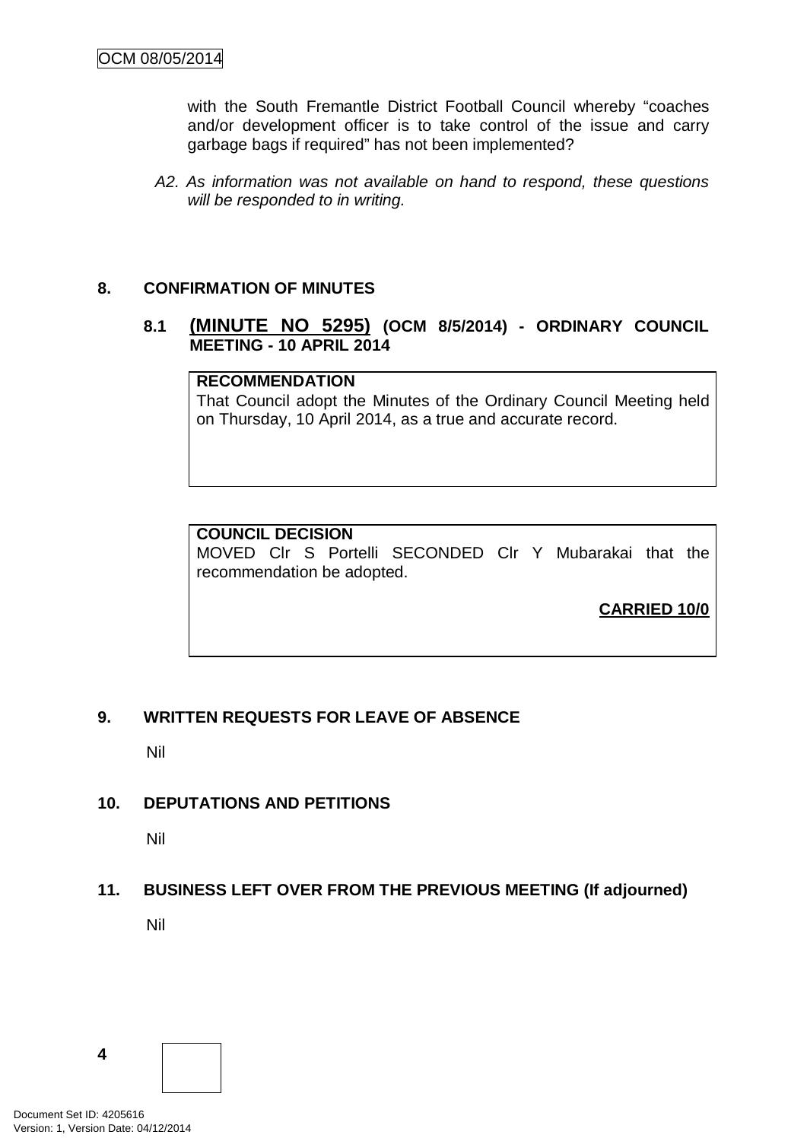with the South Fremantle District Football Council whereby "coaches and/or development officer is to take control of the issue and carry garbage bags if required" has not been implemented?

*A2. As information was not available on hand to respond, these questions will be responded to in writing.*

## **8. CONFIRMATION OF MINUTES**

## **8.1 (MINUTE NO 5295) (OCM 8/5/2014) - ORDINARY COUNCIL MEETING - 10 APRIL 2014**

# **RECOMMENDATION**

That Council adopt the Minutes of the Ordinary Council Meeting held on Thursday, 10 April 2014, as a true and accurate record.

## **COUNCIL DECISION**

MOVED Clr S Portelli SECONDED Clr Y Mubarakai that the recommendation be adopted.

**CARRIED 10/0**

# **9. WRITTEN REQUESTS FOR LEAVE OF ABSENCE**

Nil

# **10. DEPUTATIONS AND PETITIONS**

Nil

# **11. BUSINESS LEFT OVER FROM THE PREVIOUS MEETING (If adjourned)**

Nil

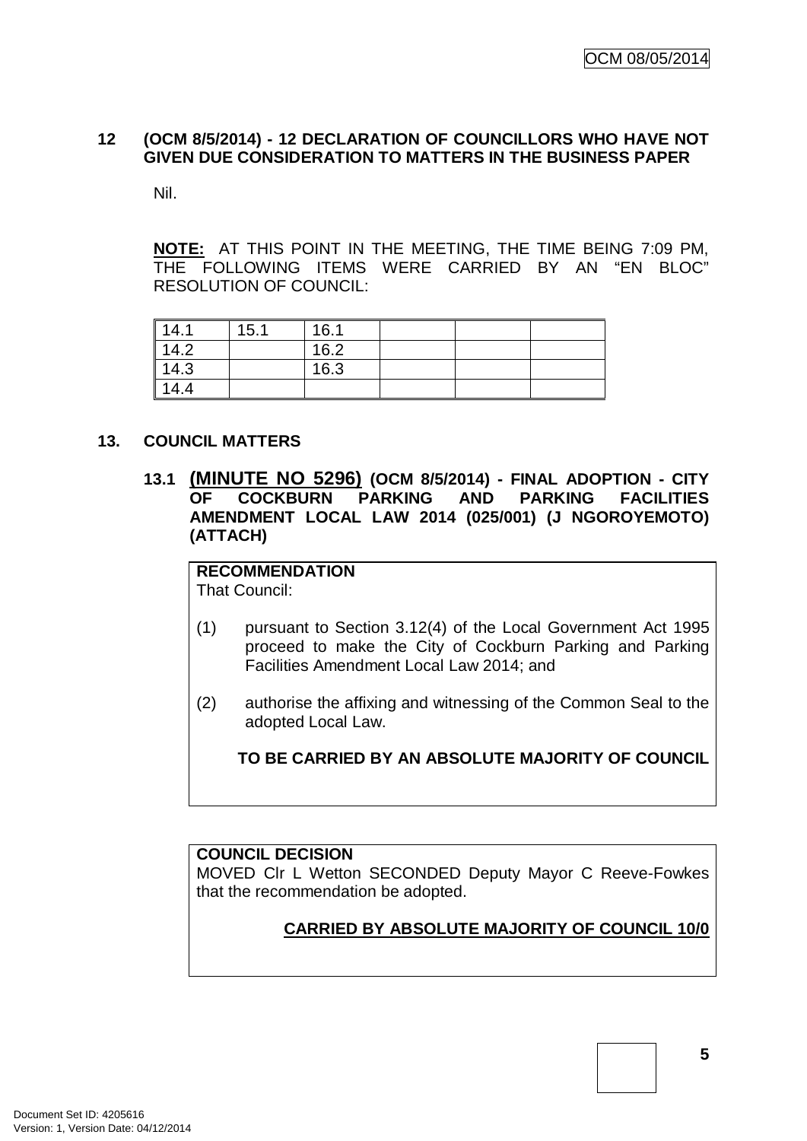## **12 (OCM 8/5/2014) - 12 DECLARATION OF COUNCILLORS WHO HAVE NOT GIVEN DUE CONSIDERATION TO MATTERS IN THE BUSINESS PAPER**

Nil.

**NOTE:** AT THIS POINT IN THE MEETING, THE TIME BEING 7:09 PM, THE FOLLOWING ITEMS WERE CARRIED BY AN "EN BLOC" RESOLUTION OF COUNCIL:

| 14.1 | 15.1 | 16.1 |  |  |
|------|------|------|--|--|
| 14.2 |      | 16.2 |  |  |
| 14.3 |      | 16.3 |  |  |
| 14.4 |      |      |  |  |

#### **13. COUNCIL MATTERS**

**13.1 (MINUTE NO 5296) (OCM 8/5/2014) - FINAL ADOPTION - CITY COCKBURN AMENDMENT LOCAL LAW 2014 (025/001) (J NGOROYEMOTO) (ATTACH)**

# **RECOMMENDATION**

That Council:

- (1) pursuant to Section 3.12(4) of the Local Government Act 1995 proceed to make the City of Cockburn Parking and Parking Facilities Amendment Local Law 2014; and
- (2) authorise the affixing and witnessing of the Common Seal to the adopted Local Law.

**TO BE CARRIED BY AN ABSOLUTE MAJORITY OF COUNCIL**

## **COUNCIL DECISION**

MOVED Clr L Wetton SECONDED Deputy Mayor C Reeve-Fowkes that the recommendation be adopted.

# **CARRIED BY ABSOLUTE MAJORITY OF COUNCIL 10/0**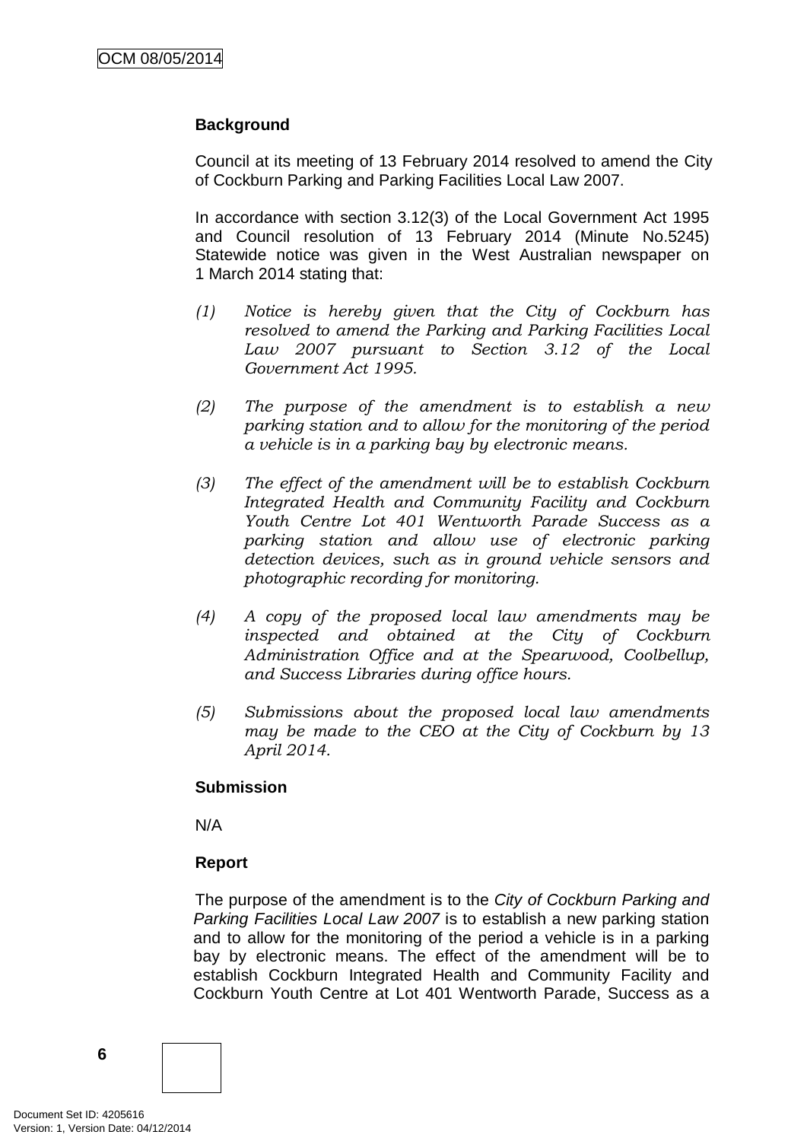## **Background**

Council at its meeting of 13 February 2014 resolved to amend the City of Cockburn Parking and Parking Facilities Local Law 2007.

In accordance with section 3.12(3) of the Local Government Act 1995 and Council resolution of 13 February 2014 (Minute No.5245) Statewide notice was given in the West Australian newspaper on 1 March 2014 stating that:

- *(1) Notice is hereby given that the City of Cockburn has resolved to amend the Parking and Parking Facilities Local Law 2007 pursuant to Section 3.12 of the Local Government Act 1995.*
- *(2) The purpose of the amendment is to establish a new parking station and to allow for the monitoring of the period a vehicle is in a parking bay by electronic means.*
- *(3) The effect of the amendment will be to establish Cockburn Integrated Health and Community Facility and Cockburn Youth Centre Lot 401 Wentworth Parade Success as a parking station and allow use of electronic parking detection devices, such as in ground vehicle sensors and photographic recording for monitoring.*
- *(4) A copy of the proposed local law amendments may be inspected and obtained at the City of Cockburn Administration Office and at the Spearwood, Coolbellup, and Success Libraries during office hours.*
- *(5) Submissions about the proposed local law amendments may be made to the CEO at the City of Cockburn by 13 April 2014.*

## **Submission**

N/A

## **Report**

The purpose of the amendment is to the *City of Cockburn Parking and Parking Facilities Local Law 2007* is to establish a new parking station and to allow for the monitoring of the period a vehicle is in a parking bay by electronic means. The effect of the amendment will be to establish Cockburn Integrated Health and Community Facility and Cockburn Youth Centre at Lot 401 Wentworth Parade, Success as a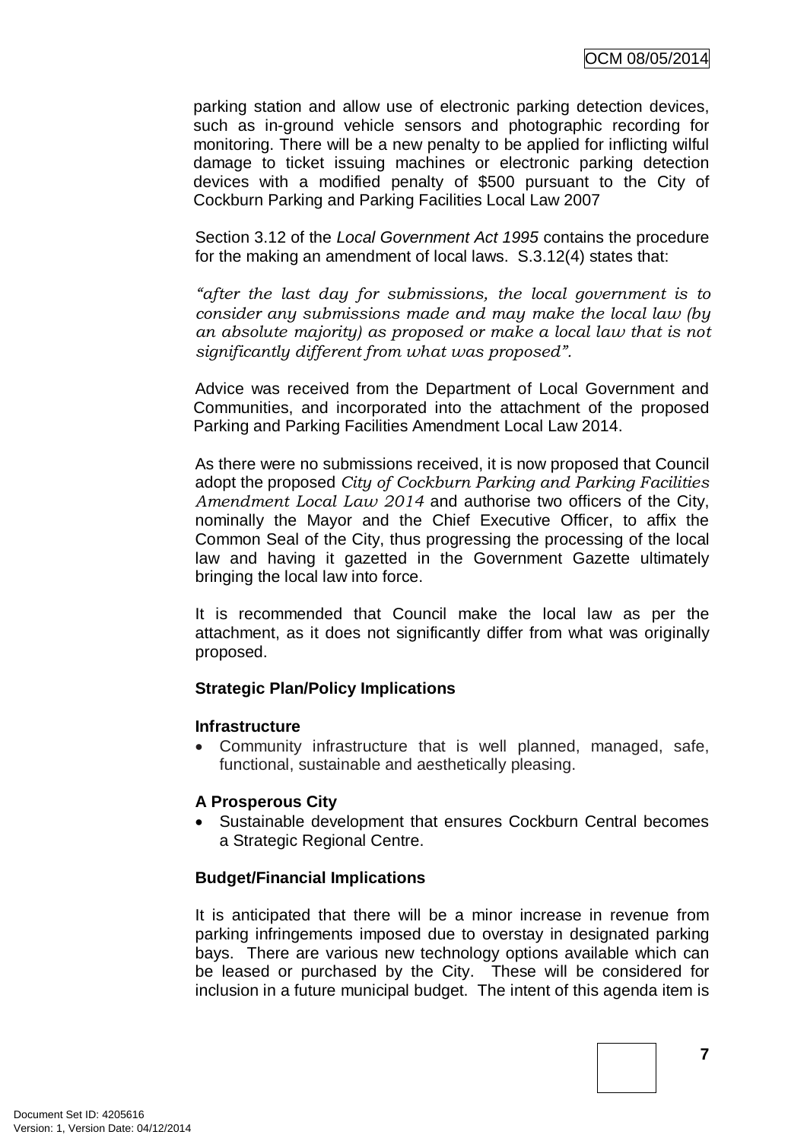parking station and allow use of electronic parking detection devices, such as in-ground vehicle sensors and photographic recording for monitoring. There will be a new penalty to be applied for inflicting wilful damage to ticket issuing machines or electronic parking detection devices with a modified penalty of \$500 pursuant to the City of Cockburn Parking and Parking Facilities Local Law 2007

Section 3.12 of the *Local Government Act 1995* contains the procedure for the making an amendment of local laws. S.3.12(4) states that:

*"after the last day for submissions, the local government is to consider any submissions made and may make the local law (by an absolute majority) as proposed or make a local law that is not significantly different from what was proposed".*

Advice was received from the Department of Local Government and Communities, and incorporated into the attachment of the proposed Parking and Parking Facilities Amendment Local Law 2014.

As there were no submissions received, it is now proposed that Council adopt the proposed *City of Cockburn Parking and Parking Facilities Amendment Local Law 2014* and authorise two officers of the City, nominally the Mayor and the Chief Executive Officer, to affix the Common Seal of the City, thus progressing the processing of the local law and having it gazetted in the Government Gazette ultimately bringing the local law into force.

It is recommended that Council make the local law as per the attachment, as it does not significantly differ from what was originally proposed.

## **Strategic Plan/Policy Implications**

#### **Infrastructure**

• Community infrastructure that is well planned, managed, safe, functional, sustainable and aesthetically pleasing.

## **A Prosperous City**

• Sustainable development that ensures Cockburn Central becomes a Strategic Regional Centre.

## **Budget/Financial Implications**

It is anticipated that there will be a minor increase in revenue from parking infringements imposed due to overstay in designated parking bays. There are various new technology options available which can be leased or purchased by the City. These will be considered for inclusion in a future municipal budget. The intent of this agenda item is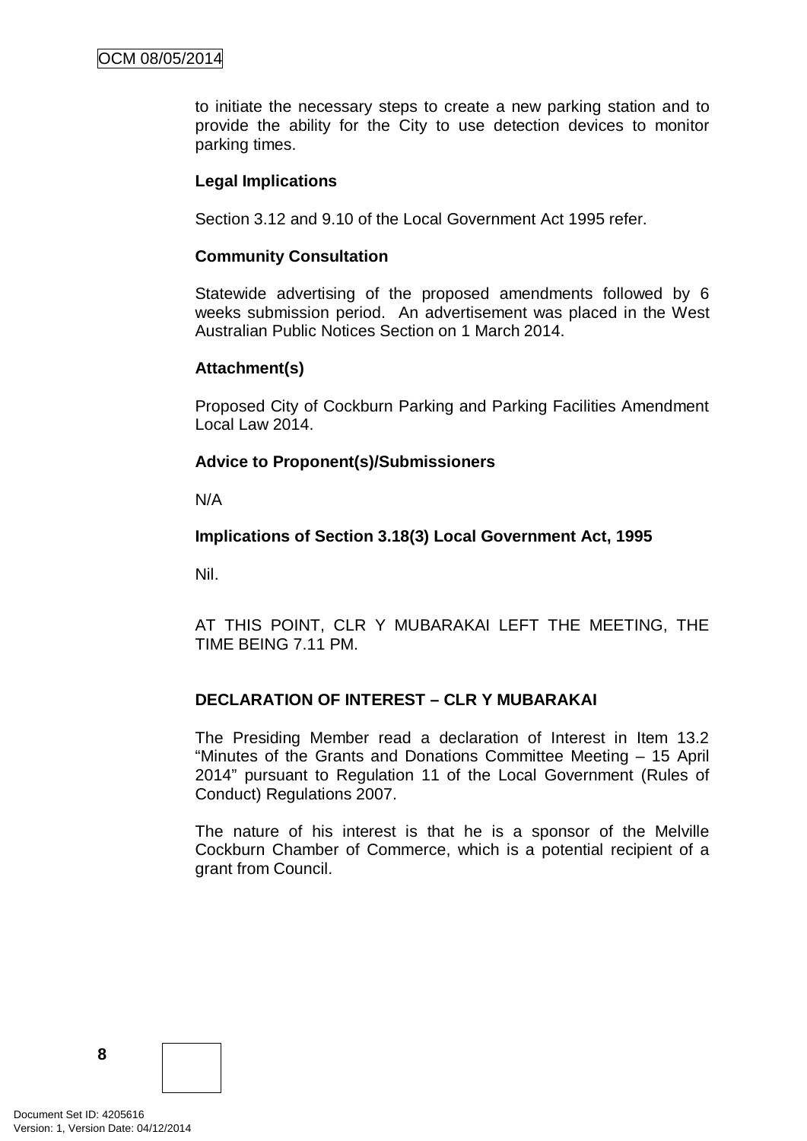to initiate the necessary steps to create a new parking station and to provide the ability for the City to use detection devices to monitor parking times.

#### **Legal Implications**

Section 3.12 and 9.10 of the Local Government Act 1995 refer.

#### **Community Consultation**

Statewide advertising of the proposed amendments followed by 6 weeks submission period. An advertisement was placed in the West Australian Public Notices Section on 1 March 2014.

#### **Attachment(s)**

Proposed City of Cockburn Parking and Parking Facilities Amendment Local Law 2014.

## **Advice to Proponent(s)/Submissioners**

N/A

#### **Implications of Section 3.18(3) Local Government Act, 1995**

Nil.

AT THIS POINT, CLR Y MUBARAKAI LEFT THE MEETING, THE TIME BEING 7.11 PM.

## **DECLARATION OF INTEREST – CLR Y MUBARAKAI**

The Presiding Member read a declaration of Interest in Item 13.2 "Minutes of the Grants and Donations Committee Meeting – 15 April 2014" pursuant to Regulation 11 of the Local Government (Rules of Conduct) Regulations 2007.

The nature of his interest is that he is a sponsor of the Melville Cockburn Chamber of Commerce, which is a potential recipient of a grant from Council.

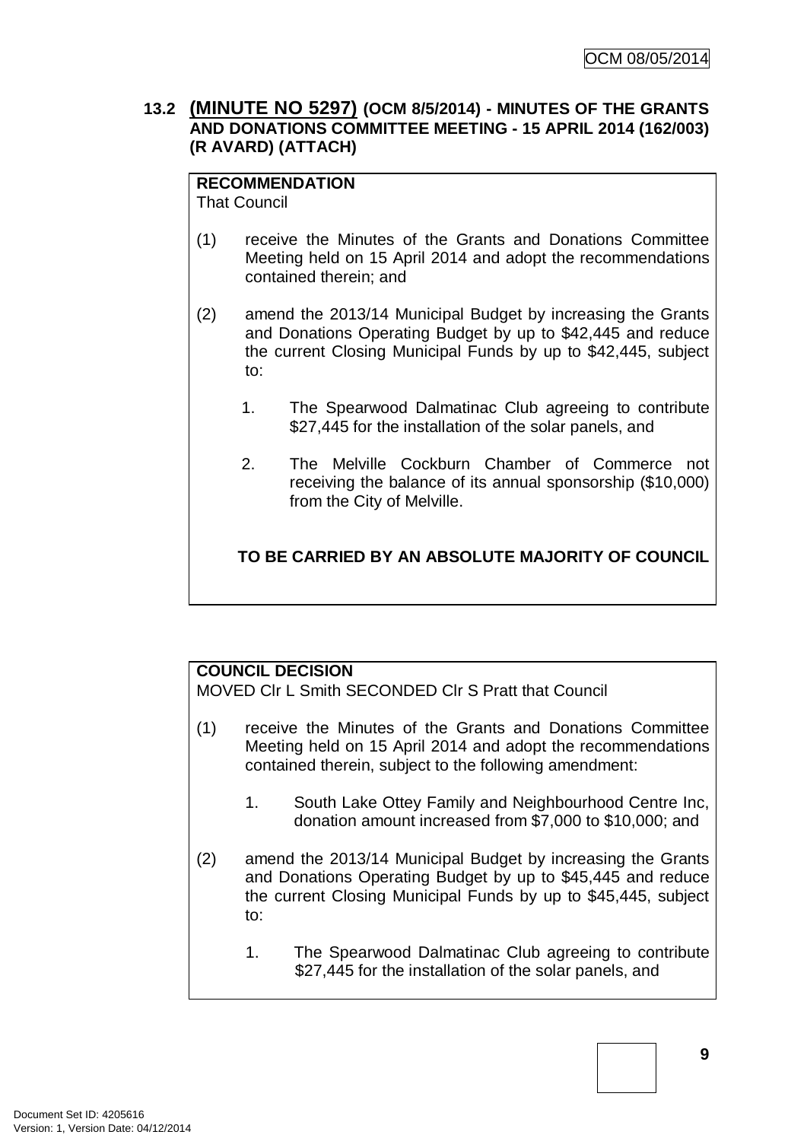## **13.2 (MINUTE NO 5297) (OCM 8/5/2014) - MINUTES OF THE GRANTS AND DONATIONS COMMITTEE MEETING - 15 APRIL 2014 (162/003) (R AVARD) (ATTACH)**

# **RECOMMENDATION**

That Council

- (1) receive the Minutes of the Grants and Donations Committee Meeting held on 15 April 2014 and adopt the recommendations contained therein; and
- (2) amend the 2013/14 Municipal Budget by increasing the Grants and Donations Operating Budget by up to \$42,445 and reduce the current Closing Municipal Funds by up to \$42,445, subject to:
	- 1. The Spearwood Dalmatinac Club agreeing to contribute \$27,445 for the installation of the solar panels, and
	- 2. The Melville Cockburn Chamber of Commerce not receiving the balance of its annual sponsorship (\$10,000) from the City of Melville.

# **TO BE CARRIED BY AN ABSOLUTE MAJORITY OF COUNCIL**

# **COUNCIL DECISION**

MOVED Clr L Smith SECONDED Clr S Pratt that Council

- (1) receive the Minutes of the Grants and Donations Committee Meeting held on 15 April 2014 and adopt the recommendations contained therein, subject to the following amendment:
	- 1. South Lake Ottey Family and Neighbourhood Centre Inc, donation amount increased from \$7,000 to \$10,000; and
- (2) amend the 2013/14 Municipal Budget by increasing the Grants and Donations Operating Budget by up to \$45,445 and reduce the current Closing Municipal Funds by up to \$45,445, subject to:
	- 1. The Spearwood Dalmatinac Club agreeing to contribute \$27,445 for the installation of the solar panels, and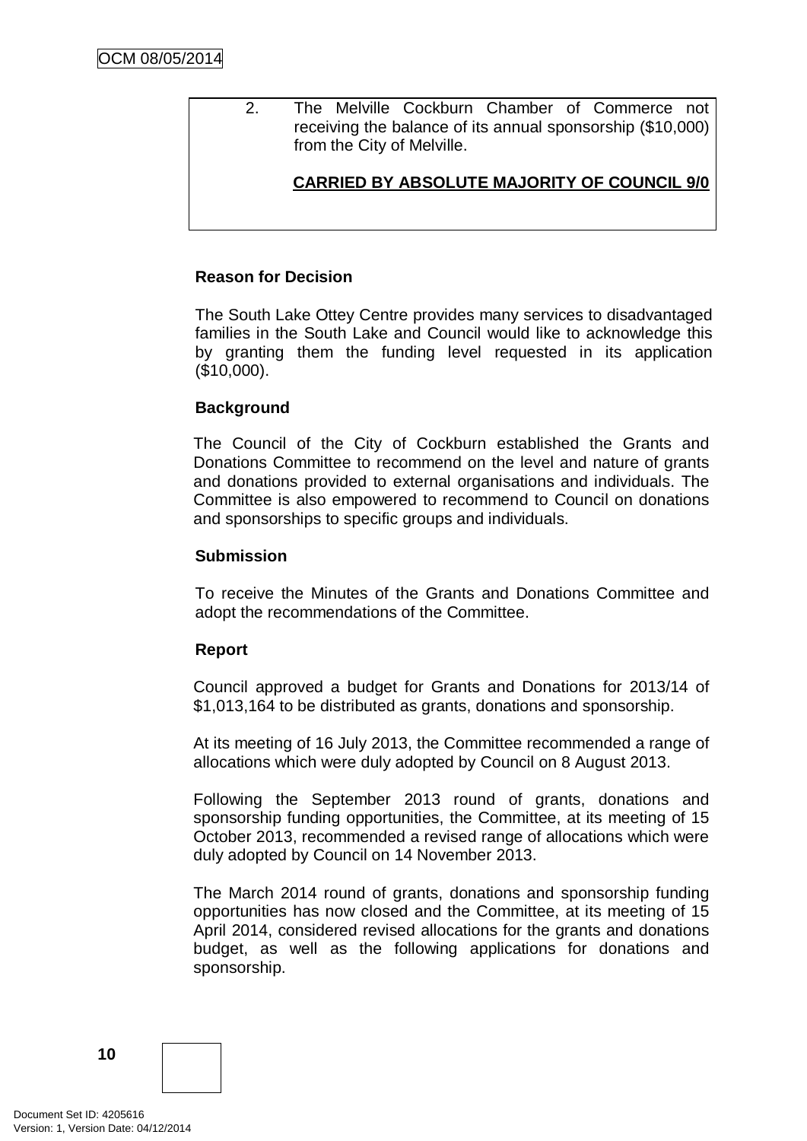2. The Melville Cockburn Chamber of Commerce not receiving the balance of its annual sponsorship (\$10,000) from the City of Melville.

## **CARRIED BY ABSOLUTE MAJORITY OF COUNCIL 9/0**

## **Reason for Decision**

The South Lake Ottey Centre provides many services to disadvantaged families in the South Lake and Council would like to acknowledge this by granting them the funding level requested in its application (\$10,000).

#### **Background**

The Council of the City of Cockburn established the Grants and Donations Committee to recommend on the level and nature of grants and donations provided to external organisations and individuals. The Committee is also empowered to recommend to Council on donations and sponsorships to specific groups and individuals.

#### **Submission**

To receive the Minutes of the Grants and Donations Committee and adopt the recommendations of the Committee.

#### **Report**

Council approved a budget for Grants and Donations for 2013/14 of \$1,013,164 to be distributed as grants, donations and sponsorship.

At its meeting of 16 July 2013, the Committee recommended a range of allocations which were duly adopted by Council on 8 August 2013.

Following the September 2013 round of grants, donations and sponsorship funding opportunities, the Committee, at its meeting of 15 October 2013, recommended a revised range of allocations which were duly adopted by Council on 14 November 2013.

The March 2014 round of grants, donations and sponsorship funding opportunities has now closed and the Committee, at its meeting of 15 April 2014, considered revised allocations for the grants and donations budget, as well as the following applications for donations and sponsorship.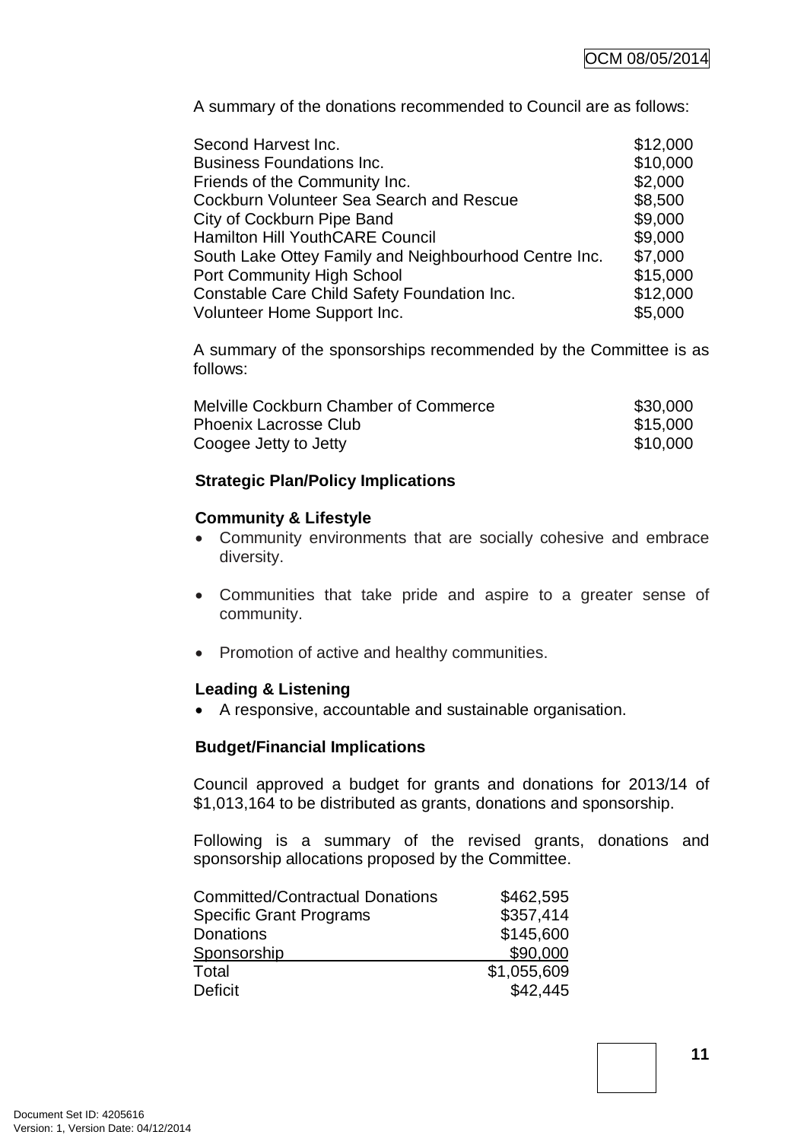A summary of the donations recommended to Council are as follows:

| Second Harvest Inc.                                   | \$12,000 |
|-------------------------------------------------------|----------|
| <b>Business Foundations Inc.</b>                      | \$10,000 |
| Friends of the Community Inc.                         | \$2,000  |
| Cockburn Volunteer Sea Search and Rescue              | \$8,500  |
| City of Cockburn Pipe Band                            | \$9,000  |
| <b>Hamilton Hill YouthCARE Council</b>                | \$9,000  |
| South Lake Ottey Family and Neighbourhood Centre Inc. | \$7,000  |
| <b>Port Community High School</b>                     | \$15,000 |
| Constable Care Child Safety Foundation Inc.           | \$12,000 |
| Volunteer Home Support Inc.                           | \$5,000  |

A summary of the sponsorships recommended by the Committee is as follows:

| Melville Cockburn Chamber of Commerce | \$30,000 |
|---------------------------------------|----------|
| <b>Phoenix Lacrosse Club</b>          | \$15,000 |
| Coogee Jetty to Jetty                 | \$10,000 |

## **Strategic Plan/Policy Implications**

#### **Community & Lifestyle**

- Community environments that are socially cohesive and embrace diversity.
- Communities that take pride and aspire to a greater sense of community.
- Promotion of active and healthy communities.

## **Leading & Listening**

• A responsive, accountable and sustainable organisation.

## **Budget/Financial Implications**

Council approved a budget for grants and donations for 2013/14 of \$1,013,164 to be distributed as grants, donations and sponsorship.

Following is a summary of the revised grants, donations and sponsorship allocations proposed by the Committee.

| <b>Committed/Contractual Donations</b> | \$462,595   |
|----------------------------------------|-------------|
| <b>Specific Grant Programs</b>         | \$357,414   |
| Donations                              | \$145,600   |
| Sponsorship                            | \$90,000    |
| Total                                  | \$1,055,609 |
| Deficit                                | \$42,445    |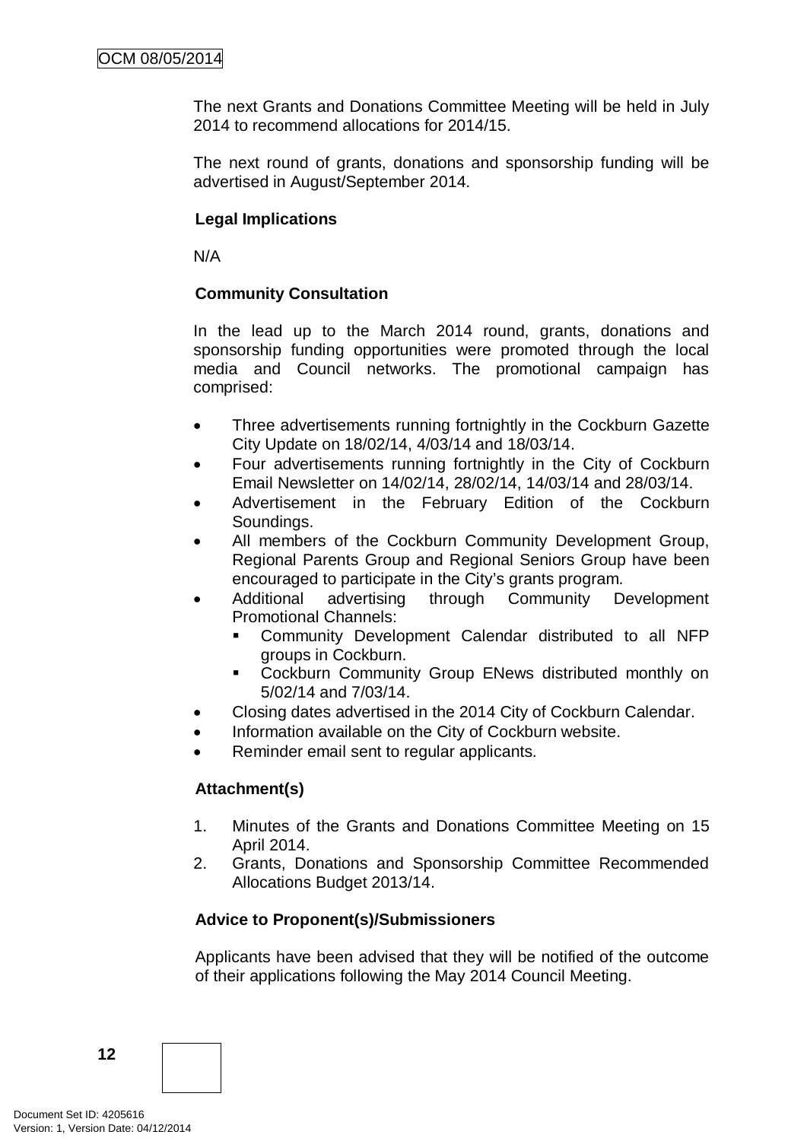The next Grants and Donations Committee Meeting will be held in July 2014 to recommend allocations for 2014/15.

The next round of grants, donations and sponsorship funding will be advertised in August/September 2014.

## **Legal Implications**

N/A

## **Community Consultation**

In the lead up to the March 2014 round, grants, donations and sponsorship funding opportunities were promoted through the local media and Council networks. The promotional campaign has comprised:

- Three advertisements running fortnightly in the Cockburn Gazette City Update on 18/02/14, 4/03/14 and 18/03/14.
- Four advertisements running fortnightly in the City of Cockburn Email Newsletter on 14/02/14, 28/02/14, 14/03/14 and 28/03/14.
- Advertisement in the February Edition of the Cockburn Soundings.
- All members of the Cockburn Community Development Group, Regional Parents Group and Regional Seniors Group have been encouraged to participate in the City's grants program.
- Additional advertising through Community Development Promotional Channels:
	- Community Development Calendar distributed to all NFP groups in Cockburn.
	- **EXECOCKBURY COMMUNITY Group ENews distributed monthly on** 5/02/14 and 7/03/14.
- Closing dates advertised in the 2014 City of Cockburn Calendar.
- Information available on the City of Cockburn website.
- Reminder email sent to regular applicants.

## **Attachment(s)**

- 1. Minutes of the Grants and Donations Committee Meeting on 15 April 2014.
- 2. Grants, Donations and Sponsorship Committee Recommended Allocations Budget 2013/14.

# **Advice to Proponent(s)/Submissioners**

Applicants have been advised that they will be notified of the outcome of their applications following the May 2014 Council Meeting.

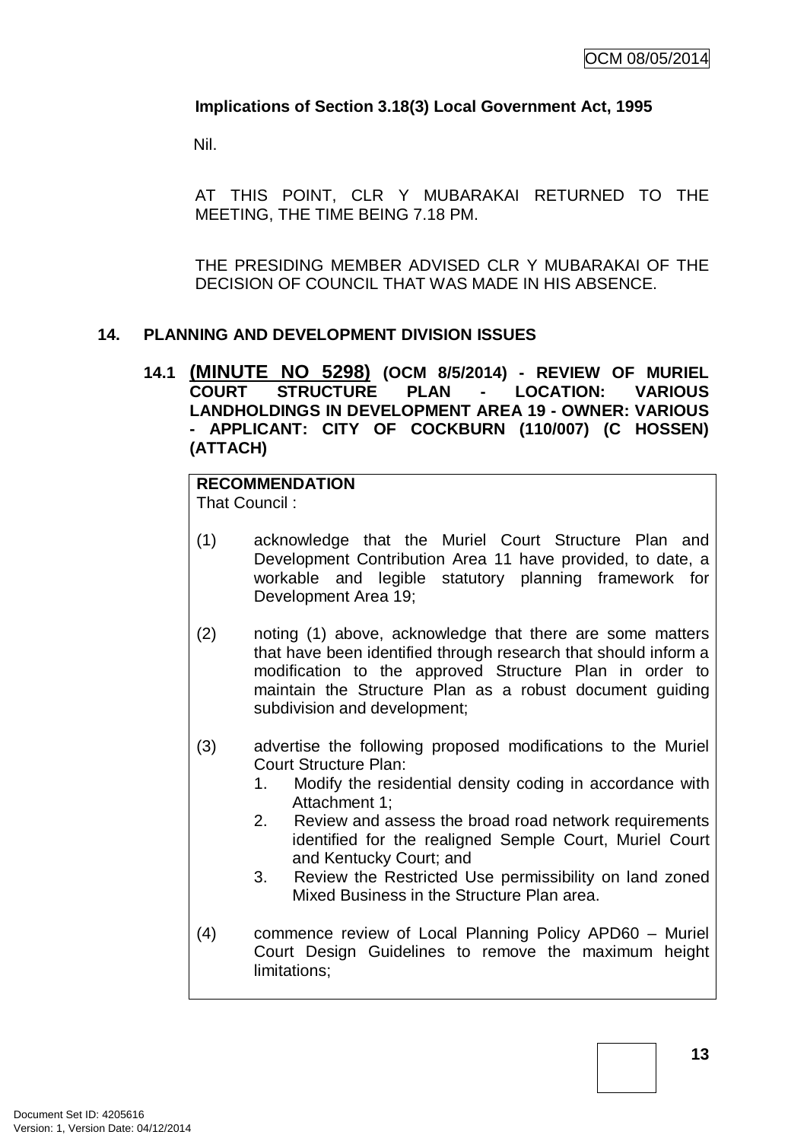## **Implications of Section 3.18(3) Local Government Act, 1995**

Nil.

AT THIS POINT, CLR Y MUBARAKAI RETURNED TO THE MEETING, THE TIME BEING 7.18 PM.

THE PRESIDING MEMBER ADVISED CLR Y MUBARAKAI OF THE DECISION OF COUNCIL THAT WAS MADE IN HIS ABSENCE.

## **14. PLANNING AND DEVELOPMENT DIVISION ISSUES**

**14.1 (MINUTE NO 5298) (OCM 8/5/2014) - REVIEW OF MURIEL COURT STRUCTURE PLAN - LOCATION: VARIOUS LANDHOLDINGS IN DEVELOPMENT AREA 19 - OWNER: VARIOUS - APPLICANT: CITY OF COCKBURN (110/007) (C HOSSEN) (ATTACH)**

# **RECOMMENDATION**

That Council :

- (1) acknowledge that the Muriel Court Structure Plan and Development Contribution Area 11 have provided, to date, a workable and legible statutory planning framework for Development Area 19;
- (2) noting (1) above, acknowledge that there are some matters that have been identified through research that should inform a modification to the approved Structure Plan in order to maintain the Structure Plan as a robust document guiding subdivision and development;
- (3) advertise the following proposed modifications to the Muriel Court Structure Plan:
	- 1. Modify the residential density coding in accordance with Attachment 1;
	- 2. Review and assess the broad road network requirements identified for the realigned Semple Court, Muriel Court and Kentucky Court; and
	- 3. Review the Restricted Use permissibility on land zoned Mixed Business in the Structure Plan area.
- (4) commence review of Local Planning Policy APD60 Muriel Court Design Guidelines to remove the maximum height limitations;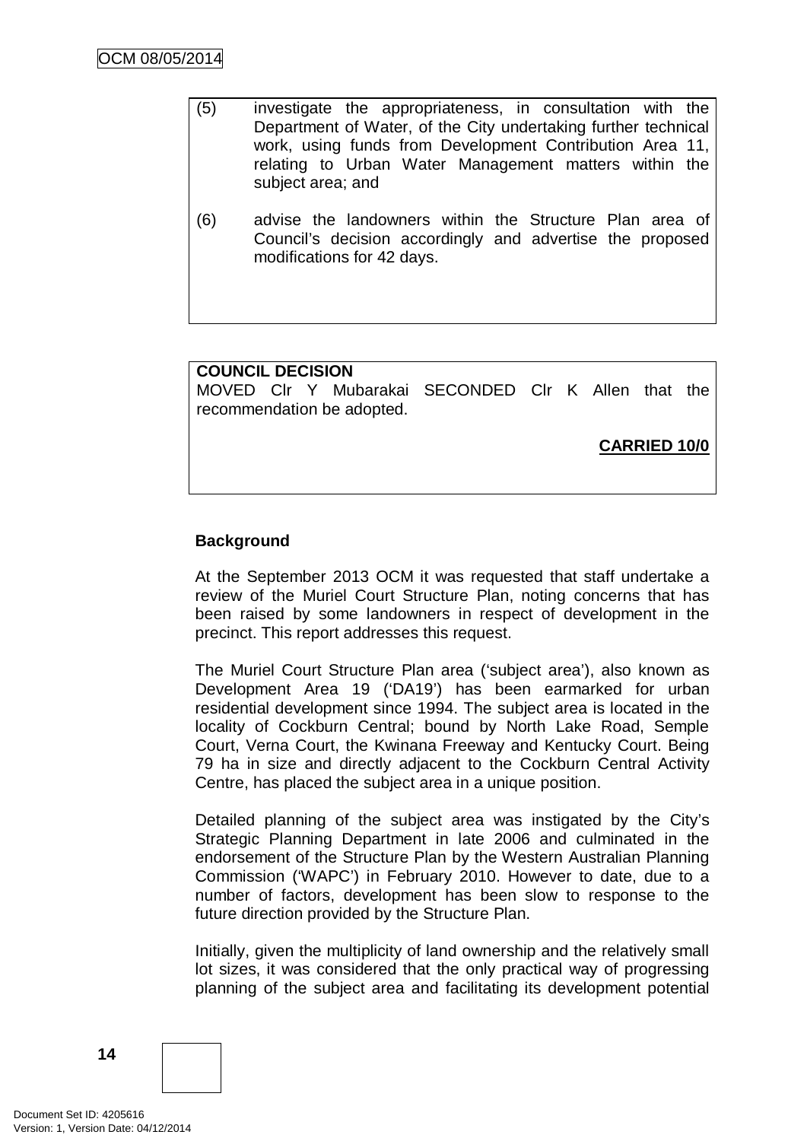- (5) investigate the appropriateness, in consultation with the Department of Water, of the City undertaking further technical work, using funds from Development Contribution Area 11, relating to Urban Water Management matters within the subject area; and
- (6) advise the landowners within the Structure Plan area of Council's decision accordingly and advertise the proposed modifications for 42 days.

## **COUNCIL DECISION**

MOVED Clr Y Mubarakai SECONDED Clr K Allen that the recommendation be adopted.

**CARRIED 10/0**

## **Background**

At the September 2013 OCM it was requested that staff undertake a review of the Muriel Court Structure Plan, noting concerns that has been raised by some landowners in respect of development in the precinct. This report addresses this request.

The Muriel Court Structure Plan area ('subject area'), also known as Development Area 19 ('DA19') has been earmarked for urban residential development since 1994. The subject area is located in the locality of Cockburn Central; bound by North Lake Road, Semple Court, Verna Court, the Kwinana Freeway and Kentucky Court. Being 79 ha in size and directly adjacent to the Cockburn Central Activity Centre, has placed the subject area in a unique position.

Detailed planning of the subject area was instigated by the City's Strategic Planning Department in late 2006 and culminated in the endorsement of the Structure Plan by the Western Australian Planning Commission ('WAPC') in February 2010. However to date, due to a number of factors, development has been slow to response to the future direction provided by the Structure Plan.

Initially, given the multiplicity of land ownership and the relatively small lot sizes, it was considered that the only practical way of progressing planning of the subject area and facilitating its development potential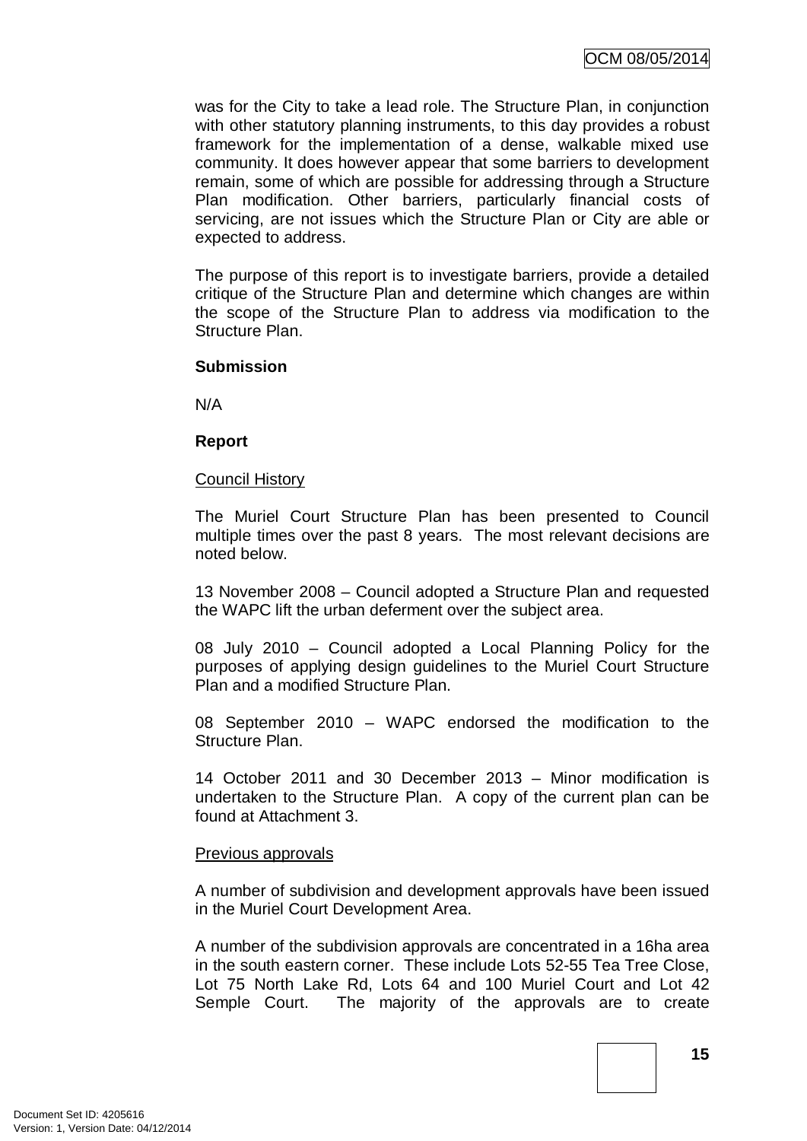was for the City to take a lead role. The Structure Plan, in conjunction with other statutory planning instruments, to this day provides a robust framework for the implementation of a dense, walkable mixed use community. It does however appear that some barriers to development remain, some of which are possible for addressing through a Structure Plan modification. Other barriers, particularly financial costs of servicing, are not issues which the Structure Plan or City are able or expected to address.

The purpose of this report is to investigate barriers, provide a detailed critique of the Structure Plan and determine which changes are within the scope of the Structure Plan to address via modification to the Structure Plan.

#### **Submission**

N/A

#### **Report**

#### Council History

The Muriel Court Structure Plan has been presented to Council multiple times over the past 8 years. The most relevant decisions are noted below.

13 November 2008 – Council adopted a Structure Plan and requested the WAPC lift the urban deferment over the subject area.

08 July 2010 – Council adopted a Local Planning Policy for the purposes of applying design guidelines to the Muriel Court Structure Plan and a modified Structure Plan.

08 September 2010 – WAPC endorsed the modification to the Structure Plan.

14 October 2011 and 30 December 2013 – Minor modification is undertaken to the Structure Plan. A copy of the current plan can be found at Attachment 3.

## Previous approvals

A number of subdivision and development approvals have been issued in the Muriel Court Development Area.

A number of the subdivision approvals are concentrated in a 16ha area in the south eastern corner. These include Lots 52-55 Tea Tree Close, Lot 75 North Lake Rd, Lots 64 and 100 Muriel Court and Lot 42 Semple Court. The majority of the approvals are to create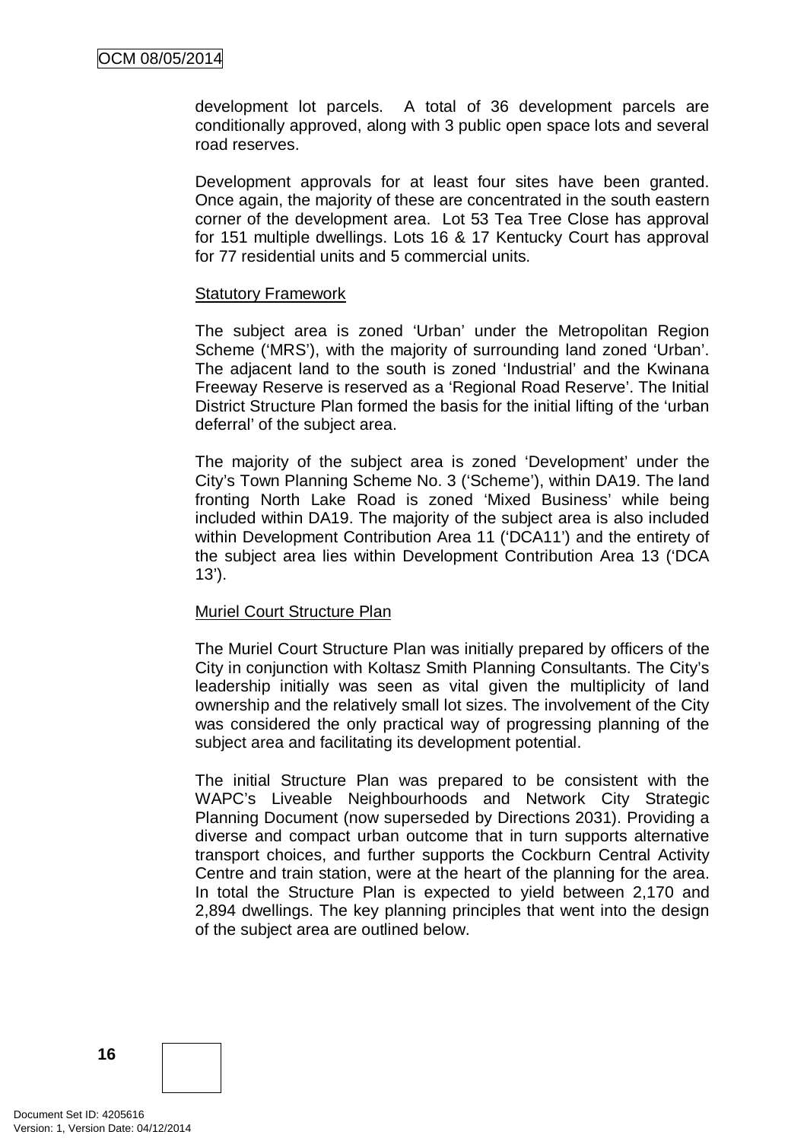development lot parcels. A total of 36 development parcels are conditionally approved, along with 3 public open space lots and several road reserves.

Development approvals for at least four sites have been granted. Once again, the majority of these are concentrated in the south eastern corner of the development area. Lot 53 Tea Tree Close has approval for 151 multiple dwellings. Lots 16 & 17 Kentucky Court has approval for 77 residential units and 5 commercial units.

#### Statutory Framework

The subject area is zoned 'Urban' under the Metropolitan Region Scheme ('MRS'), with the majority of surrounding land zoned 'Urban'. The adjacent land to the south is zoned 'Industrial' and the Kwinana Freeway Reserve is reserved as a 'Regional Road Reserve'. The Initial District Structure Plan formed the basis for the initial lifting of the 'urban deferral' of the subject area.

The majority of the subject area is zoned 'Development' under the City's Town Planning Scheme No. 3 ('Scheme'), within DA19. The land fronting North Lake Road is zoned 'Mixed Business' while being included within DA19. The majority of the subject area is also included within Development Contribution Area 11 ('DCA11') and the entirety of the subject area lies within Development Contribution Area 13 ('DCA 13').

## Muriel Court Structure Plan

The Muriel Court Structure Plan was initially prepared by officers of the City in conjunction with Koltasz Smith Planning Consultants. The City's leadership initially was seen as vital given the multiplicity of land ownership and the relatively small lot sizes. The involvement of the City was considered the only practical way of progressing planning of the subject area and facilitating its development potential.

The initial Structure Plan was prepared to be consistent with the WAPC's Liveable Neighbourhoods and Network City Strategic Planning Document (now superseded by Directions 2031). Providing a diverse and compact urban outcome that in turn supports alternative transport choices, and further supports the Cockburn Central Activity Centre and train station, were at the heart of the planning for the area. In total the Structure Plan is expected to yield between 2,170 and 2,894 dwellings. The key planning principles that went into the design of the subject area are outlined below.

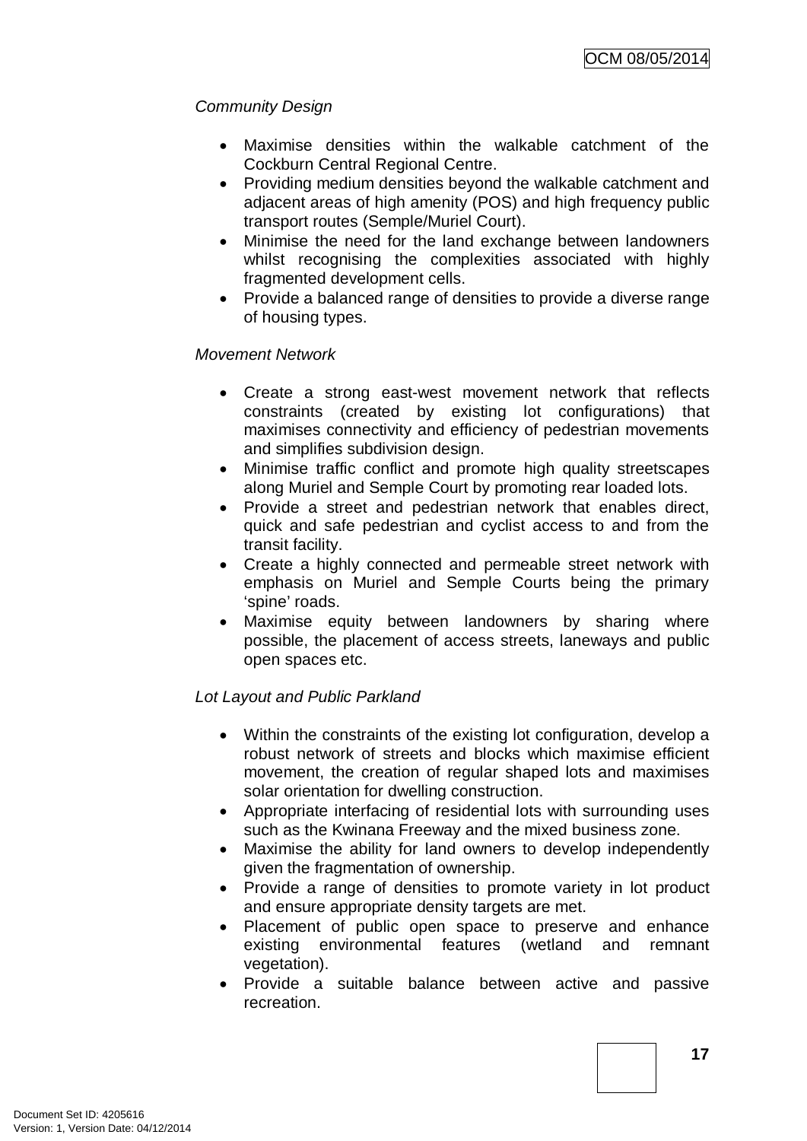# *Community Design*

- Maximise densities within the walkable catchment of the Cockburn Central Regional Centre.
- Providing medium densities beyond the walkable catchment and adjacent areas of high amenity (POS) and high frequency public transport routes (Semple/Muriel Court).
- Minimise the need for the land exchange between landowners whilst recognising the complexities associated with highly fragmented development cells.
- Provide a balanced range of densities to provide a diverse range of housing types.

## *Movement Network*

- Create a strong east-west movement network that reflects constraints (created by existing lot configurations) that maximises connectivity and efficiency of pedestrian movements and simplifies subdivision design.
- Minimise traffic conflict and promote high quality streetscapes along Muriel and Semple Court by promoting rear loaded lots.
- Provide a street and pedestrian network that enables direct, quick and safe pedestrian and cyclist access to and from the transit facility.
- Create a highly connected and permeable street network with emphasis on Muriel and Semple Courts being the primary 'spine' roads.
- Maximise equity between landowners by sharing where possible, the placement of access streets, laneways and public open spaces etc.

# *Lot Layout and Public Parkland*

- Within the constraints of the existing lot configuration, develop a robust network of streets and blocks which maximise efficient movement, the creation of regular shaped lots and maximises solar orientation for dwelling construction.
- Appropriate interfacing of residential lots with surrounding uses such as the Kwinana Freeway and the mixed business zone.
- Maximise the ability for land owners to develop independently given the fragmentation of ownership.
- Provide a range of densities to promote variety in lot product and ensure appropriate density targets are met.
- Placement of public open space to preserve and enhance existing environmental features (wetland and remnant vegetation).
- Provide a suitable balance between active and passive recreation.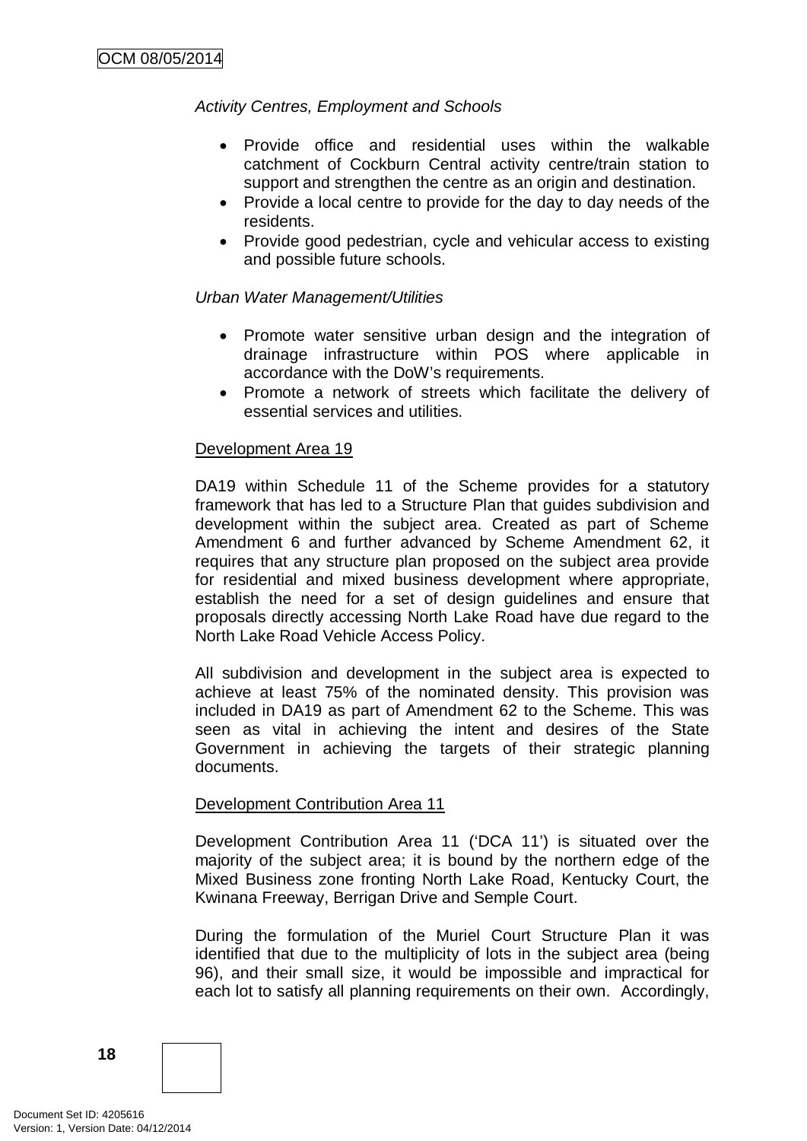## *Activity Centres, Employment and Schools*

- Provide office and residential uses within the walkable catchment of Cockburn Central activity centre/train station to support and strengthen the centre as an origin and destination.
- Provide a local centre to provide for the day to day needs of the residents.
- Provide good pedestrian, cycle and vehicular access to existing and possible future schools.

#### *Urban Water Management/Utilities*

- Promote water sensitive urban design and the integration of drainage infrastructure within POS where applicable in accordance with the DoW's requirements.
- Promote a network of streets which facilitate the delivery of essential services and utilities.

#### Development Area 19

DA19 within Schedule 11 of the Scheme provides for a statutory framework that has led to a Structure Plan that guides subdivision and development within the subject area. Created as part of Scheme Amendment 6 and further advanced by Scheme Amendment 62, it requires that any structure plan proposed on the subject area provide for residential and mixed business development where appropriate, establish the need for a set of design guidelines and ensure that proposals directly accessing North Lake Road have due regard to the North Lake Road Vehicle Access Policy.

All subdivision and development in the subject area is expected to achieve at least 75% of the nominated density. This provision was included in DA19 as part of Amendment 62 to the Scheme. This was seen as vital in achieving the intent and desires of the State Government in achieving the targets of their strategic planning documents.

## Development Contribution Area 11

Development Contribution Area 11 ('DCA 11') is situated over the majority of the subject area; it is bound by the northern edge of the Mixed Business zone fronting North Lake Road, Kentucky Court, the Kwinana Freeway, Berrigan Drive and Semple Court.

During the formulation of the Muriel Court Structure Plan it was identified that due to the multiplicity of lots in the subject area (being 96), and their small size, it would be impossible and impractical for each lot to satisfy all planning requirements on their own. Accordingly,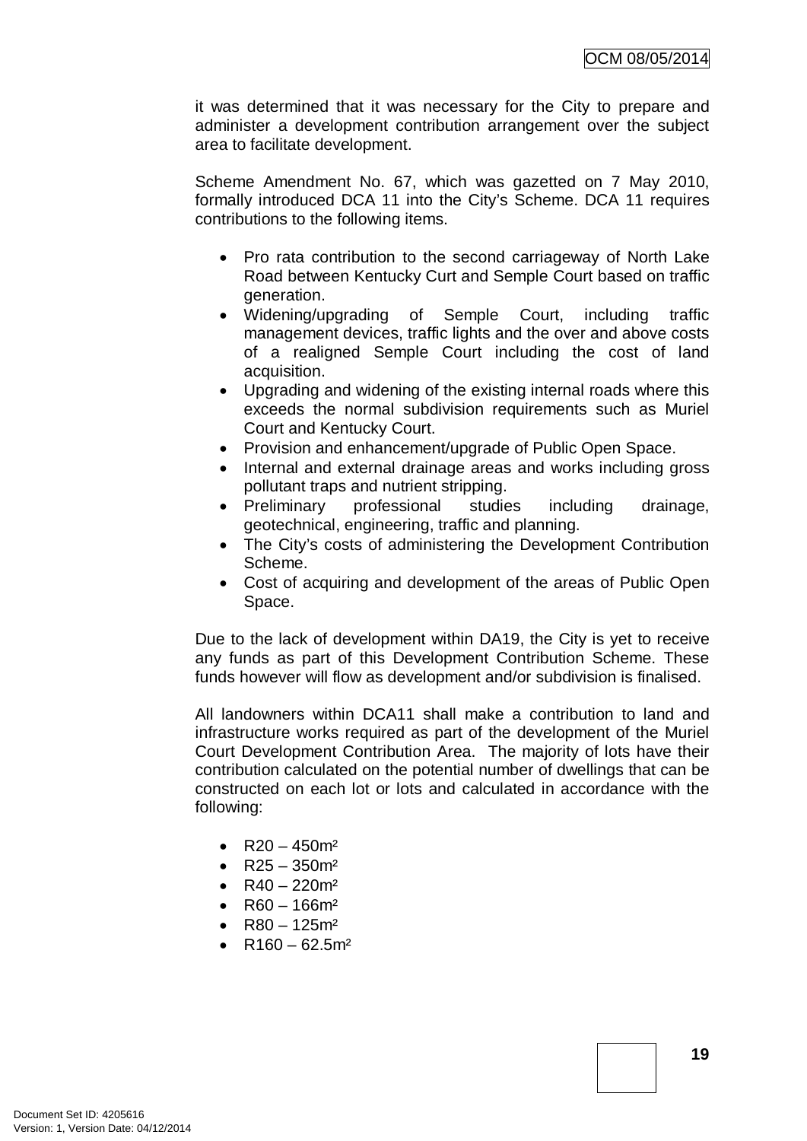it was determined that it was necessary for the City to prepare and administer a development contribution arrangement over the subject area to facilitate development.

Scheme Amendment No. 67, which was gazetted on 7 May 2010, formally introduced DCA 11 into the City's Scheme. DCA 11 requires contributions to the following items.

- Pro rata contribution to the second carriageway of North Lake Road between Kentucky Curt and Semple Court based on traffic generation.
- Widening/upgrading of Semple Court, including traffic management devices, traffic lights and the over and above costs of a realigned Semple Court including the cost of land acquisition.
- Upgrading and widening of the existing internal roads where this exceeds the normal subdivision requirements such as Muriel Court and Kentucky Court.
- Provision and enhancement/upgrade of Public Open Space.
- Internal and external drainage areas and works including gross pollutant traps and nutrient stripping.
- Preliminary professional studies including drainage, geotechnical, engineering, traffic and planning.
- The City's costs of administering the Development Contribution Scheme.
- Cost of acquiring and development of the areas of Public Open Space.

Due to the lack of development within DA19, the City is yet to receive any funds as part of this Development Contribution Scheme. These funds however will flow as development and/or subdivision is finalised.

All landowners within DCA11 shall make a contribution to land and infrastructure works required as part of the development of the Muriel Court Development Contribution Area. The majority of lots have their contribution calculated on the potential number of dwellings that can be constructed on each lot or lots and calculated in accordance with the following:

- R20 450 $m<sup>2</sup>$
- $R25 350m^2$
- R40 220 $m<sup>2</sup>$
- $R60 166m^2$
- R80 125 $m<sup>2</sup>$
- R160 62.5 $m<sup>2</sup>$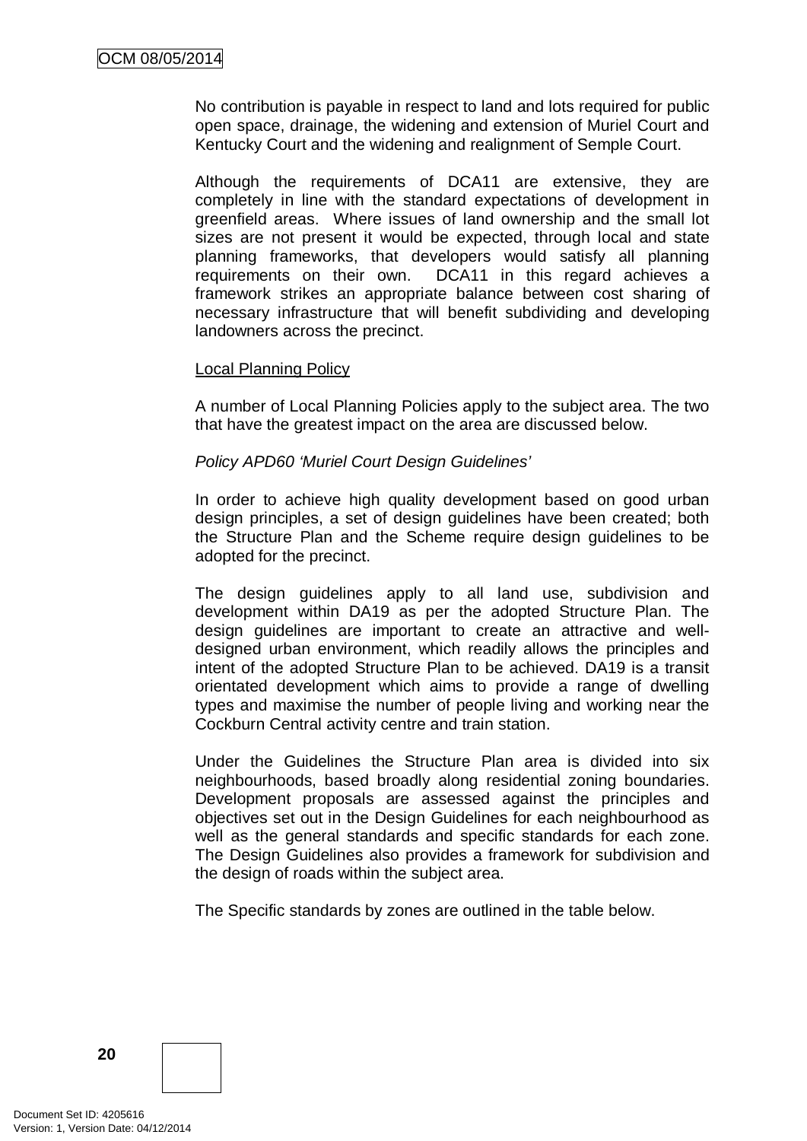No contribution is payable in respect to land and lots required for public open space, drainage, the widening and extension of Muriel Court and Kentucky Court and the widening and realignment of Semple Court.

Although the requirements of DCA11 are extensive, they are completely in line with the standard expectations of development in greenfield areas. Where issues of land ownership and the small lot sizes are not present it would be expected, through local and state planning frameworks, that developers would satisfy all planning<br>requirements on their own. DCA11 in this regard achieves a DCA11 in this regard achieves a framework strikes an appropriate balance between cost sharing of necessary infrastructure that will benefit subdividing and developing landowners across the precinct.

#### Local Planning Policy

A number of Local Planning Policies apply to the subject area. The two that have the greatest impact on the area are discussed below.

#### *Policy APD60 'Muriel Court Design Guidelines'*

In order to achieve high quality development based on good urban design principles, a set of design guidelines have been created; both the Structure Plan and the Scheme require design guidelines to be adopted for the precinct.

The design guidelines apply to all land use, subdivision and development within DA19 as per the adopted Structure Plan. The design guidelines are important to create an attractive and welldesigned urban environment, which readily allows the principles and intent of the adopted Structure Plan to be achieved. DA19 is a transit orientated development which aims to provide a range of dwelling types and maximise the number of people living and working near the Cockburn Central activity centre and train station.

Under the Guidelines the Structure Plan area is divided into six neighbourhoods, based broadly along residential zoning boundaries. Development proposals are assessed against the principles and objectives set out in the Design Guidelines for each neighbourhood as well as the general standards and specific standards for each zone. The Design Guidelines also provides a framework for subdivision and the design of roads within the subject area.

The Specific standards by zones are outlined in the table below.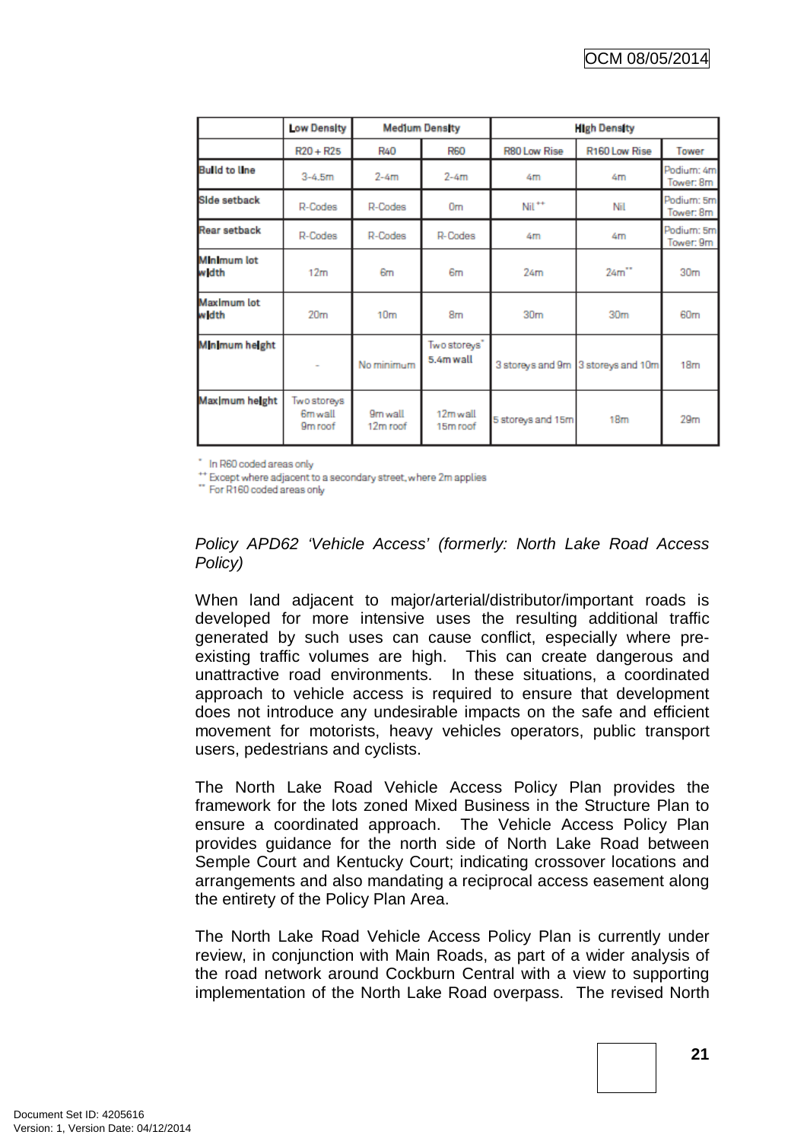|                             | Low Density                                   | <b>Medium Density</b> |                           | <b>High Density</b> |                                    |                         |
|-----------------------------|-----------------------------------------------|-----------------------|---------------------------|---------------------|------------------------------------|-------------------------|
|                             | $R20 + R25$                                   | <b>R40</b>            | <b>R60</b>                | <b>R80 Low Rise</b> | R160 Low Rise                      | Tower                   |
| <b>Build to line</b>        | $3 - 4.5m$                                    | $2 - 4m$              | $2-4m$                    | 4m                  | 4m                                 | Podium: 4m<br>Tower: 8m |
| Side setback                | R-Codes                                       | R-Codes               | 0 <sub>m</sub>            | $Nil$ <sup>++</sup> | Nil                                | Podium: 5m<br>Tower: 8m |
| Rear setback                | R-Codes                                       | R-Codes               | R-Codes                   | 4m                  | 4m                                 | Podium: 5m<br>Tower: 9m |
| <b>Minimum lot</b><br>w dth | 12 <sub>m</sub>                               | 6m                    | 6m                        | 24m                 | 24 <sup>th</sup>                   | 30 <sub>m</sub>         |
| Maximum lot<br><b>width</b> | 20 <sub>m</sub>                               | 10 <sub>m</sub>       | 8m                        | 30 <sub>m</sub>     | 30 <sub>m</sub>                    | 60 <sub>m</sub>         |
| Minimum height              |                                               | No minimum            | Two storeys"<br>5.4m wall |                     | 3 storeys and 9m 3 storeys and 10m | 18 <sub>m</sub>         |
| Maximum height              | Two storeys<br>6m wall<br>9 <sub>m</sub> roof | 9m wall<br>12m roof   | 12m wall<br>15m roof      | 5 storeys and 15m   | 18 <sub>m</sub>                    | 29 <sub>rn</sub>        |

\* In R60 coded areas only

\*\* Except where adjacent to a secondary street, where 2m applies

" For R160 coded areas only

## *Policy APD62 'Vehicle Access' (formerly: North Lake Road Access Policy)*

When land adjacent to major/arterial/distributor/important roads is developed for more intensive uses the resulting additional traffic generated by such uses can cause conflict, especially where preexisting traffic volumes are high. This can create dangerous and unattractive road environments. In these situations, a coordinated approach to vehicle access is required to ensure that development does not introduce any undesirable impacts on the safe and efficient movement for motorists, heavy vehicles operators, public transport users, pedestrians and cyclists.

The North Lake Road Vehicle Access Policy Plan provides the framework for the lots zoned Mixed Business in the Structure Plan to ensure a coordinated approach. The Vehicle Access Policy Plan provides guidance for the north side of North Lake Road between Semple Court and Kentucky Court; indicating crossover locations and arrangements and also mandating a reciprocal access easement along the entirety of the Policy Plan Area.

The North Lake Road Vehicle Access Policy Plan is currently under review, in conjunction with Main Roads, as part of a wider analysis of the road network around Cockburn Central with a view to supporting implementation of the North Lake Road overpass. The revised North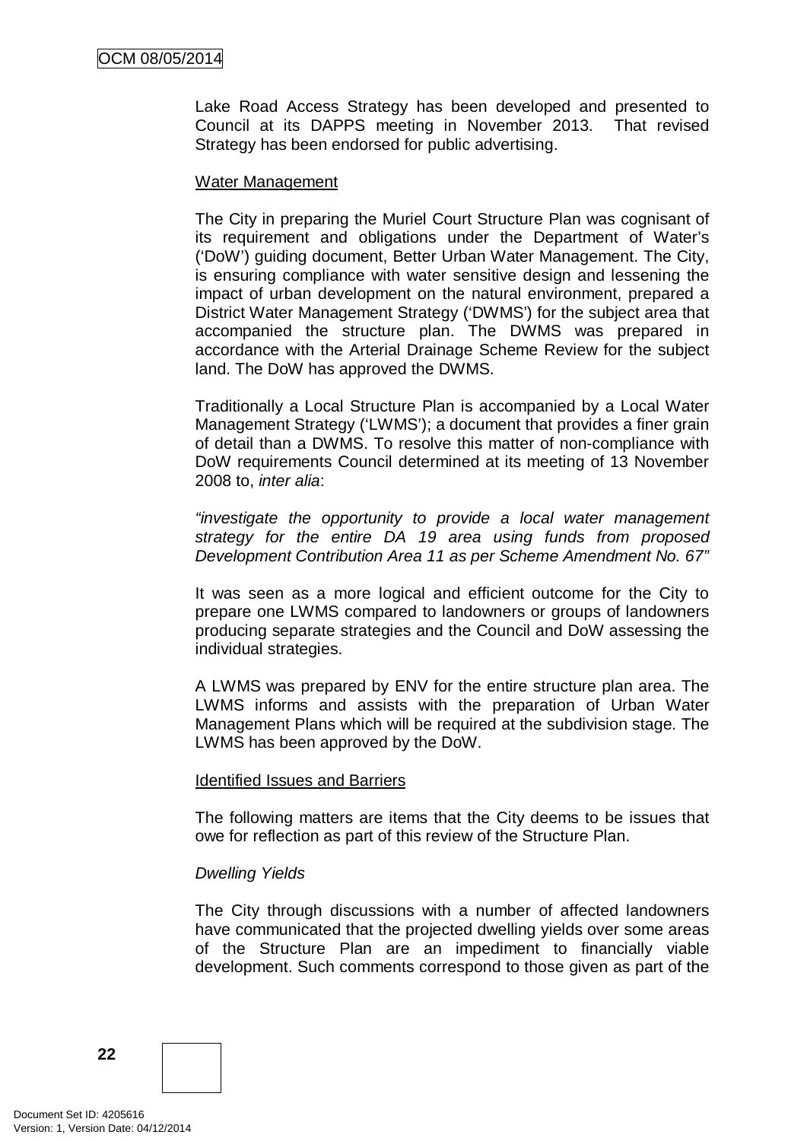Lake Road Access Strategy has been developed and presented to Council at its DAPPS meeting in November 2013. That revised Strategy has been endorsed for public advertising.

#### Water Management

The City in preparing the Muriel Court Structure Plan was cognisant of its requirement and obligations under the Department of Water's ('DoW') guiding document, Better Urban Water Management. The City, is ensuring compliance with water sensitive design and lessening the impact of urban development on the natural environment, prepared a District Water Management Strategy ('DWMS') for the subject area that accompanied the structure plan. The DWMS was prepared in accordance with the Arterial Drainage Scheme Review for the subject land. The DoW has approved the DWMS.

Traditionally a Local Structure Plan is accompanied by a Local Water Management Strategy ('LWMS'); a document that provides a finer grain of detail than a DWMS. To resolve this matter of non-compliance with DoW requirements Council determined at its meeting of 13 November 2008 to, *inter alia*:

*"investigate the opportunity to provide a local water management strategy for the entire DA 19 area using funds from proposed Development Contribution Area 11 as per Scheme Amendment No. 67"*

It was seen as a more logical and efficient outcome for the City to prepare one LWMS compared to landowners or groups of landowners producing separate strategies and the Council and DoW assessing the individual strategies.

A LWMS was prepared by ENV for the entire structure plan area. The LWMS informs and assists with the preparation of Urban Water Management Plans which will be required at the subdivision stage. The LWMS has been approved by the DoW.

## Identified Issues and Barriers

The following matters are items that the City deems to be issues that owe for reflection as part of this review of the Structure Plan.

## *Dwelling Yields*

The City through discussions with a number of affected landowners have communicated that the projected dwelling yields over some areas of the Structure Plan are an impediment to financially viable development. Such comments correspond to those given as part of the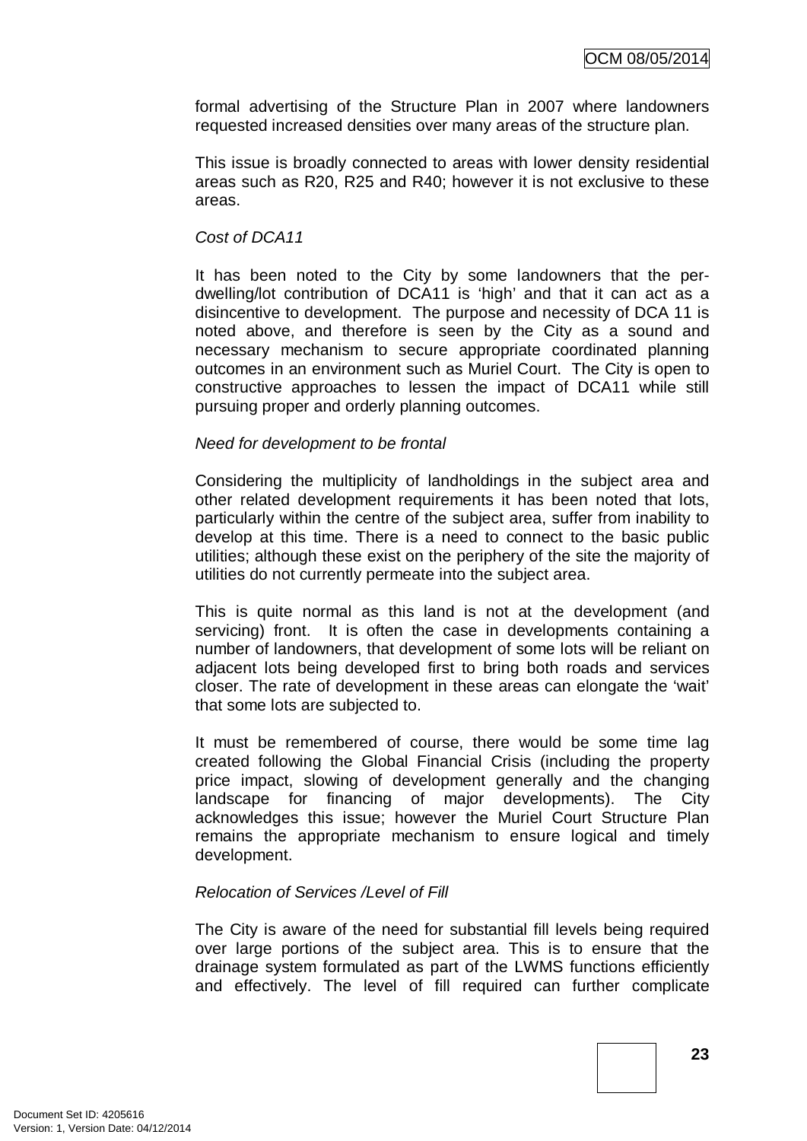formal advertising of the Structure Plan in 2007 where landowners requested increased densities over many areas of the structure plan.

This issue is broadly connected to areas with lower density residential areas such as R20, R25 and R40; however it is not exclusive to these areas.

#### *Cost of DCA11*

It has been noted to the City by some landowners that the perdwelling/lot contribution of DCA11 is 'high' and that it can act as a disincentive to development. The purpose and necessity of DCA 11 is noted above, and therefore is seen by the City as a sound and necessary mechanism to secure appropriate coordinated planning outcomes in an environment such as Muriel Court. The City is open to constructive approaches to lessen the impact of DCA11 while still pursuing proper and orderly planning outcomes.

#### *Need for development to be frontal*

Considering the multiplicity of landholdings in the subject area and other related development requirements it has been noted that lots, particularly within the centre of the subject area, suffer from inability to develop at this time. There is a need to connect to the basic public utilities; although these exist on the periphery of the site the majority of utilities do not currently permeate into the subject area.

This is quite normal as this land is not at the development (and servicing) front. It is often the case in developments containing a number of landowners, that development of some lots will be reliant on adjacent lots being developed first to bring both roads and services closer. The rate of development in these areas can elongate the 'wait' that some lots are subjected to.

It must be remembered of course, there would be some time lag created following the Global Financial Crisis (including the property price impact, slowing of development generally and the changing landscape for financing of major developments). The City acknowledges this issue; however the Muriel Court Structure Plan remains the appropriate mechanism to ensure logical and timely development.

## *Relocation of Services /Level of Fill*

The City is aware of the need for substantial fill levels being required over large portions of the subject area. This is to ensure that the drainage system formulated as part of the LWMS functions efficiently and effectively. The level of fill required can further complicate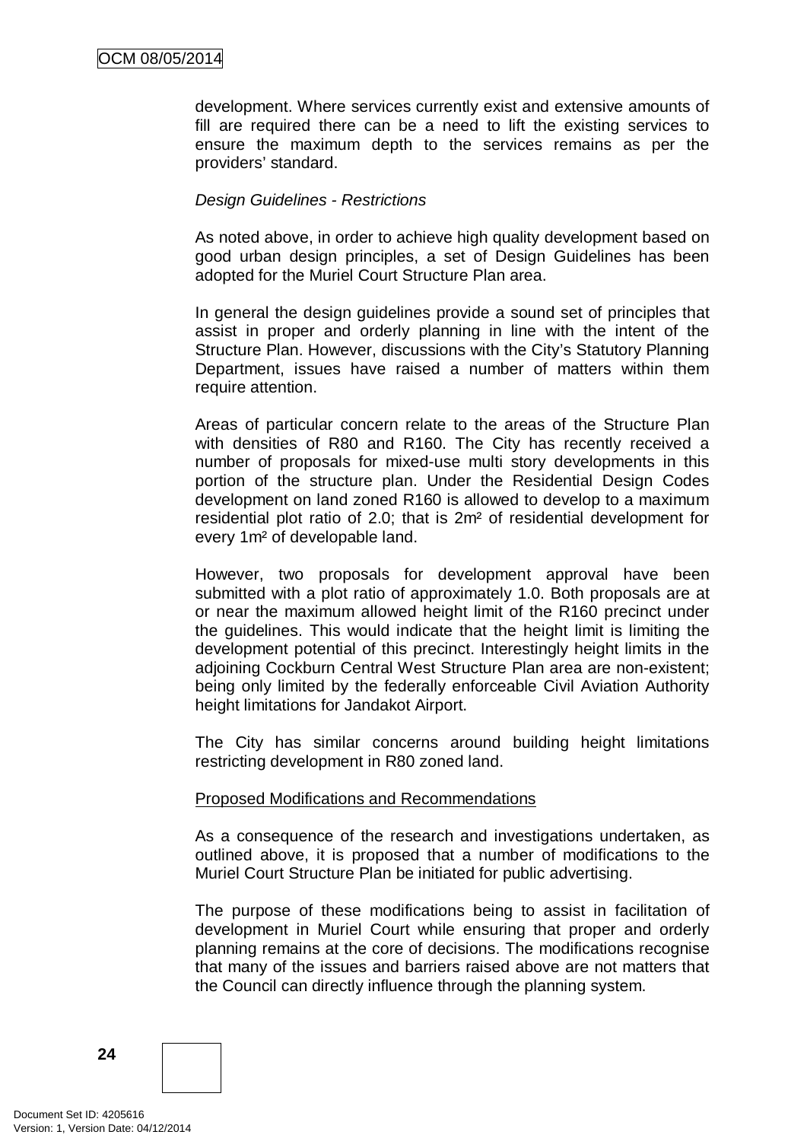development. Where services currently exist and extensive amounts of fill are required there can be a need to lift the existing services to ensure the maximum depth to the services remains as per the providers' standard.

#### *Design Guidelines - Restrictions*

As noted above, in order to achieve high quality development based on good urban design principles, a set of Design Guidelines has been adopted for the Muriel Court Structure Plan area.

In general the design guidelines provide a sound set of principles that assist in proper and orderly planning in line with the intent of the Structure Plan. However, discussions with the City's Statutory Planning Department, issues have raised a number of matters within them require attention.

Areas of particular concern relate to the areas of the Structure Plan with densities of R80 and R160. The City has recently received a number of proposals for mixed-use multi story developments in this portion of the structure plan. Under the Residential Design Codes development on land zoned R160 is allowed to develop to a maximum residential plot ratio of 2.0; that is 2m² of residential development for every 1m² of developable land.

However, two proposals for development approval have been submitted with a plot ratio of approximately 1.0. Both proposals are at or near the maximum allowed height limit of the R160 precinct under the guidelines. This would indicate that the height limit is limiting the development potential of this precinct. Interestingly height limits in the adjoining Cockburn Central West Structure Plan area are non-existent; being only limited by the federally enforceable Civil Aviation Authority height limitations for Jandakot Airport.

The City has similar concerns around building height limitations restricting development in R80 zoned land.

#### Proposed Modifications and Recommendations

As a consequence of the research and investigations undertaken, as outlined above, it is proposed that a number of modifications to the Muriel Court Structure Plan be initiated for public advertising.

The purpose of these modifications being to assist in facilitation of development in Muriel Court while ensuring that proper and orderly planning remains at the core of decisions. The modifications recognise that many of the issues and barriers raised above are not matters that the Council can directly influence through the planning system.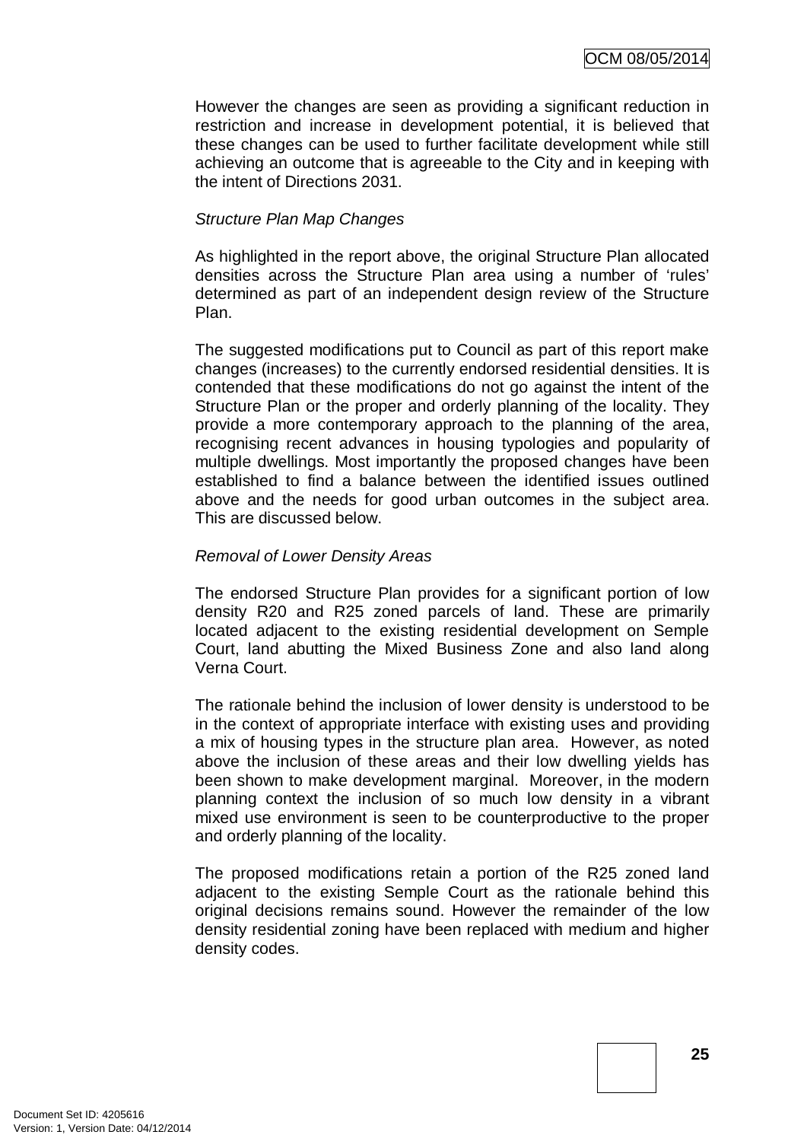However the changes are seen as providing a significant reduction in restriction and increase in development potential, it is believed that these changes can be used to further facilitate development while still achieving an outcome that is agreeable to the City and in keeping with the intent of Directions 2031.

#### *Structure Plan Map Changes*

As highlighted in the report above, the original Structure Plan allocated densities across the Structure Plan area using a number of 'rules' determined as part of an independent design review of the Structure Plan.

The suggested modifications put to Council as part of this report make changes (increases) to the currently endorsed residential densities. It is contended that these modifications do not go against the intent of the Structure Plan or the proper and orderly planning of the locality. They provide a more contemporary approach to the planning of the area, recognising recent advances in housing typologies and popularity of multiple dwellings. Most importantly the proposed changes have been established to find a balance between the identified issues outlined above and the needs for good urban outcomes in the subject area. This are discussed below.

#### *Removal of Lower Density Areas*

The endorsed Structure Plan provides for a significant portion of low density R20 and R25 zoned parcels of land. These are primarily located adjacent to the existing residential development on Semple Court, land abutting the Mixed Business Zone and also land along Verna Court.

The rationale behind the inclusion of lower density is understood to be in the context of appropriate interface with existing uses and providing a mix of housing types in the structure plan area. However, as noted above the inclusion of these areas and their low dwelling yields has been shown to make development marginal. Moreover, in the modern planning context the inclusion of so much low density in a vibrant mixed use environment is seen to be counterproductive to the proper and orderly planning of the locality.

The proposed modifications retain a portion of the R25 zoned land adjacent to the existing Semple Court as the rationale behind this original decisions remains sound. However the remainder of the low density residential zoning have been replaced with medium and higher density codes.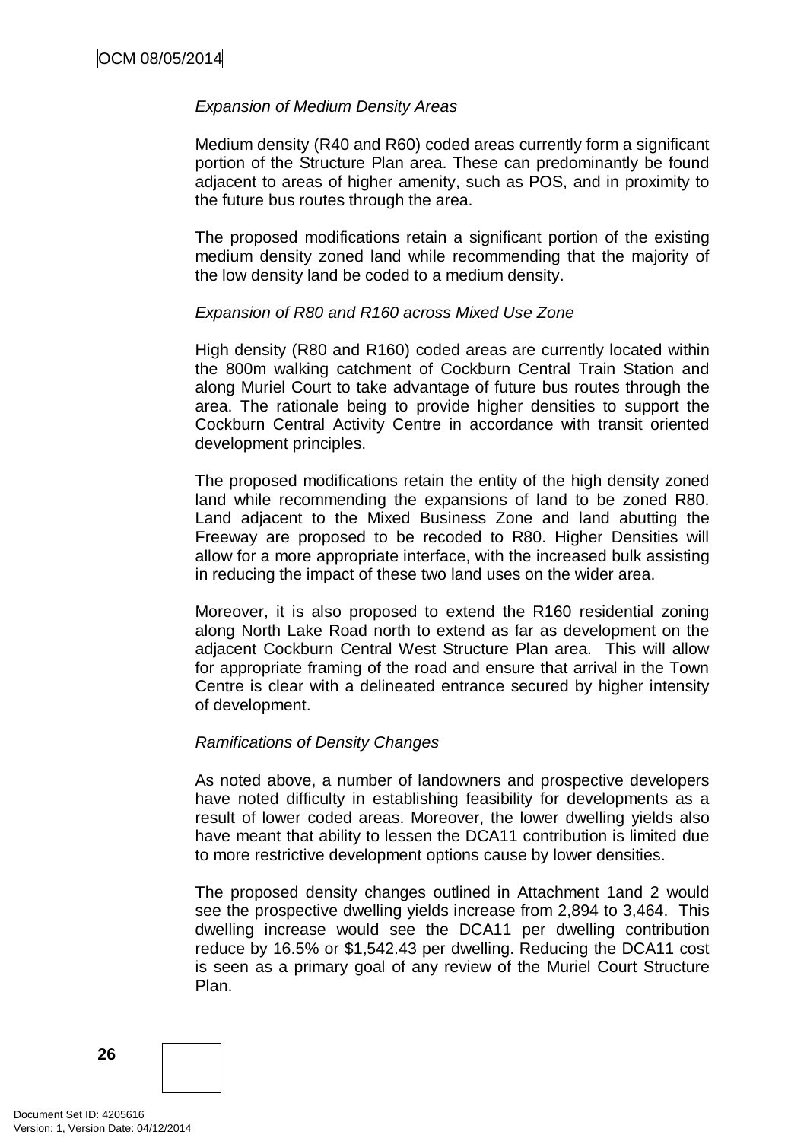#### *Expansion of Medium Density Areas*

Medium density (R40 and R60) coded areas currently form a significant portion of the Structure Plan area. These can predominantly be found adjacent to areas of higher amenity, such as POS, and in proximity to the future bus routes through the area.

The proposed modifications retain a significant portion of the existing medium density zoned land while recommending that the majority of the low density land be coded to a medium density.

#### *Expansion of R80 and R160 across Mixed Use Zone*

High density (R80 and R160) coded areas are currently located within the 800m walking catchment of Cockburn Central Train Station and along Muriel Court to take advantage of future bus routes through the area. The rationale being to provide higher densities to support the Cockburn Central Activity Centre in accordance with transit oriented development principles.

The proposed modifications retain the entity of the high density zoned land while recommending the expansions of land to be zoned R80. Land adjacent to the Mixed Business Zone and land abutting the Freeway are proposed to be recoded to R80. Higher Densities will allow for a more appropriate interface, with the increased bulk assisting in reducing the impact of these two land uses on the wider area.

Moreover, it is also proposed to extend the R160 residential zoning along North Lake Road north to extend as far as development on the adjacent Cockburn Central West Structure Plan area. This will allow for appropriate framing of the road and ensure that arrival in the Town Centre is clear with a delineated entrance secured by higher intensity of development.

#### *Ramifications of Density Changes*

As noted above, a number of landowners and prospective developers have noted difficulty in establishing feasibility for developments as a result of lower coded areas. Moreover, the lower dwelling yields also have meant that ability to lessen the DCA11 contribution is limited due to more restrictive development options cause by lower densities.

The proposed density changes outlined in Attachment 1and 2 would see the prospective dwelling yields increase from 2,894 to 3,464. This dwelling increase would see the DCA11 per dwelling contribution reduce by 16.5% or \$1,542.43 per dwelling. Reducing the DCA11 cost is seen as a primary goal of any review of the Muriel Court Structure Plan.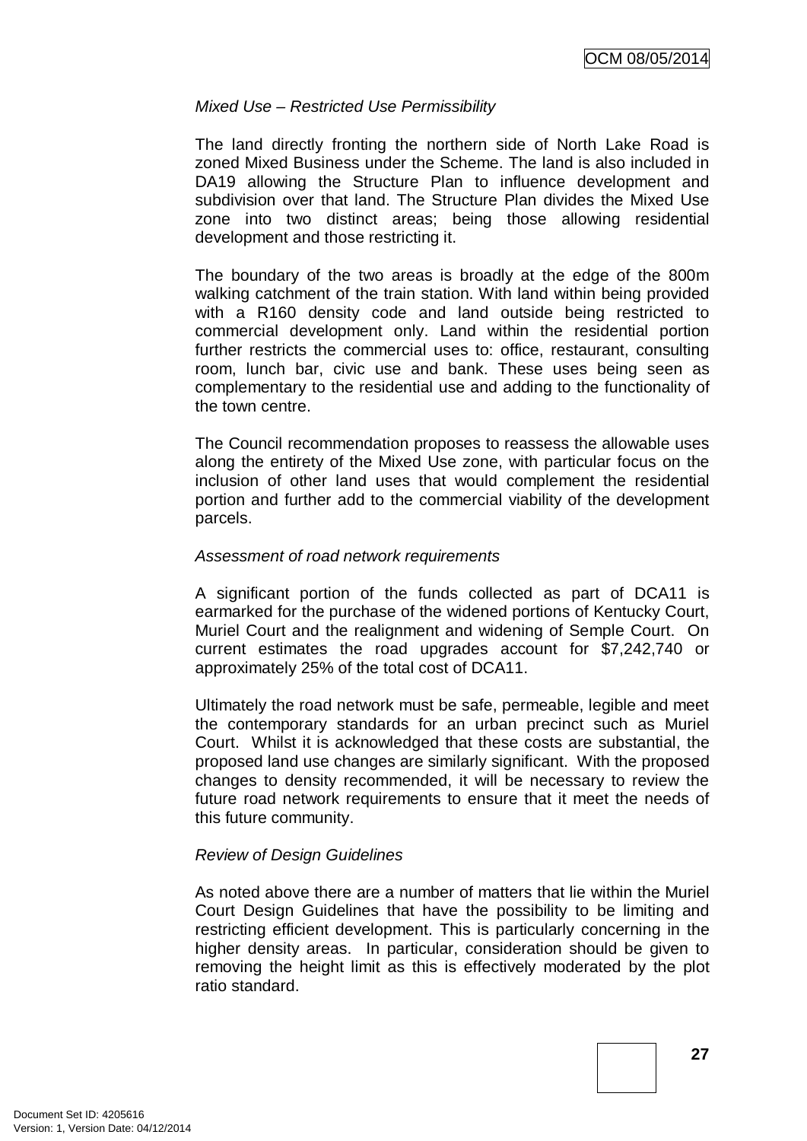#### *Mixed Use – Restricted Use Permissibility*

The land directly fronting the northern side of North Lake Road is zoned Mixed Business under the Scheme. The land is also included in DA19 allowing the Structure Plan to influence development and subdivision over that land. The Structure Plan divides the Mixed Use zone into two distinct areas; being those allowing residential development and those restricting it.

The boundary of the two areas is broadly at the edge of the 800m walking catchment of the train station. With land within being provided with a R160 density code and land outside being restricted to commercial development only. Land within the residential portion further restricts the commercial uses to: office, restaurant, consulting room, lunch bar, civic use and bank. These uses being seen as complementary to the residential use and adding to the functionality of the town centre.

The Council recommendation proposes to reassess the allowable uses along the entirety of the Mixed Use zone, with particular focus on the inclusion of other land uses that would complement the residential portion and further add to the commercial viability of the development parcels.

#### *Assessment of road network requirements*

A significant portion of the funds collected as part of DCA11 is earmarked for the purchase of the widened portions of Kentucky Court, Muriel Court and the realignment and widening of Semple Court. On current estimates the road upgrades account for \$7,242,740 or approximately 25% of the total cost of DCA11.

Ultimately the road network must be safe, permeable, legible and meet the contemporary standards for an urban precinct such as Muriel Court. Whilst it is acknowledged that these costs are substantial, the proposed land use changes are similarly significant. With the proposed changes to density recommended, it will be necessary to review the future road network requirements to ensure that it meet the needs of this future community.

## *Review of Design Guidelines*

As noted above there are a number of matters that lie within the Muriel Court Design Guidelines that have the possibility to be limiting and restricting efficient development. This is particularly concerning in the higher density areas. In particular, consideration should be given to removing the height limit as this is effectively moderated by the plot ratio standard.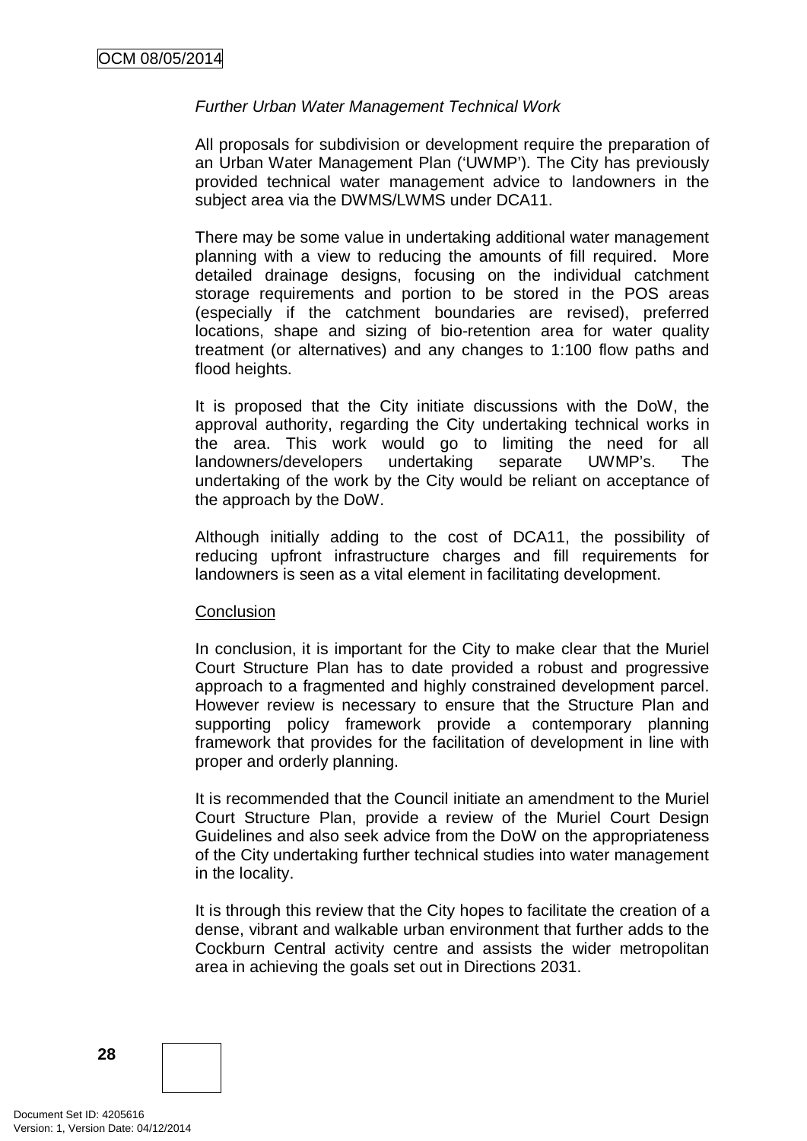## *Further Urban Water Management Technical Work*

All proposals for subdivision or development require the preparation of an Urban Water Management Plan ('UWMP'). The City has previously provided technical water management advice to landowners in the subject area via the DWMS/LWMS under DCA11.

There may be some value in undertaking additional water management planning with a view to reducing the amounts of fill required. More detailed drainage designs, focusing on the individual catchment storage requirements and portion to be stored in the POS areas (especially if the catchment boundaries are revised), preferred locations, shape and sizing of bio-retention area for water quality treatment (or alternatives) and any changes to 1:100 flow paths and flood heights.

It is proposed that the City initiate discussions with the DoW, the approval authority, regarding the City undertaking technical works in the area. This work would go to limiting the need for all landowners/developers undertaking separate UWMP's. The undertaking of the work by the City would be reliant on acceptance of the approach by the DoW.

Although initially adding to the cost of DCA11, the possibility of reducing upfront infrastructure charges and fill requirements for landowners is seen as a vital element in facilitating development.

#### **Conclusion**

In conclusion, it is important for the City to make clear that the Muriel Court Structure Plan has to date provided a robust and progressive approach to a fragmented and highly constrained development parcel. However review is necessary to ensure that the Structure Plan and supporting policy framework provide a contemporary planning framework that provides for the facilitation of development in line with proper and orderly planning.

It is recommended that the Council initiate an amendment to the Muriel Court Structure Plan, provide a review of the Muriel Court Design Guidelines and also seek advice from the DoW on the appropriateness of the City undertaking further technical studies into water management in the locality.

It is through this review that the City hopes to facilitate the creation of a dense, vibrant and walkable urban environment that further adds to the Cockburn Central activity centre and assists the wider metropolitan area in achieving the goals set out in Directions 2031.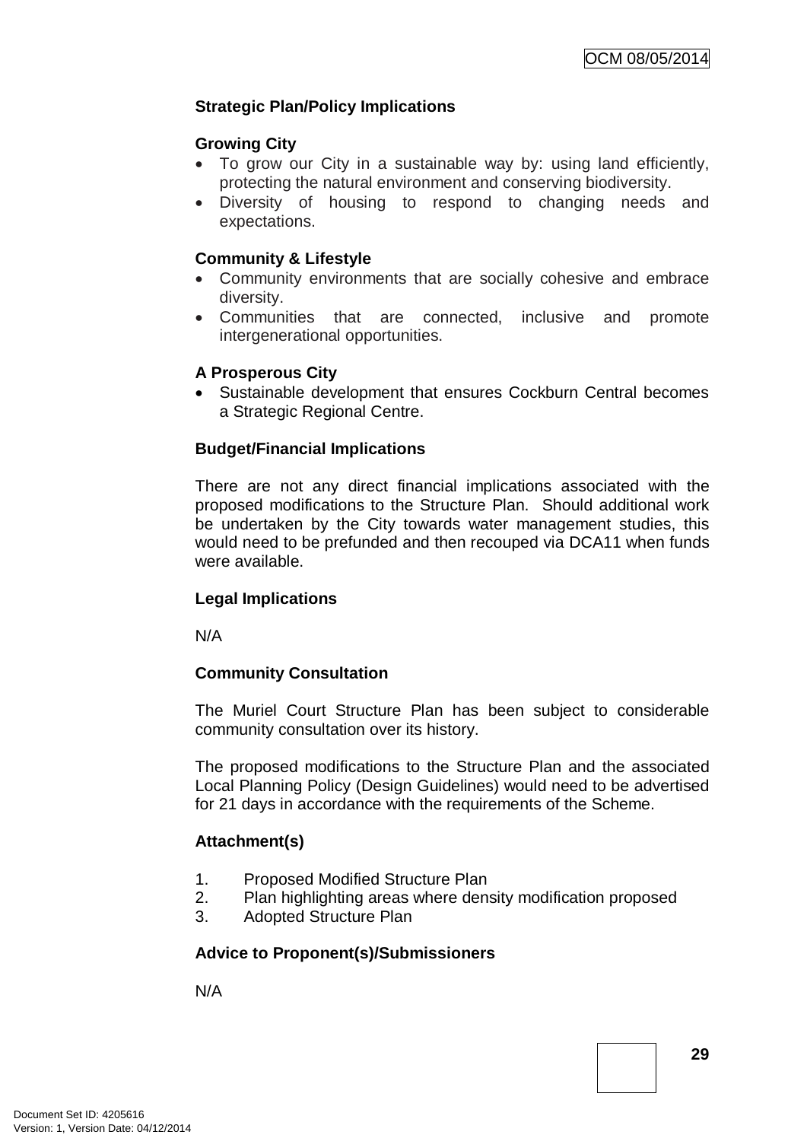# **Strategic Plan/Policy Implications**

## **Growing City**

- To grow our City in a sustainable way by: using land efficiently, protecting the natural environment and conserving biodiversity.
- Diversity of housing to respond to changing needs and expectations.

# **Community & Lifestyle**

- Community environments that are socially cohesive and embrace diversity.
- Communities that are connected, inclusive and promote intergenerational opportunities.

## **A Prosperous City**

• Sustainable development that ensures Cockburn Central becomes a Strategic Regional Centre.

## **Budget/Financial Implications**

There are not any direct financial implications associated with the proposed modifications to the Structure Plan. Should additional work be undertaken by the City towards water management studies, this would need to be prefunded and then recouped via DCA11 when funds were available.

## **Legal Implications**

N/A

## **Community Consultation**

The Muriel Court Structure Plan has been subject to considerable community consultation over its history.

The proposed modifications to the Structure Plan and the associated Local Planning Policy (Design Guidelines) would need to be advertised for 21 days in accordance with the requirements of the Scheme.

## **Attachment(s)**

- 1. Proposed Modified Structure Plan
- 2. Plan highlighting areas where density modification proposed
- 3. Adopted Structure Plan

# **Advice to Proponent(s)/Submissioners**

N/A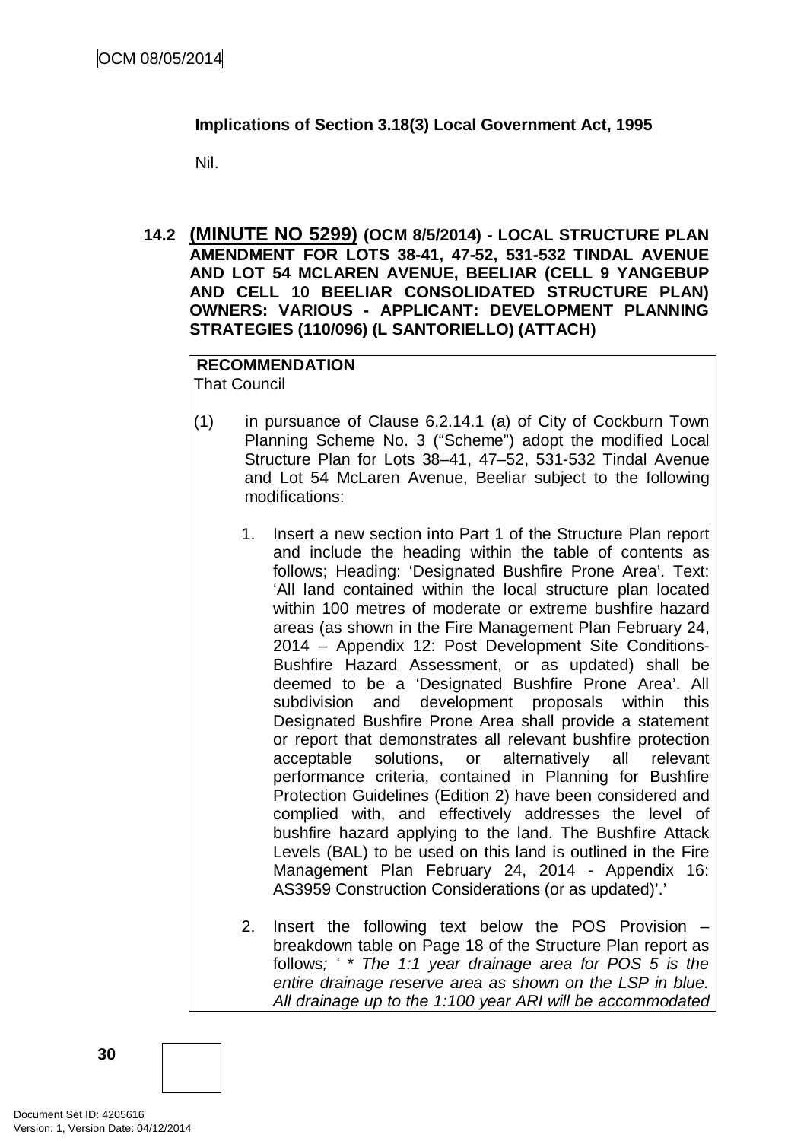## **Implications of Section 3.18(3) Local Government Act, 1995**

Nil.

**14.2 (MINUTE NO 5299) (OCM 8/5/2014) - LOCAL STRUCTURE PLAN AMENDMENT FOR LOTS 38-41, 47-52, 531-532 TINDAL AVENUE AND LOT 54 MCLAREN AVENUE, BEELIAR (CELL 9 YANGEBUP AND CELL 10 BEELIAR CONSOLIDATED STRUCTURE PLAN) OWNERS: VARIOUS - APPLICANT: DEVELOPMENT PLANNING STRATEGIES (110/096) (L SANTORIELLO) (ATTACH)**

**RECOMMENDATION** That Council

- (1) in pursuance of Clause 6.2.14.1 (a) of City of Cockburn Town Planning Scheme No. 3 ("Scheme") adopt the modified Local Structure Plan for Lots 38–41, 47–52, 531-532 Tindal Avenue and Lot 54 McLaren Avenue, Beeliar subject to the following modifications:
	- 1. Insert a new section into Part 1 of the Structure Plan report and include the heading within the table of contents as follows; Heading: 'Designated Bushfire Prone Area'. Text: 'All land contained within the local structure plan located within 100 metres of moderate or extreme bushfire hazard areas (as shown in the Fire Management Plan February 24, 2014 – Appendix 12: Post Development Site Conditions-Bushfire Hazard Assessment, or as updated) shall be deemed to be a 'Designated Bushfire Prone Area'. All subdivision and development proposals within this Designated Bushfire Prone Area shall provide a statement or report that demonstrates all relevant bushfire protection acceptable solutions, or alternatively all relevant performance criteria, contained in Planning for Bushfire Protection Guidelines (Edition 2) have been considered and complied with, and effectively addresses the level of bushfire hazard applying to the land. The Bushfire Attack Levels (BAL) to be used on this land is outlined in the Fire Management Plan February 24, 2014 - Appendix 16: AS3959 Construction Considerations (or as updated)'.'
	- 2. Insert the following text below the POS Provision breakdown table on Page 18 of the Structure Plan report as follows*; ' \* The 1:1 year drainage area for POS 5 is the entire drainage reserve area as shown on the LSP in blue. All drainage up to the 1:100 year ARI will be accommodated*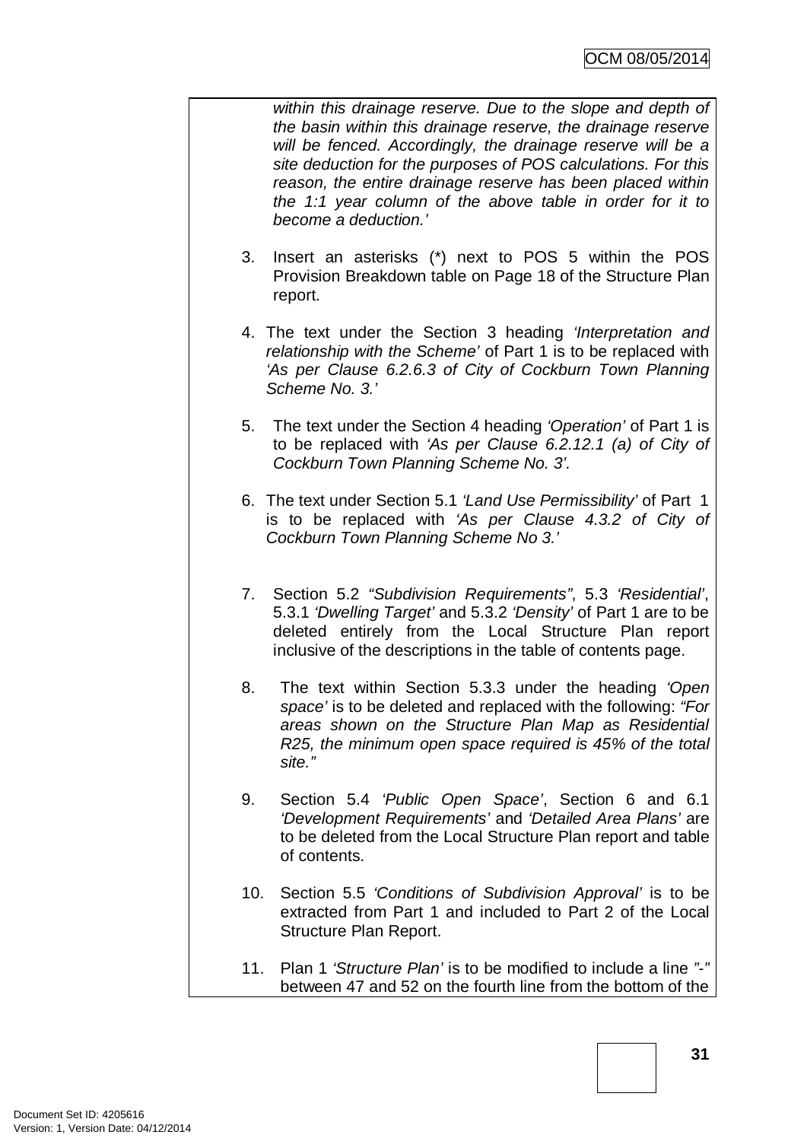*within this drainage reserve. Due to the slope and depth of the basin within this drainage reserve, the drainage reserve will be fenced. Accordingly, the drainage reserve will be a site deduction for the purposes of POS calculations. For this reason, the entire drainage reserve has been placed within the 1:1 year column of the above table in order for it to become a deduction.'* 

- 3. Insert an asterisks (\*) next to POS 5 within the POS Provision Breakdown table on Page 18 of the Structure Plan report.
- 4. The text under the Section 3 heading *'Interpretation and relationship with the Scheme'* of Part 1 is to be replaced with *'As per Clause 6.2.6.3 of City of Cockburn Town Planning Scheme No. 3.'*
- 5. The text under the Section 4 heading *'Operation'* of Part 1 is to be replaced with *'As per Clause 6.2.12.1 (a) of City of Cockburn Town Planning Scheme No. 3'.*
- 6. The text under Section 5.1 *'Land Use Permissibility'* of Part 1 is to be replaced with *'As per Clause 4.3.2 of City of Cockburn Town Planning Scheme No 3.'*
- 7. Section 5.2 *"Subdivision Requirements"*, 5.3 *'Residential'*, 5.3.1 *'Dwelling Target'* and 5.3.2 *'Density'* of Part 1 are to be deleted entirely from the Local Structure Plan report inclusive of the descriptions in the table of contents page.
- 8. The text within Section 5.3.3 under the heading *'Open space'* is to be deleted and replaced with the following: *"For areas shown on the Structure Plan Map as Residential R25, the minimum open space required is 45% of the total site."*
- 9. Section 5.4 *'Public Open Space'*, Section 6 and 6.1 *'Development Requirements'* and *'Detailed Area Plans'* are to be deleted from the Local Structure Plan report and table of contents.
- 10. Section 5.5 *'Conditions of Subdivision Approval'* is to be extracted from Part 1 and included to Part 2 of the Local Structure Plan Report.
- 11. Plan 1 *'Structure Plan'* is to be modified to include a line *"-"* between 47 and 52 on the fourth line from the bottom of the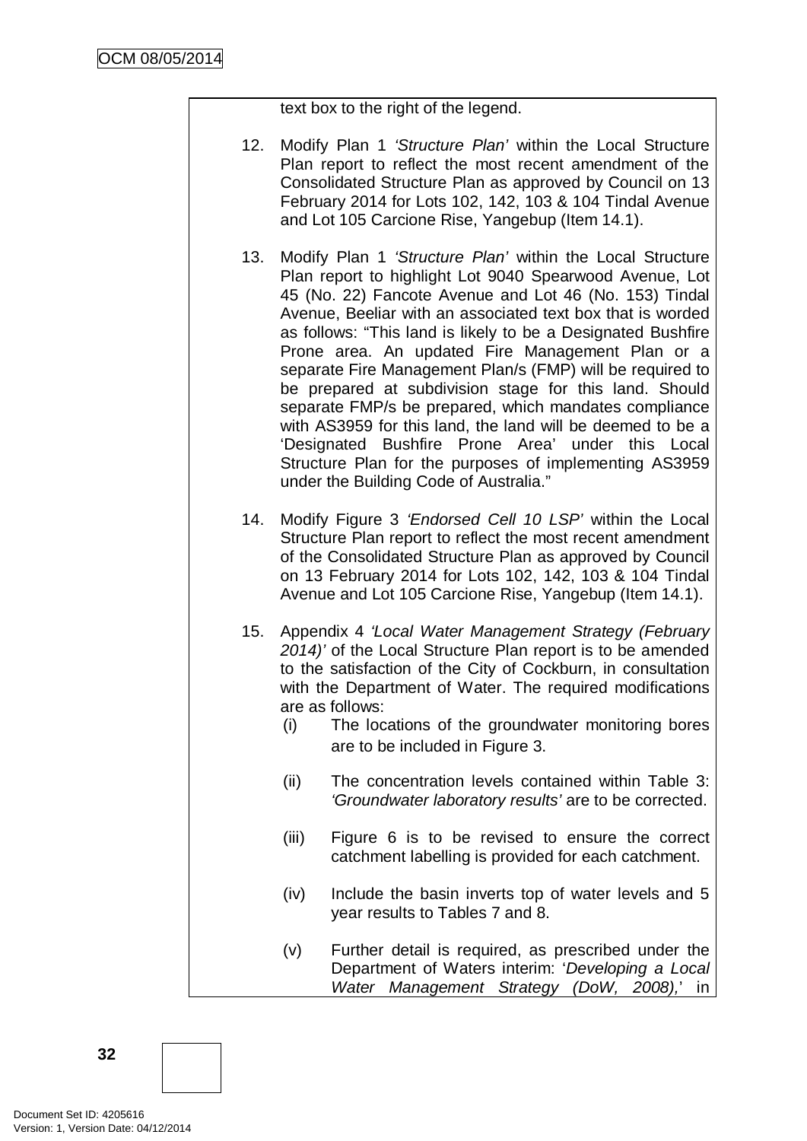text box to the right of the legend.

- 12. Modify Plan 1 *'Structure Plan'* within the Local Structure Plan report to reflect the most recent amendment of the Consolidated Structure Plan as approved by Council on 13 February 2014 for Lots 102, 142, 103 & 104 Tindal Avenue and Lot 105 Carcione Rise, Yangebup (Item 14.1).
- 13. Modify Plan 1 *'Structure Plan'* within the Local Structure Plan report to highlight Lot 9040 Spearwood Avenue, Lot 45 (No. 22) Fancote Avenue and Lot 46 (No. 153) Tindal Avenue, Beeliar with an associated text box that is worded as follows: "This land is likely to be a Designated Bushfire Prone area. An updated Fire Management Plan or a separate Fire Management Plan/s (FMP) will be required to be prepared at subdivision stage for this land. Should separate FMP/s be prepared, which mandates compliance with AS3959 for this land, the land will be deemed to be a 'Designated Bushfire Prone Area' under this Local Structure Plan for the purposes of implementing AS3959 under the Building Code of Australia."
- 14. Modify Figure 3 *'Endorsed Cell 10 LSP'* within the Local Structure Plan report to reflect the most recent amendment of the Consolidated Structure Plan as approved by Council on 13 February 2014 for Lots 102, 142, 103 & 104 Tindal Avenue and Lot 105 Carcione Rise, Yangebup (Item 14.1).
- 15. Appendix 4 *'Local Water Management Strategy (February 2014)'* of the Local Structure Plan report is to be amended to the satisfaction of the City of Cockburn, in consultation with the Department of Water. The required modifications are as follows:
	- (i) The locations of the groundwater monitoring bores are to be included in Figure 3.
	- (ii) The concentration levels contained within Table 3: *'Groundwater laboratory results'* are to be corrected.
	- (iii) Figure 6 is to be revised to ensure the correct catchment labelling is provided for each catchment.
	- (iv) Include the basin inverts top of water levels and 5 year results to Tables 7 and 8.
	- (v) Further detail is required, as prescribed under the Department of Waters interim: '*Developing a Local Water Management Strategy (DoW, 2008),*' in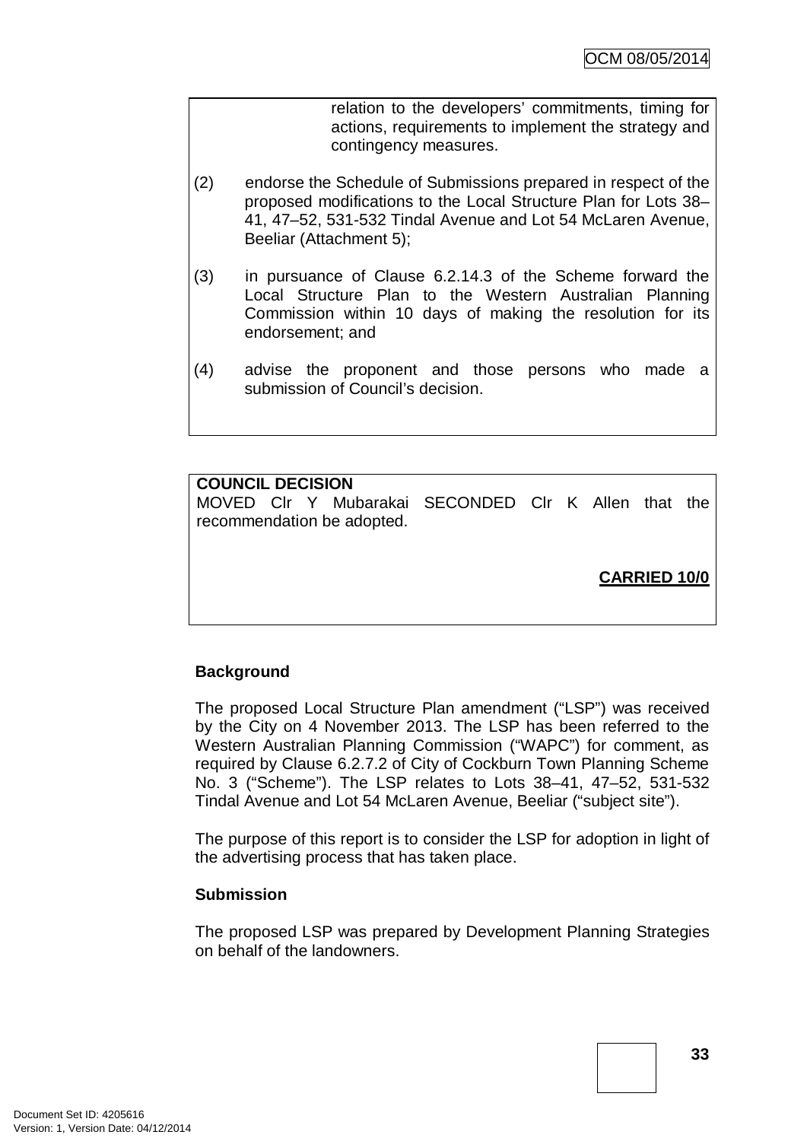relation to the developers' commitments, timing for actions, requirements to implement the strategy and contingency measures.

- (2) endorse the Schedule of Submissions prepared in respect of the proposed modifications to the Local Structure Plan for Lots 38– 41, 47–52, 531-532 Tindal Avenue and Lot 54 McLaren Avenue, Beeliar (Attachment 5);
- (3) in pursuance of Clause 6.2.14.3 of the Scheme forward the Local Structure Plan to the Western Australian Planning Commission within 10 days of making the resolution for its endorsement; and
- (4) advise the proponent and those persons who made a submission of Council's decision.

## **COUNCIL DECISION**

MOVED Clr Y Mubarakai SECONDED Clr K Allen that the recommendation be adopted.

**CARRIED 10/0**

## **Background**

The proposed Local Structure Plan amendment ("LSP") was received by the City on 4 November 2013. The LSP has been referred to the Western Australian Planning Commission ("WAPC") for comment, as required by Clause 6.2.7.2 of City of Cockburn Town Planning Scheme No. 3 ("Scheme"). The LSP relates to Lots 38–41, 47–52, 531-532 Tindal Avenue and Lot 54 McLaren Avenue, Beeliar ("subject site").

The purpose of this report is to consider the LSP for adoption in light of the advertising process that has taken place.

#### **Submission**

The proposed LSP was prepared by Development Planning Strategies on behalf of the landowners.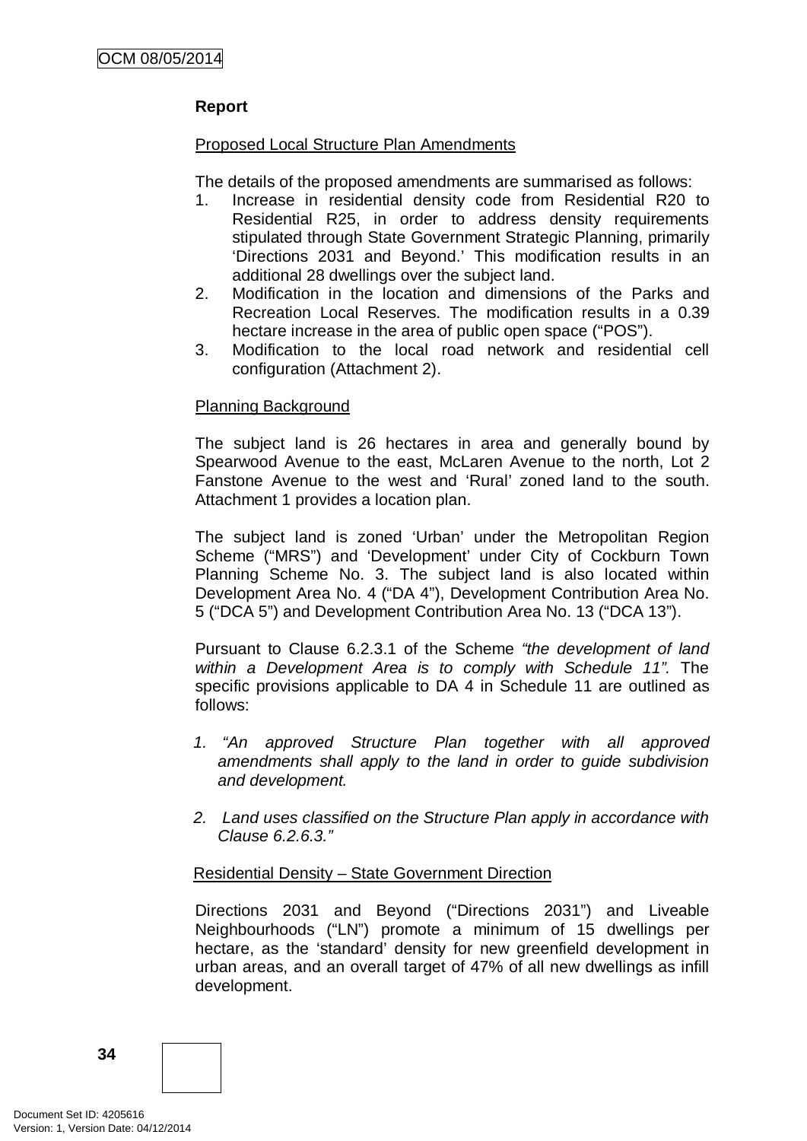# **Report**

## Proposed Local Structure Plan Amendments

The details of the proposed amendments are summarised as follows:

- 1. Increase in residential density code from Residential R20 to Residential R25, in order to address density requirements stipulated through State Government Strategic Planning, primarily 'Directions 2031 and Beyond.' This modification results in an additional 28 dwellings over the subject land.
- 2. Modification in the location and dimensions of the Parks and Recreation Local Reserves. The modification results in a 0.39 hectare increase in the area of public open space ("POS").
- 3. Modification to the local road network and residential cell configuration (Attachment 2).

#### Planning Background

The subject land is 26 hectares in area and generally bound by Spearwood Avenue to the east, McLaren Avenue to the north, Lot 2 Fanstone Avenue to the west and 'Rural' zoned land to the south. Attachment 1 provides a location plan.

The subject land is zoned 'Urban' under the Metropolitan Region Scheme ("MRS") and 'Development' under City of Cockburn Town Planning Scheme No. 3. The subject land is also located within Development Area No. 4 ("DA 4"), Development Contribution Area No. 5 ("DCA 5") and Development Contribution Area No. 13 ("DCA 13").

Pursuant to Clause 6.2.3.1 of the Scheme *"the development of land within a Development Area is to comply with Schedule 11".* The specific provisions applicable to DA 4 in Schedule 11 are outlined as follows:

- *1. "An approved Structure Plan together with all approved amendments shall apply to the land in order to guide subdivision and development.*
- *2. Land uses classified on the Structure Plan apply in accordance with Clause 6.2.6.3."*

## Residential Density – State Government Direction

Directions 2031 and Beyond ("Directions 2031") and Liveable Neighbourhoods ("LN") promote a minimum of 15 dwellings per hectare, as the 'standard' density for new greenfield development in urban areas, and an overall target of 47% of all new dwellings as infill development.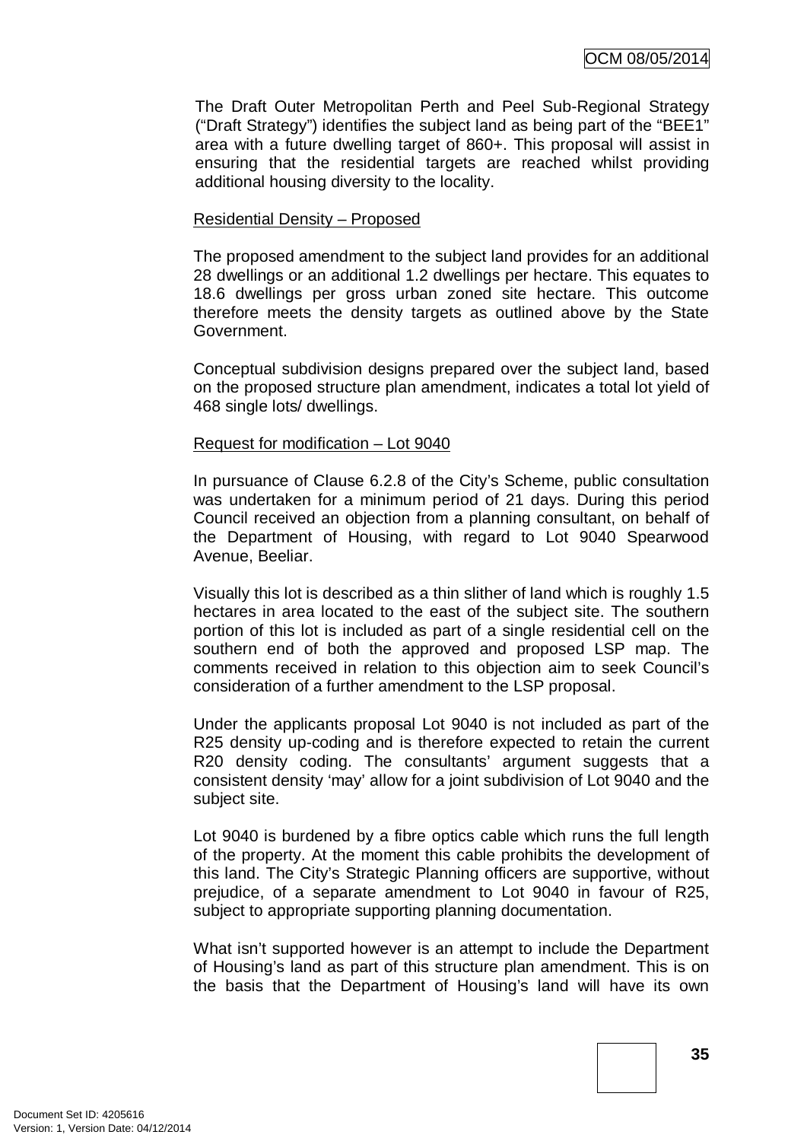The Draft Outer Metropolitan Perth and Peel Sub-Regional Strategy ("Draft Strategy") identifies the subject land as being part of the "BEE1" area with a future dwelling target of 860+. This proposal will assist in ensuring that the residential targets are reached whilst providing additional housing diversity to the locality.

### Residential Density – Proposed

The proposed amendment to the subject land provides for an additional 28 dwellings or an additional 1.2 dwellings per hectare. This equates to 18.6 dwellings per gross urban zoned site hectare. This outcome therefore meets the density targets as outlined above by the State Government.

Conceptual subdivision designs prepared over the subject land, based on the proposed structure plan amendment, indicates a total lot yield of 468 single lots/ dwellings.

### Request for modification – Lot 9040

In pursuance of Clause 6.2.8 of the City's Scheme, public consultation was undertaken for a minimum period of 21 days. During this period Council received an objection from a planning consultant, on behalf of the Department of Housing, with regard to Lot 9040 Spearwood Avenue, Beeliar.

Visually this lot is described as a thin slither of land which is roughly 1.5 hectares in area located to the east of the subject site. The southern portion of this lot is included as part of a single residential cell on the southern end of both the approved and proposed LSP map. The comments received in relation to this objection aim to seek Council's consideration of a further amendment to the LSP proposal.

Under the applicants proposal Lot 9040 is not included as part of the R25 density up-coding and is therefore expected to retain the current R20 density coding. The consultants' argument suggests that a consistent density 'may' allow for a joint subdivision of Lot 9040 and the subject site.

Lot 9040 is burdened by a fibre optics cable which runs the full length of the property. At the moment this cable prohibits the development of this land. The City's Strategic Planning officers are supportive, without prejudice, of a separate amendment to Lot 9040 in favour of R25, subject to appropriate supporting planning documentation.

What isn't supported however is an attempt to include the Department of Housing's land as part of this structure plan amendment. This is on the basis that the Department of Housing's land will have its own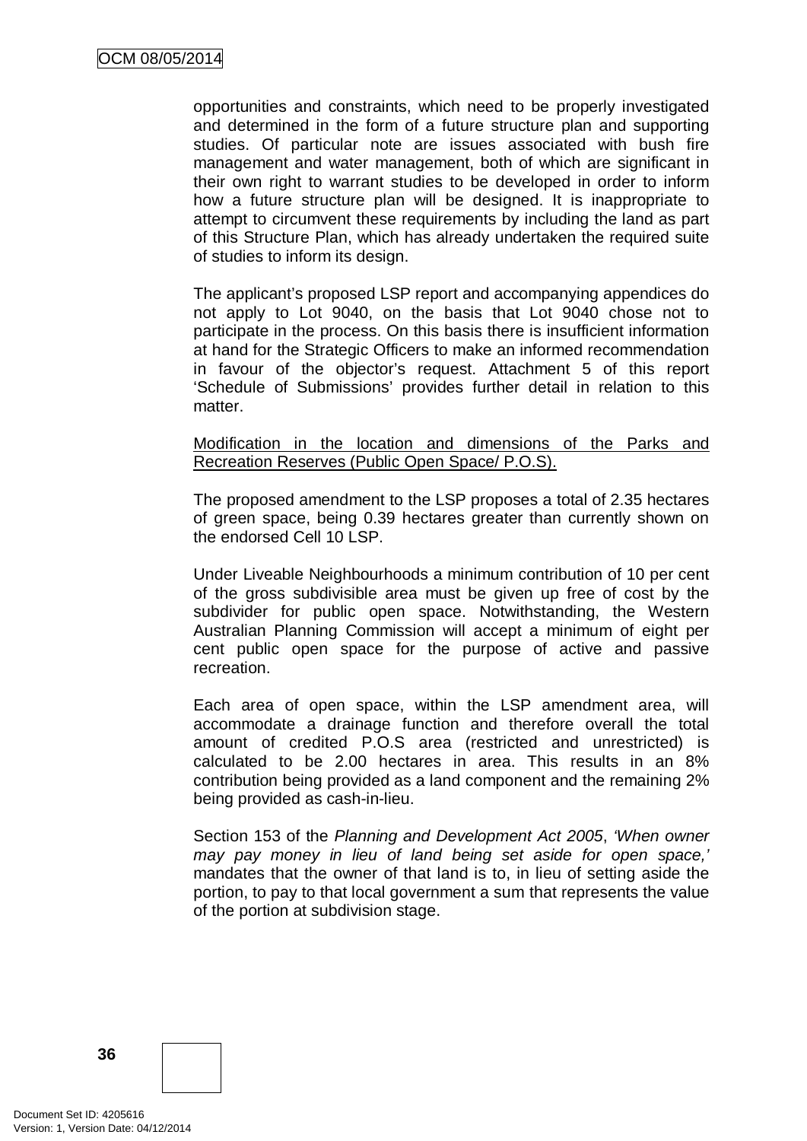opportunities and constraints, which need to be properly investigated and determined in the form of a future structure plan and supporting studies. Of particular note are issues associated with bush fire management and water management, both of which are significant in their own right to warrant studies to be developed in order to inform how a future structure plan will be designed. It is inappropriate to attempt to circumvent these requirements by including the land as part of this Structure Plan, which has already undertaken the required suite of studies to inform its design.

The applicant's proposed LSP report and accompanying appendices do not apply to Lot 9040, on the basis that Lot 9040 chose not to participate in the process. On this basis there is insufficient information at hand for the Strategic Officers to make an informed recommendation in favour of the objector's request. Attachment 5 of this report 'Schedule of Submissions' provides further detail in relation to this matter.

### Modification in the location and dimensions of the Parks and Recreation Reserves (Public Open Space/ P.O.S).

The proposed amendment to the LSP proposes a total of 2.35 hectares of green space, being 0.39 hectares greater than currently shown on the endorsed Cell 10 LSP.

Under Liveable Neighbourhoods a minimum contribution of 10 per cent of the gross subdivisible area must be given up free of cost by the subdivider for public open space. Notwithstanding, the Western Australian Planning Commission will accept a minimum of eight per cent public open space for the purpose of active and passive recreation.

Each area of open space, within the LSP amendment area, will accommodate a drainage function and therefore overall the total amount of credited P.O.S area (restricted and unrestricted) is calculated to be 2.00 hectares in area. This results in an 8% contribution being provided as a land component and the remaining 2% being provided as cash-in-lieu.

Section 153 of the *Planning and Development Act 2005*, *'When owner may pay money in lieu of land being set aside for open space,'*  mandates that the owner of that land is to, in lieu of setting aside the portion, to pay to that local government a sum that represents the value of the portion at subdivision stage.

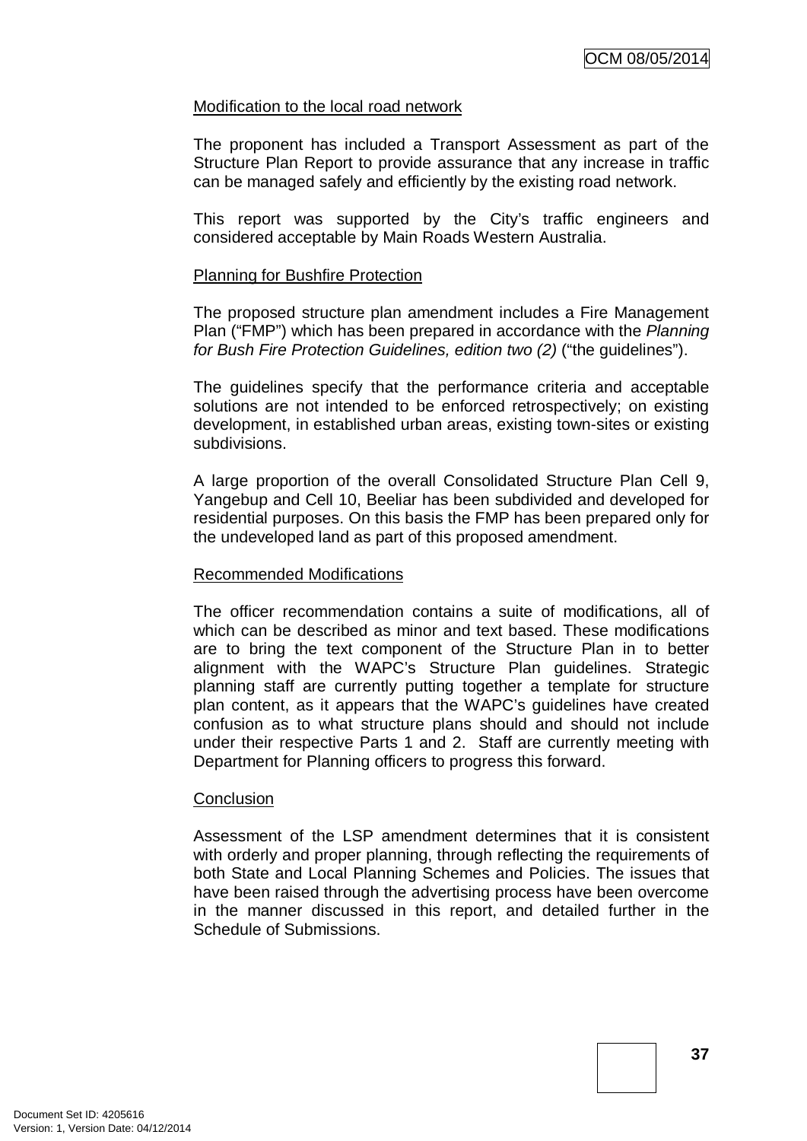### Modification to the local road network

The proponent has included a Transport Assessment as part of the Structure Plan Report to provide assurance that any increase in traffic can be managed safely and efficiently by the existing road network.

This report was supported by the City's traffic engineers and considered acceptable by Main Roads Western Australia.

#### Planning for Bushfire Protection

The proposed structure plan amendment includes a Fire Management Plan ("FMP") which has been prepared in accordance with the *Planning for Bush Fire Protection Guidelines, edition two (2)* ("the guidelines").

The guidelines specify that the performance criteria and acceptable solutions are not intended to be enforced retrospectively; on existing development, in established urban areas, existing town-sites or existing subdivisions.

A large proportion of the overall Consolidated Structure Plan Cell 9, Yangebup and Cell 10, Beeliar has been subdivided and developed for residential purposes. On this basis the FMP has been prepared only for the undeveloped land as part of this proposed amendment.

#### Recommended Modifications

The officer recommendation contains a suite of modifications, all of which can be described as minor and text based. These modifications are to bring the text component of the Structure Plan in to better alignment with the WAPC's Structure Plan guidelines. Strategic planning staff are currently putting together a template for structure plan content, as it appears that the WAPC's guidelines have created confusion as to what structure plans should and should not include under their respective Parts 1 and 2. Staff are currently meeting with Department for Planning officers to progress this forward.

#### **Conclusion**

Assessment of the LSP amendment determines that it is consistent with orderly and proper planning, through reflecting the requirements of both State and Local Planning Schemes and Policies. The issues that have been raised through the advertising process have been overcome in the manner discussed in this report, and detailed further in the Schedule of Submissions.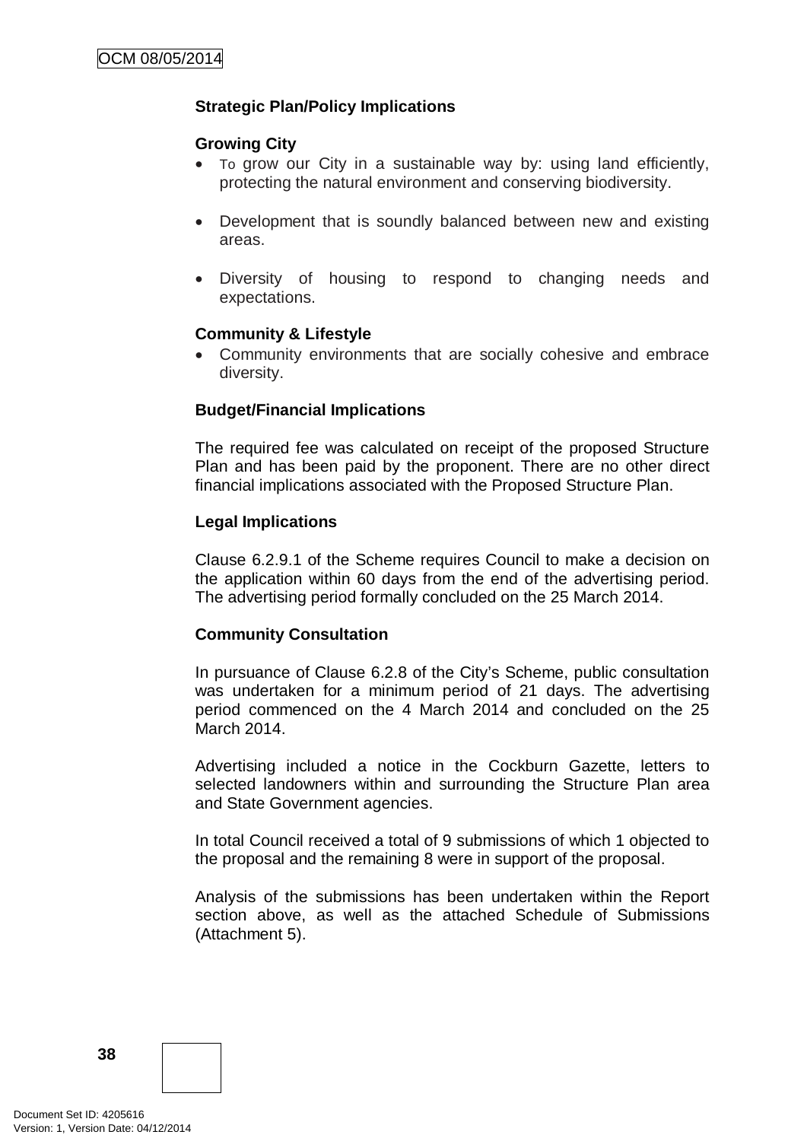# **Strategic Plan/Policy Implications**

#### **Growing City**

- To grow our City in a sustainable way by: using land efficiently, protecting the natural environment and conserving biodiversity.
- Development that is soundly balanced between new and existing areas.
- Diversity of housing to respond to changing needs and expectations.

#### **Community & Lifestyle**

• Community environments that are socially cohesive and embrace diversity.

# **Budget/Financial Implications**

The required fee was calculated on receipt of the proposed Structure Plan and has been paid by the proponent. There are no other direct financial implications associated with the Proposed Structure Plan.

### **Legal Implications**

Clause 6.2.9.1 of the Scheme requires Council to make a decision on the application within 60 days from the end of the advertising period. The advertising period formally concluded on the 25 March 2014.

# **Community Consultation**

In pursuance of Clause 6.2.8 of the City's Scheme, public consultation was undertaken for a minimum period of 21 days. The advertising period commenced on the 4 March 2014 and concluded on the 25 March 2014.

Advertising included a notice in the Cockburn Gazette, letters to selected landowners within and surrounding the Structure Plan area and State Government agencies.

In total Council received a total of 9 submissions of which 1 objected to the proposal and the remaining 8 were in support of the proposal.

Analysis of the submissions has been undertaken within the Report section above, as well as the attached Schedule of Submissions (Attachment 5).

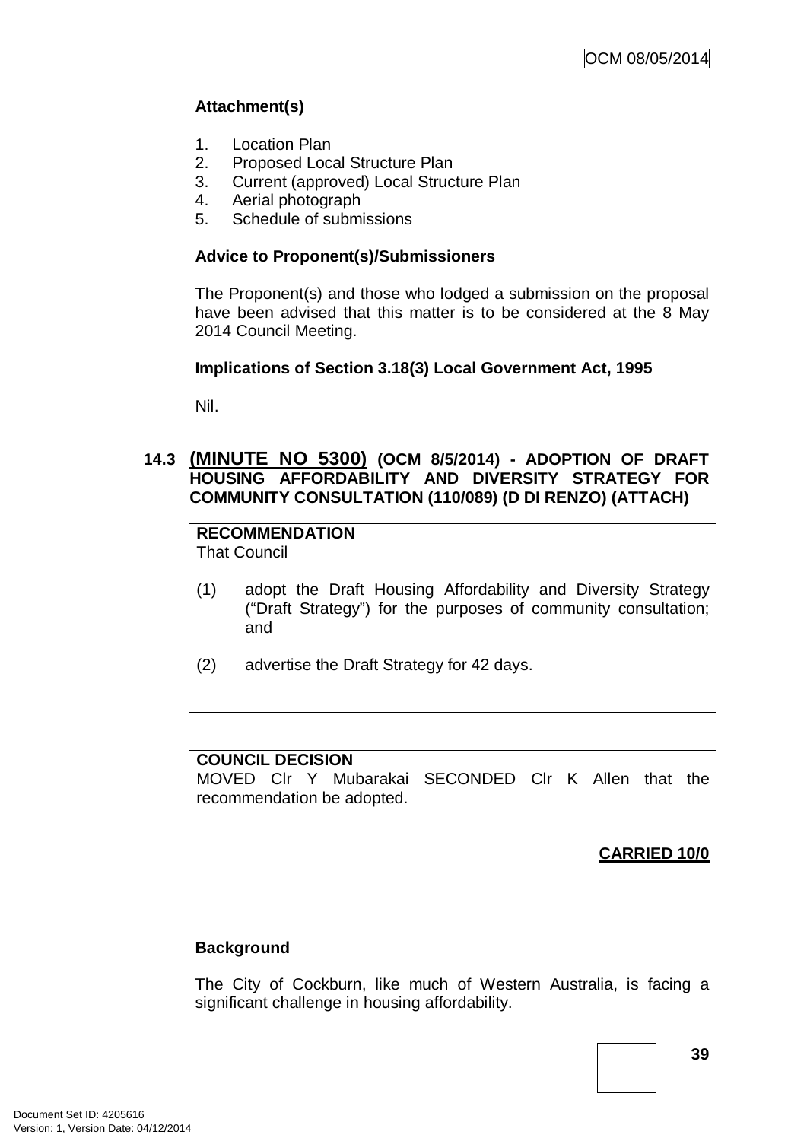# **Attachment(s)**

- 1. Location Plan
- 
- 2. Proposed Local Structure Plan<br>3. Current (approved) Local Struc 3. Current (approved) Local Structure Plan
- 4. Aerial photograph
- 5. Schedule of submissions

# **Advice to Proponent(s)/Submissioners**

The Proponent(s) and those who lodged a submission on the proposal have been advised that this matter is to be considered at the 8 May 2014 Council Meeting.

# **Implications of Section 3.18(3) Local Government Act, 1995**

Nil.

# **14.3 (MINUTE NO 5300) (OCM 8/5/2014) - ADOPTION OF DRAFT HOUSING AFFORDABILITY AND DIVERSITY STRATEGY FOR COMMUNITY CONSULTATION (110/089) (D DI RENZO) (ATTACH)**

# **RECOMMENDATION**

That Council

- (1) adopt the Draft Housing Affordability and Diversity Strategy ("Draft Strategy") for the purposes of community consultation; and
- (2) advertise the Draft Strategy for 42 days.

# **COUNCIL DECISION**

MOVED Clr Y Mubarakai SECONDED Clr K Allen that the recommendation be adopted.

**CARRIED 10/0**

# **Background**

The City of Cockburn, like much of Western Australia, is facing a significant challenge in housing affordability.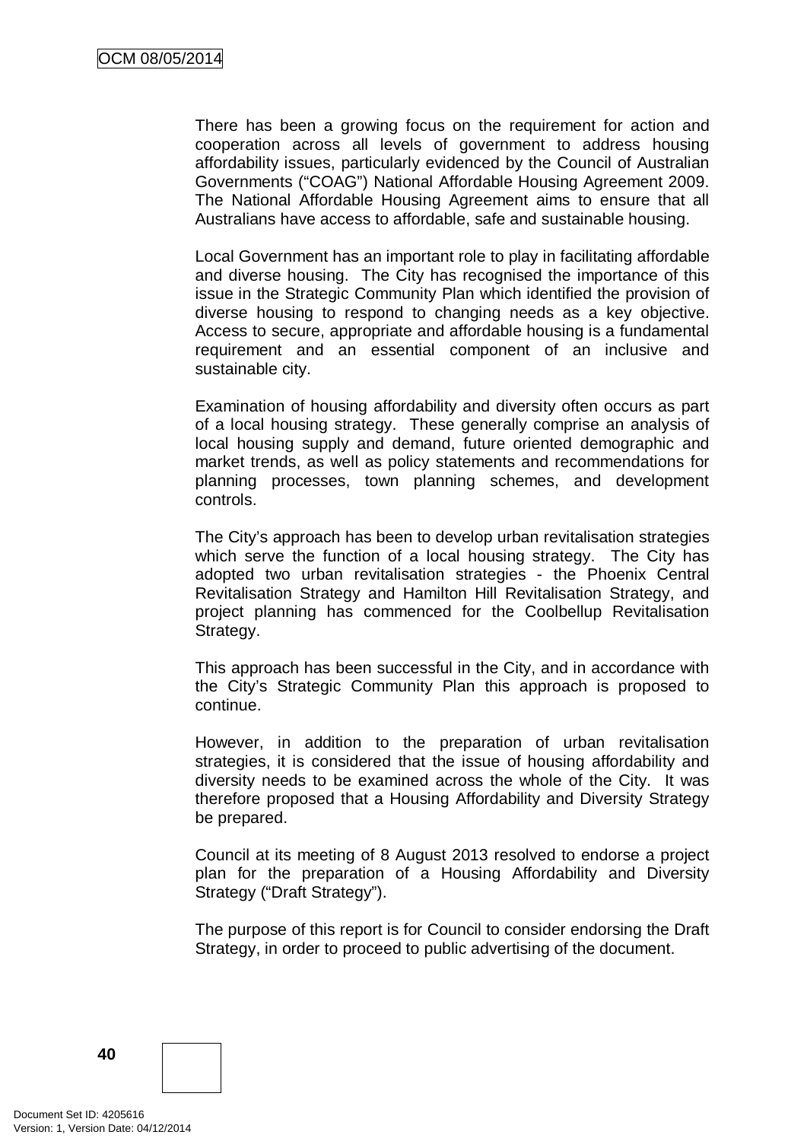There has been a growing focus on the requirement for action and cooperation across all levels of government to address housing affordability issues, particularly evidenced by the Council of Australian Governments ("COAG") National Affordable Housing Agreement 2009. The National Affordable Housing Agreement aims to ensure that all Australians have access to affordable, safe and sustainable housing.

Local Government has an important role to play in facilitating affordable and diverse housing. The City has recognised the importance of this issue in the Strategic Community Plan which identified the provision of diverse housing to respond to changing needs as a key objective. Access to secure, appropriate and affordable housing is a fundamental requirement and an essential component of an inclusive and sustainable city.

Examination of housing affordability and diversity often occurs as part of a local housing strategy. These generally comprise an analysis of local housing supply and demand, future oriented demographic and market trends, as well as policy statements and recommendations for planning processes, town planning schemes, and development controls.

The City's approach has been to develop urban revitalisation strategies which serve the function of a local housing strategy. The City has adopted two urban revitalisation strategies - the Phoenix Central Revitalisation Strategy and Hamilton Hill Revitalisation Strategy, and project planning has commenced for the Coolbellup Revitalisation Strategy.

This approach has been successful in the City, and in accordance with the City's Strategic Community Plan this approach is proposed to continue.

However, in addition to the preparation of urban revitalisation strategies, it is considered that the issue of housing affordability and diversity needs to be examined across the whole of the City. It was therefore proposed that a Housing Affordability and Diversity Strategy be prepared.

Council at its meeting of 8 August 2013 resolved to endorse a project plan for the preparation of a Housing Affordability and Diversity Strategy ("Draft Strategy").

The purpose of this report is for Council to consider endorsing the Draft Strategy, in order to proceed to public advertising of the document.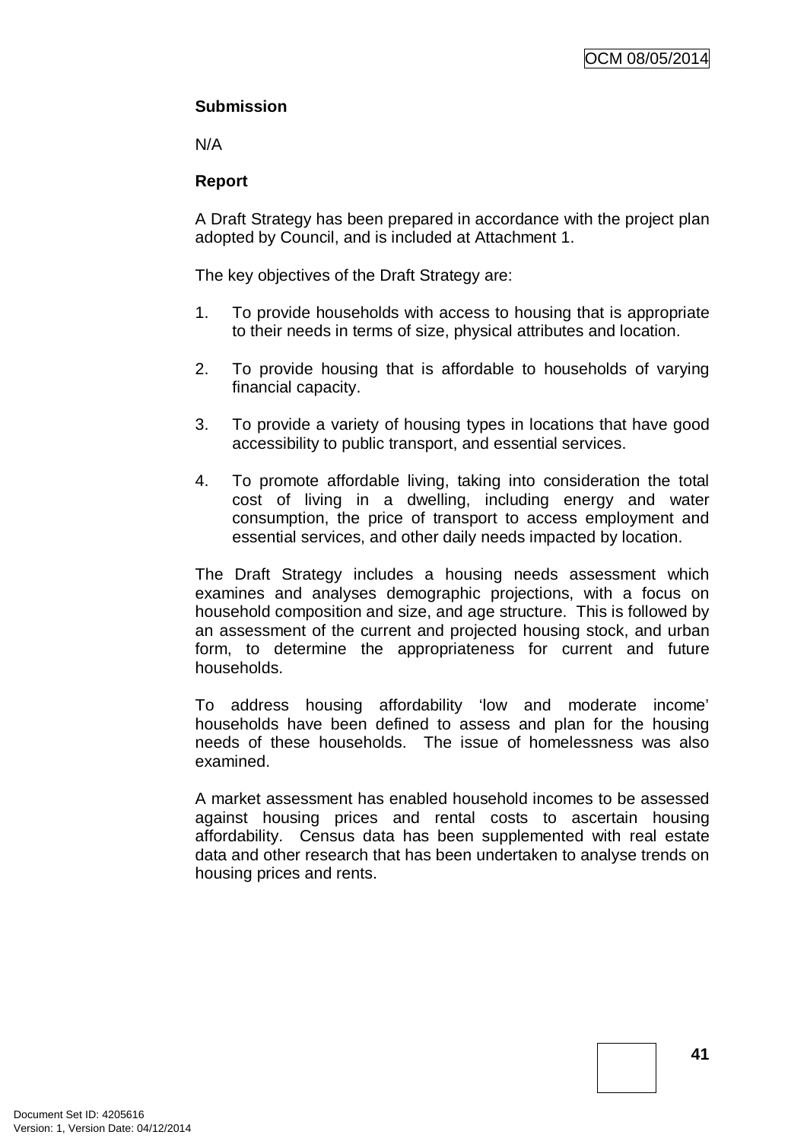# **Submission**

N/A

# **Report**

A Draft Strategy has been prepared in accordance with the project plan adopted by Council, and is included at Attachment 1.

The key objectives of the Draft Strategy are:

- 1. To provide households with access to housing that is appropriate to their needs in terms of size, physical attributes and location.
- 2. To provide housing that is affordable to households of varying financial capacity.
- 3. To provide a variety of housing types in locations that have good accessibility to public transport, and essential services.
- 4. To promote affordable living, taking into consideration the total cost of living in a dwelling, including energy and water consumption, the price of transport to access employment and essential services, and other daily needs impacted by location.

The Draft Strategy includes a housing needs assessment which examines and analyses demographic projections, with a focus on household composition and size, and age structure. This is followed by an assessment of the current and projected housing stock, and urban form, to determine the appropriateness for current and future households.

To address housing affordability 'low and moderate income' households have been defined to assess and plan for the housing needs of these households. The issue of homelessness was also examined.

A market assessment has enabled household incomes to be assessed against housing prices and rental costs to ascertain housing affordability. Census data has been supplemented with real estate data and other research that has been undertaken to analyse trends on housing prices and rents.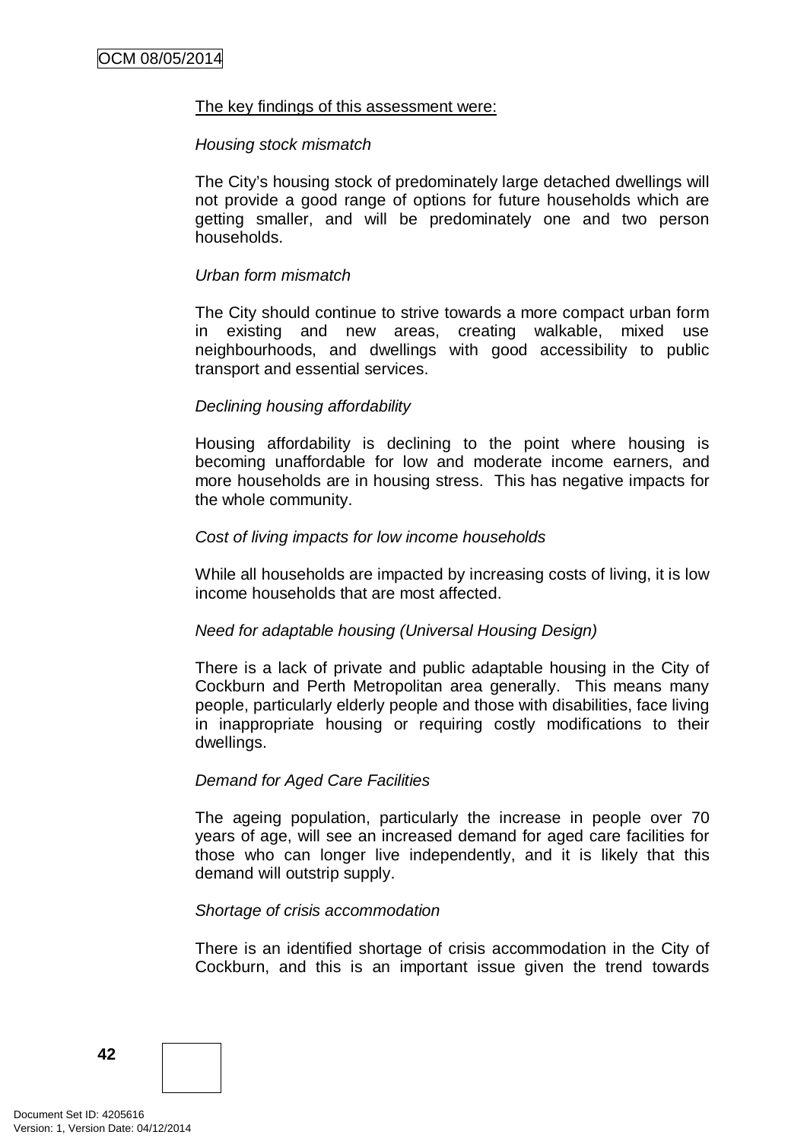#### The key findings of this assessment were:

#### *Housing stock mismatch*

The City's housing stock of predominately large detached dwellings will not provide a good range of options for future households which are getting smaller, and will be predominately one and two person households.

#### *Urban form mismatch*

The City should continue to strive towards a more compact urban form in existing and new areas, creating walkable, mixed use neighbourhoods, and dwellings with good accessibility to public transport and essential services.

#### *Declining housing affordability*

Housing affordability is declining to the point where housing is becoming unaffordable for low and moderate income earners, and more households are in housing stress. This has negative impacts for the whole community.

### *Cost of living impacts for low income households*

While all households are impacted by increasing costs of living, it is low income households that are most affected.

#### *Need for adaptable housing (Universal Housing Design)*

There is a lack of private and public adaptable housing in the City of Cockburn and Perth Metropolitan area generally. This means many people, particularly elderly people and those with disabilities, face living in inappropriate housing or requiring costly modifications to their dwellings.

#### *Demand for Aged Care Facilities*

The ageing population, particularly the increase in people over 70 years of age, will see an increased demand for aged care facilities for those who can longer live independently, and it is likely that this demand will outstrip supply.

#### *Shortage of crisis accommodation*

There is an identified shortage of crisis accommodation in the City of Cockburn, and this is an important issue given the trend towards

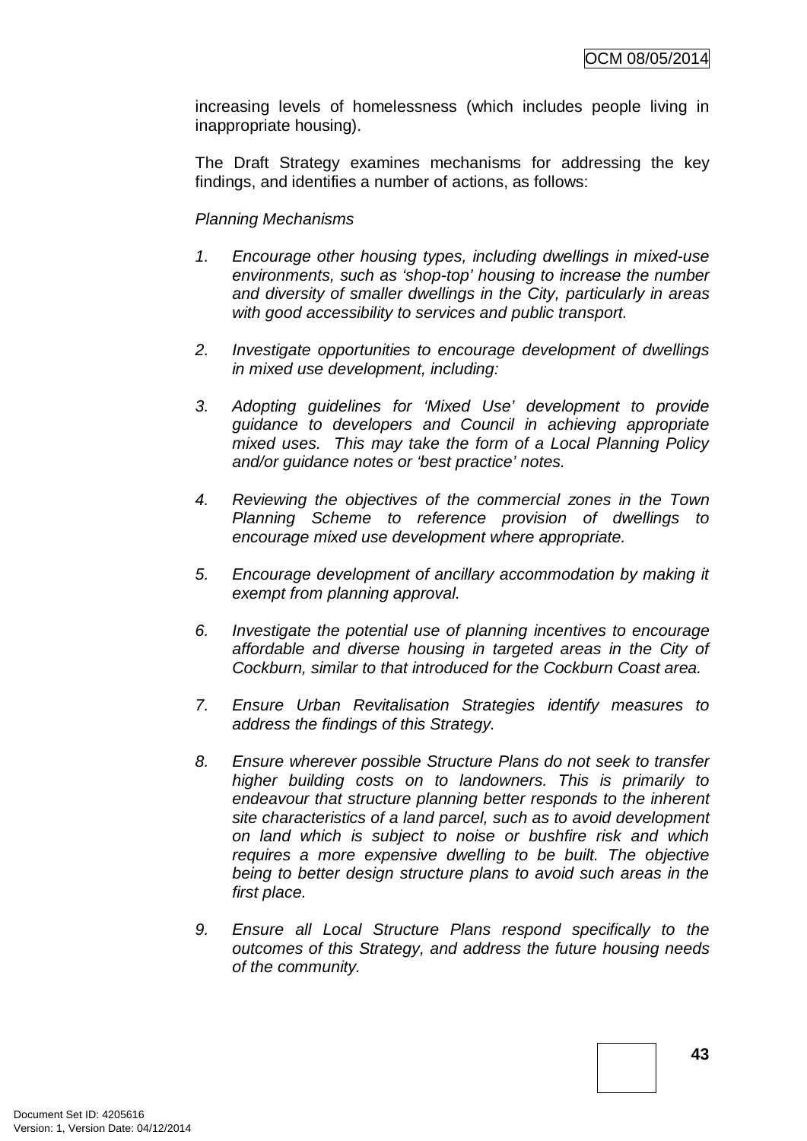increasing levels of homelessness (which includes people living in inappropriate housing).

The Draft Strategy examines mechanisms for addressing the key findings, and identifies a number of actions, as follows:

### *Planning Mechanisms*

- *1. Encourage other housing types, including dwellings in mixed-use environments, such as 'shop-top' housing to increase the number and diversity of smaller dwellings in the City, particularly in areas with good accessibility to services and public transport.*
- *2. Investigate opportunities to encourage development of dwellings in mixed use development, including:*
- *3. Adopting guidelines for 'Mixed Use' development to provide guidance to developers and Council in achieving appropriate mixed uses. This may take the form of a Local Planning Policy and/or guidance notes or 'best practice' notes.*
- *4. Reviewing the objectives of the commercial zones in the Town Planning Scheme to reference provision of dwellings to encourage mixed use development where appropriate.*
- *5. Encourage development of ancillary accommodation by making it exempt from planning approval.*
- *6. Investigate the potential use of planning incentives to encourage affordable and diverse housing in targeted areas in the City of Cockburn, similar to that introduced for the Cockburn Coast area.*
- *7. Ensure Urban Revitalisation Strategies identify measures to address the findings of this Strategy.*
- *8. Ensure wherever possible Structure Plans do not seek to transfer higher building costs on to landowners. This is primarily to endeavour that structure planning better responds to the inherent site characteristics of a land parcel, such as to avoid development on land which is subject to noise or bushfire risk and which requires a more expensive dwelling to be built. The objective being to better design structure plans to avoid such areas in the first place.*
- *9. Ensure all Local Structure Plans respond specifically to the outcomes of this Strategy, and address the future housing needs of the community.*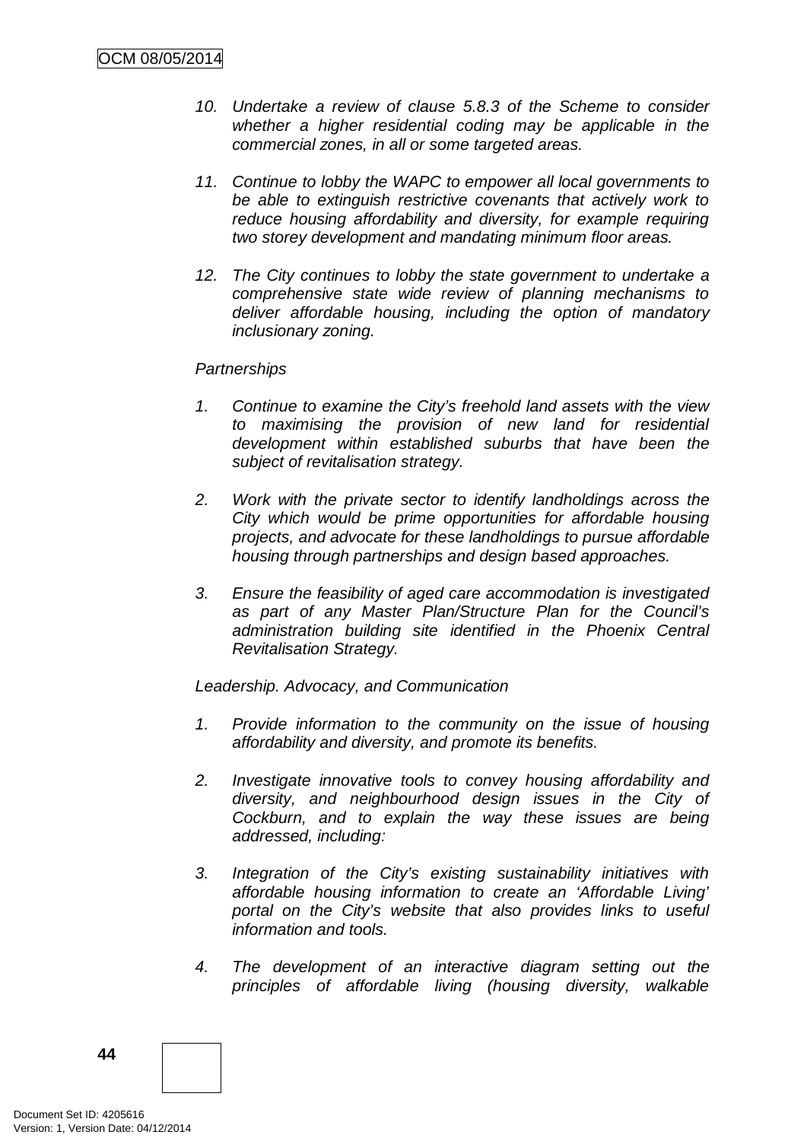- *10. Undertake a review of clause 5.8.3 of the Scheme to consider whether a higher residential coding may be applicable in the commercial zones, in all or some targeted areas.*
- *11. Continue to lobby the WAPC to empower all local governments to be able to extinguish restrictive covenants that actively work to reduce housing affordability and diversity, for example requiring two storey development and mandating minimum floor areas.*
- *12. The City continues to lobby the state government to undertake a comprehensive state wide review of planning mechanisms to deliver affordable housing, including the option of mandatory inclusionary zoning.*

### *Partnerships*

- *1. Continue to examine the City's freehold land assets with the view to maximising the provision of new land for residential development within established suburbs that have been the subject of revitalisation strategy.*
- *2. Work with the private sector to identify landholdings across the City which would be prime opportunities for affordable housing projects, and advocate for these landholdings to pursue affordable housing through partnerships and design based approaches.*
- *3. Ensure the feasibility of aged care accommodation is investigated as part of any Master Plan/Structure Plan for the Council's administration building site identified in the Phoenix Central Revitalisation Strategy.*

*Leadership. Advocacy, and Communication*

- *1. Provide information to the community on the issue of housing affordability and diversity, and promote its benefits.*
- *2. Investigate innovative tools to convey housing affordability and diversity, and neighbourhood design issues in the City of Cockburn, and to explain the way these issues are being addressed, including:*
- *3. Integration of the City's existing sustainability initiatives with affordable housing information to create an 'Affordable Living' portal on the City's website that also provides links to useful information and tools.*
- *4. The development of an interactive diagram setting out the principles of affordable living (housing diversity, walkable*

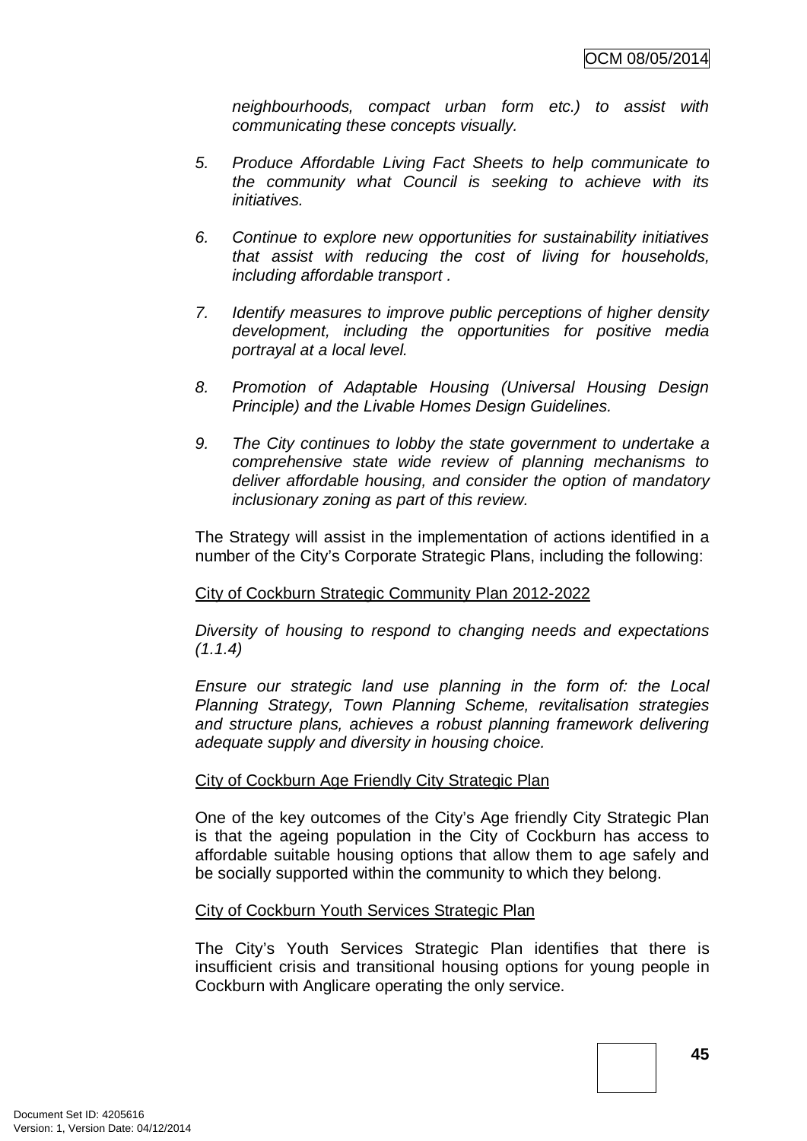*neighbourhoods, compact urban form etc.) to assist with communicating these concepts visually.*

- *5. Produce Affordable Living Fact Sheets to help communicate to the community what Council is seeking to achieve with its initiatives.*
- *6. Continue to explore new opportunities for sustainability initiatives that assist with reducing the cost of living for households, including affordable transport .*
- *7. Identify measures to improve public perceptions of higher density development, including the opportunities for positive media portrayal at a local level.*
- *8. Promotion of Adaptable Housing (Universal Housing Design Principle) and the Livable Homes Design Guidelines.*
- *9. The City continues to lobby the state government to undertake a comprehensive state wide review of planning mechanisms to deliver affordable housing, and consider the option of mandatory inclusionary zoning as part of this review.*

The Strategy will assist in the implementation of actions identified in a number of the City's Corporate Strategic Plans, including the following:

# City of Cockburn Strategic Community Plan 2012-2022

*Diversity of housing to respond to changing needs and expectations (1.1.4)*

*Ensure our strategic land use planning in the form of: the Local Planning Strategy, Town Planning Scheme, revitalisation strategies and structure plans, achieves a robust planning framework delivering adequate supply and diversity in housing choice.*

# City of Cockburn Age Friendly City Strategic Plan

One of the key outcomes of the City's Age friendly City Strategic Plan is that the ageing population in the City of Cockburn has access to affordable suitable housing options that allow them to age safely and be socially supported within the community to which they belong.

# City of Cockburn Youth Services Strategic Plan

The City's Youth Services Strategic Plan identifies that there is insufficient crisis and transitional housing options for young people in Cockburn with Anglicare operating the only service.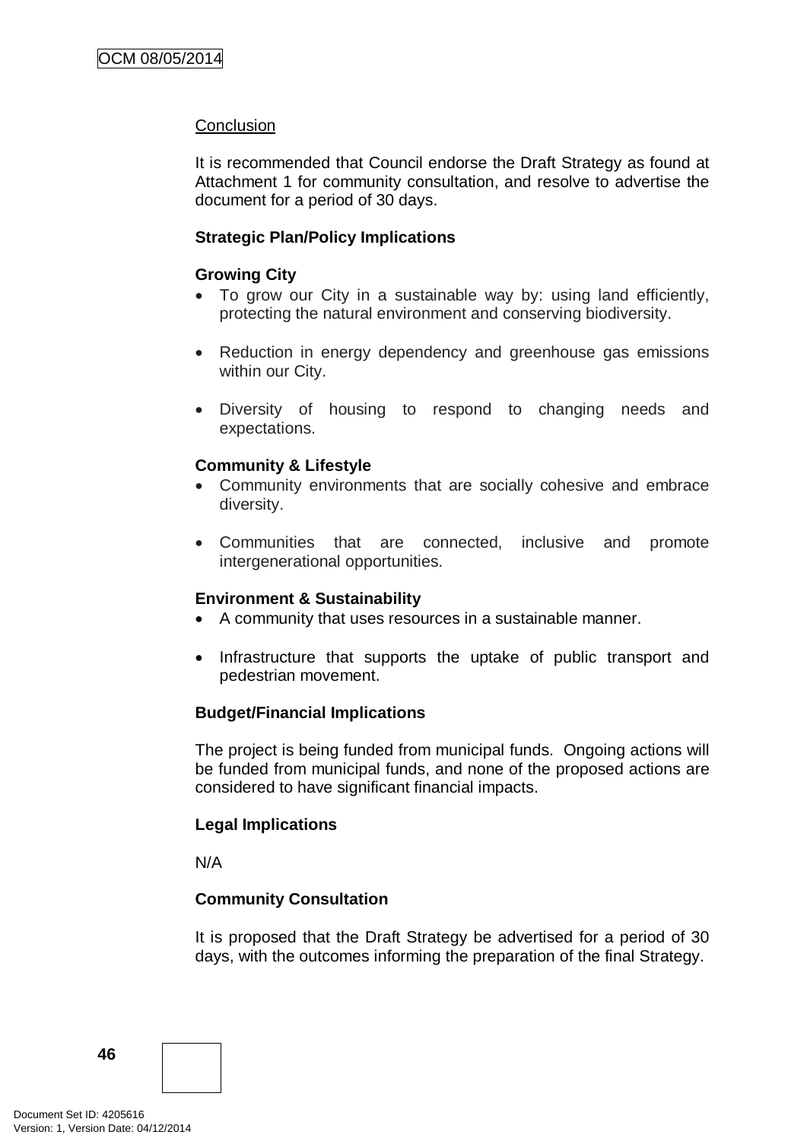### **Conclusion**

It is recommended that Council endorse the Draft Strategy as found at Attachment 1 for community consultation, and resolve to advertise the document for a period of 30 days.

### **Strategic Plan/Policy Implications**

### **Growing City**

- To grow our City in a sustainable way by: using land efficiently, protecting the natural environment and conserving biodiversity.
- Reduction in energy dependency and greenhouse gas emissions within our City.
- Diversity of housing to respond to changing needs and expectations.

### **Community & Lifestyle**

- Community environments that are socially cohesive and embrace diversity.
- Communities that are connected, inclusive and promote intergenerational opportunities.

#### **Environment & Sustainability**

- A community that uses resources in a sustainable manner.
- Infrastructure that supports the uptake of public transport and pedestrian movement.

#### **Budget/Financial Implications**

The project is being funded from municipal funds. Ongoing actions will be funded from municipal funds, and none of the proposed actions are considered to have significant financial impacts.

#### **Legal Implications**

N/A

# **Community Consultation**

It is proposed that the Draft Strategy be advertised for a period of 30 days, with the outcomes informing the preparation of the final Strategy.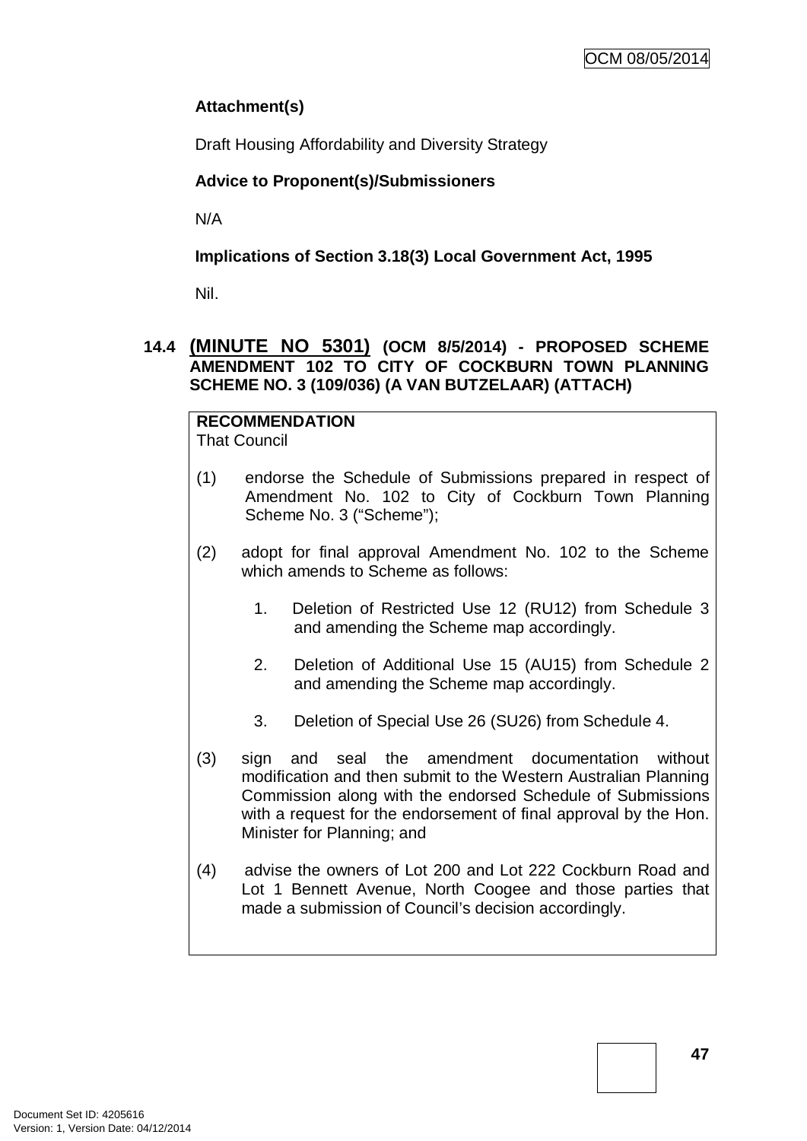# **Attachment(s)**

Draft Housing Affordability and Diversity Strategy

# **Advice to Proponent(s)/Submissioners**

N/A

# **Implications of Section 3.18(3) Local Government Act, 1995**

Nil.

# **14.4 (MINUTE NO 5301) (OCM 8/5/2014) - PROPOSED SCHEME AMENDMENT 102 TO CITY OF COCKBURN TOWN PLANNING SCHEME NO. 3 (109/036) (A VAN BUTZELAAR) (ATTACH)**

#### **RECOMMENDATION** That Council

- (1) endorse the Schedule of Submissions prepared in respect of Amendment No. 102 to City of Cockburn Town Planning Scheme No. 3 ("Scheme");
- (2) adopt for final approval Amendment No. 102 to the Scheme which amends to Scheme as follows:
	- 1. Deletion of Restricted Use 12 (RU12) from Schedule 3 and amending the Scheme map accordingly.
	- 2. Deletion of Additional Use 15 (AU15) from Schedule 2 and amending the Scheme map accordingly.
	- 3. Deletion of Special Use 26 (SU26) from Schedule 4.
- (3) sign and seal the amendment documentation without modification and then submit to the Western Australian Planning Commission along with the endorsed Schedule of Submissions with a request for the endorsement of final approval by the Hon. Minister for Planning; and
- (4) advise the owners of Lot 200 and Lot 222 Cockburn Road and Lot 1 Bennett Avenue, North Coogee and those parties that made a submission of Council's decision accordingly.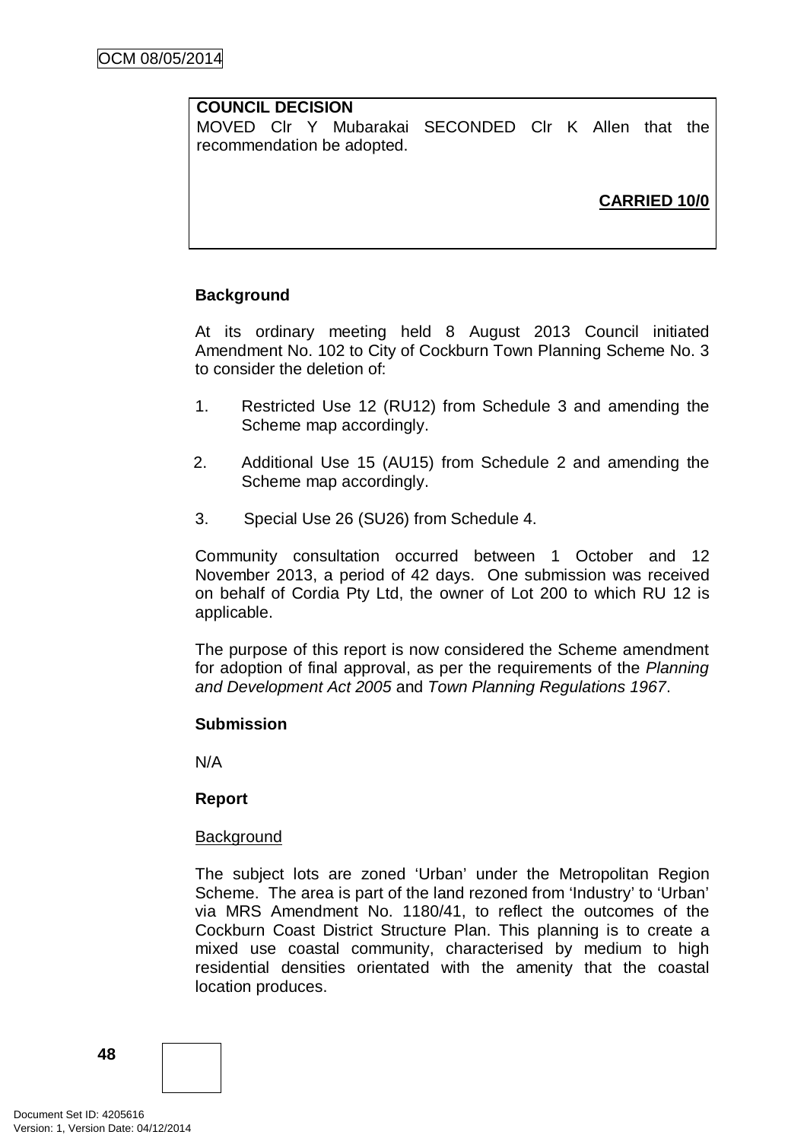# **COUNCIL DECISION**

MOVED Clr Y Mubarakai SECONDED Clr K Allen that the recommendation be adopted.

# **CARRIED 10/0**

# **Background**

At its ordinary meeting held 8 August 2013 Council initiated Amendment No. 102 to City of Cockburn Town Planning Scheme No. 3 to consider the deletion of:

- 1. Restricted Use 12 (RU12) from Schedule 3 and amending the Scheme map accordingly.
- 2. Additional Use 15 (AU15) from Schedule 2 and amending the Scheme map accordingly.
- 3. Special Use 26 (SU26) from Schedule 4.

Community consultation occurred between 1 October and 12 November 2013, a period of 42 days. One submission was received on behalf of Cordia Pty Ltd, the owner of Lot 200 to which RU 12 is applicable.

The purpose of this report is now considered the Scheme amendment for adoption of final approval, as per the requirements of the *Planning and Development Act 2005* and *Town Planning Regulations 1967*.

#### **Submission**

N/A

#### **Report**

#### **Background**

The subject lots are zoned 'Urban' under the Metropolitan Region Scheme. The area is part of the land rezoned from 'Industry' to 'Urban' via MRS Amendment No. 1180/41, to reflect the outcomes of the Cockburn Coast District Structure Plan. This planning is to create a mixed use coastal community, characterised by medium to high residential densities orientated with the amenity that the coastal location produces.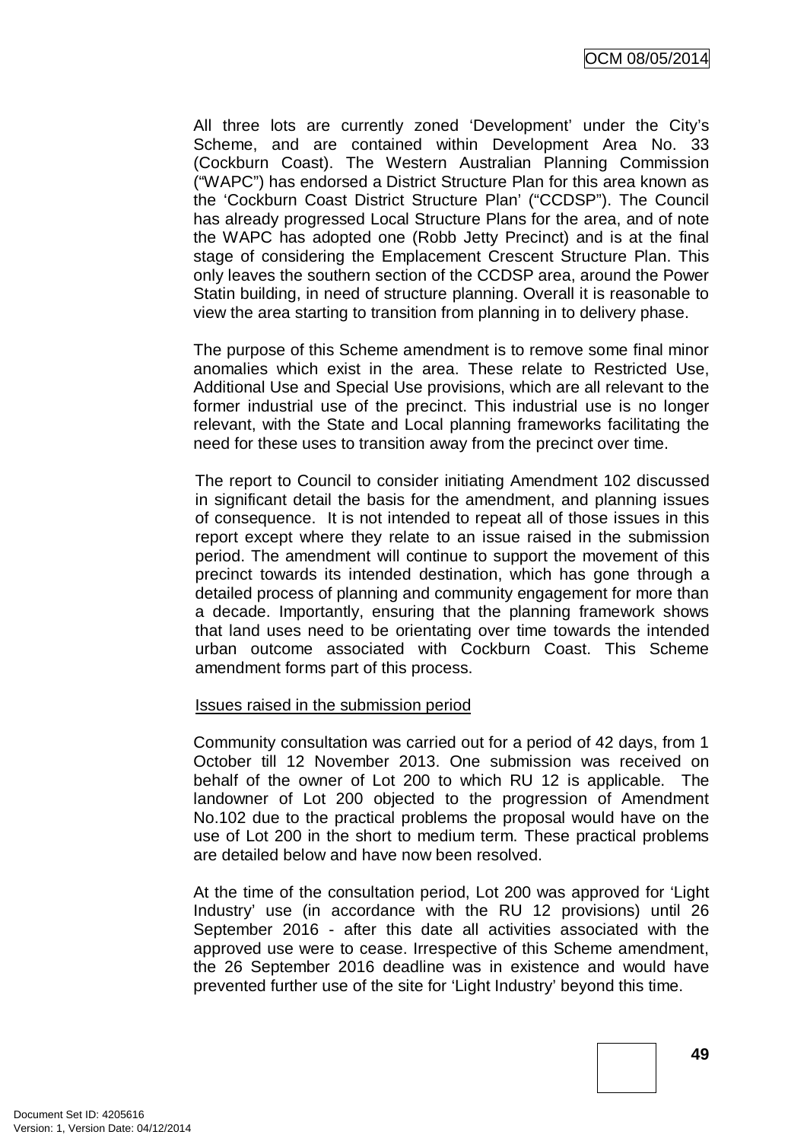All three lots are currently zoned 'Development' under the City's Scheme, and are contained within Development Area No. 33 (Cockburn Coast). The Western Australian Planning Commission ("WAPC") has endorsed a District Structure Plan for this area known as the 'Cockburn Coast District Structure Plan' ("CCDSP"). The Council has already progressed Local Structure Plans for the area, and of note the WAPC has adopted one (Robb Jetty Precinct) and is at the final stage of considering the Emplacement Crescent Structure Plan. This only leaves the southern section of the CCDSP area, around the Power Statin building, in need of structure planning. Overall it is reasonable to view the area starting to transition from planning in to delivery phase.

The purpose of this Scheme amendment is to remove some final minor anomalies which exist in the area. These relate to Restricted Use, Additional Use and Special Use provisions, which are all relevant to the former industrial use of the precinct. This industrial use is no longer relevant, with the State and Local planning frameworks facilitating the need for these uses to transition away from the precinct over time.

The report to Council to consider initiating Amendment 102 discussed in significant detail the basis for the amendment, and planning issues of consequence. It is not intended to repeat all of those issues in this report except where they relate to an issue raised in the submission period. The amendment will continue to support the movement of this precinct towards its intended destination, which has gone through a detailed process of planning and community engagement for more than a decade. Importantly, ensuring that the planning framework shows that land uses need to be orientating over time towards the intended urban outcome associated with Cockburn Coast. This Scheme amendment forms part of this process.

#### Issues raised in the submission period

Community consultation was carried out for a period of 42 days, from 1 October till 12 November 2013. One submission was received on behalf of the owner of Lot 200 to which RU 12 is applicable. The landowner of Lot 200 objected to the progression of Amendment No.102 due to the practical problems the proposal would have on the use of Lot 200 in the short to medium term. These practical problems are detailed below and have now been resolved.

At the time of the consultation period, Lot 200 was approved for 'Light Industry' use (in accordance with the RU 12 provisions) until 26 September 2016 - after this date all activities associated with the approved use were to cease. Irrespective of this Scheme amendment, the 26 September 2016 deadline was in existence and would have prevented further use of the site for 'Light Industry' beyond this time.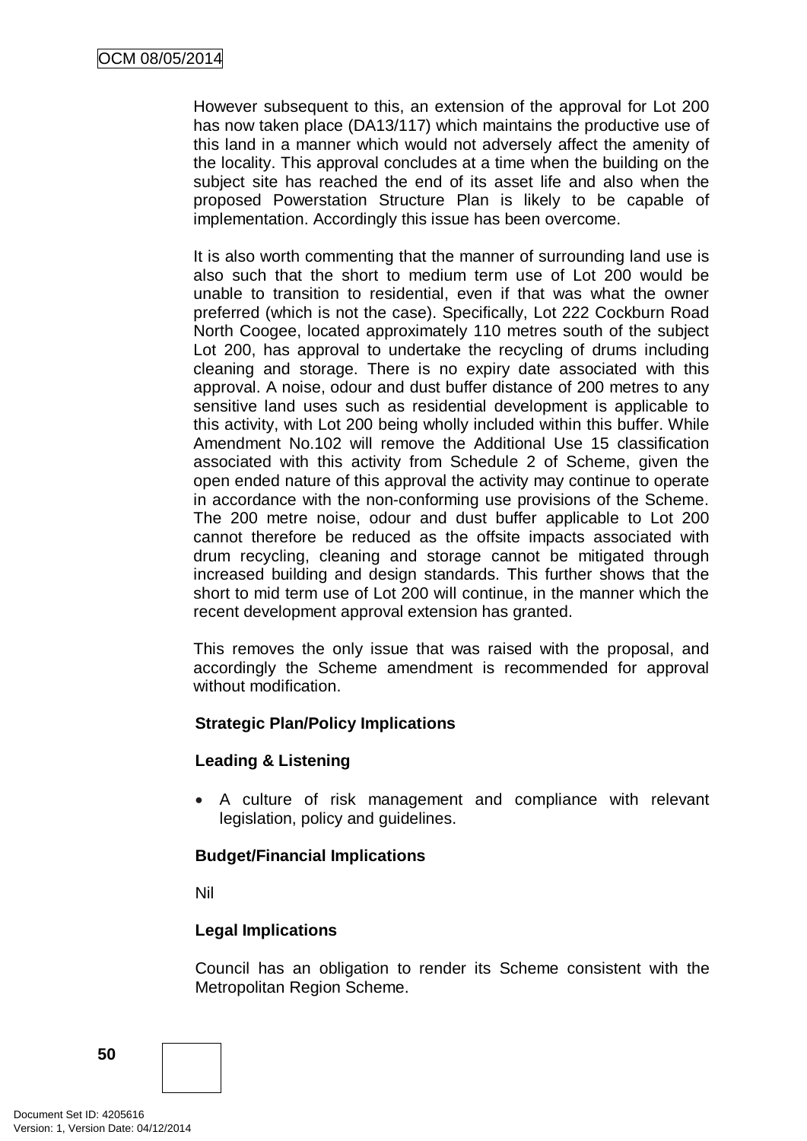However subsequent to this, an extension of the approval for Lot 200 has now taken place (DA13/117) which maintains the productive use of this land in a manner which would not adversely affect the amenity of the locality. This approval concludes at a time when the building on the subject site has reached the end of its asset life and also when the proposed Powerstation Structure Plan is likely to be capable of implementation. Accordingly this issue has been overcome.

It is also worth commenting that the manner of surrounding land use is also such that the short to medium term use of Lot 200 would be unable to transition to residential, even if that was what the owner preferred (which is not the case). Specifically, Lot 222 Cockburn Road North Coogee, located approximately 110 metres south of the subject Lot 200, has approval to undertake the recycling of drums including cleaning and storage. There is no expiry date associated with this approval. A noise, odour and dust buffer distance of 200 metres to any sensitive land uses such as residential development is applicable to this activity, with Lot 200 being wholly included within this buffer. While Amendment No.102 will remove the Additional Use 15 classification associated with this activity from Schedule 2 of Scheme, given the open ended nature of this approval the activity may continue to operate in accordance with the non-conforming use provisions of the Scheme. The 200 metre noise, odour and dust buffer applicable to Lot 200 cannot therefore be reduced as the offsite impacts associated with drum recycling, cleaning and storage cannot be mitigated through increased building and design standards. This further shows that the short to mid term use of Lot 200 will continue, in the manner which the recent development approval extension has granted.

This removes the only issue that was raised with the proposal, and accordingly the Scheme amendment is recommended for approval without modification.

# **Strategic Plan/Policy Implications**

# **Leading & Listening**

• A culture of risk management and compliance with relevant legislation, policy and guidelines.

# **Budget/Financial Implications**

Nil

# **Legal Implications**

Council has an obligation to render its Scheme consistent with the Metropolitan Region Scheme.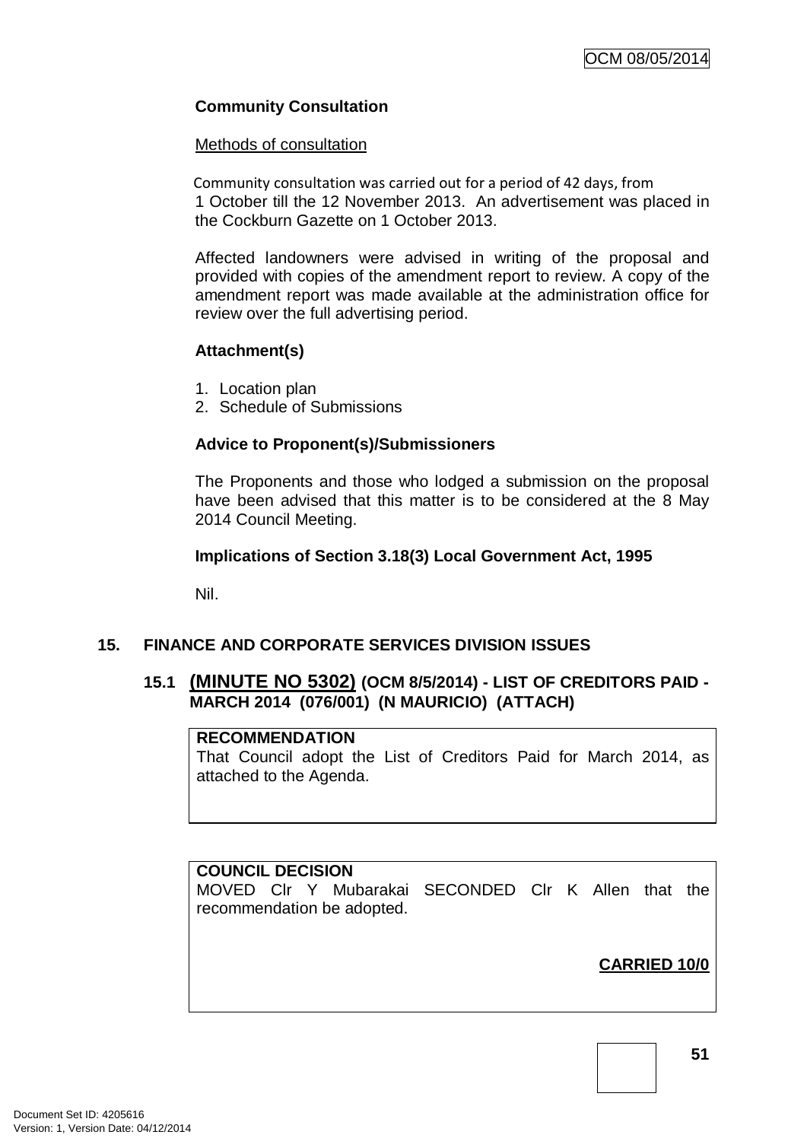# **Community Consultation**

#### Methods of consultation

Community consultation was carried out for a period of 42 days, from 1 October till the 12 November 2013. An advertisement was placed in the Cockburn Gazette on 1 October 2013.

Affected landowners were advised in writing of the proposal and provided with copies of the amendment report to review. A copy of the amendment report was made available at the administration office for review over the full advertising period.

# **Attachment(s)**

- 1. Location plan
- 2. Schedule of Submissions

# **Advice to Proponent(s)/Submissioners**

The Proponents and those who lodged a submission on the proposal have been advised that this matter is to be considered at the 8 May 2014 Council Meeting.

# **Implications of Section 3.18(3) Local Government Act, 1995**

Nil.

# **15. FINANCE AND CORPORATE SERVICES DIVISION ISSUES**

# **15.1 (MINUTE NO 5302) (OCM 8/5/2014) - LIST OF CREDITORS PAID - MARCH 2014 (076/001) (N MAURICIO) (ATTACH)**

# **RECOMMENDATION**

That Council adopt the List of Creditors Paid for March 2014, as attached to the Agenda.

# **COUNCIL DECISION**

MOVED Clr Y Mubarakai SECONDED Clr K Allen that the recommendation be adopted.

**CARRIED 10/0**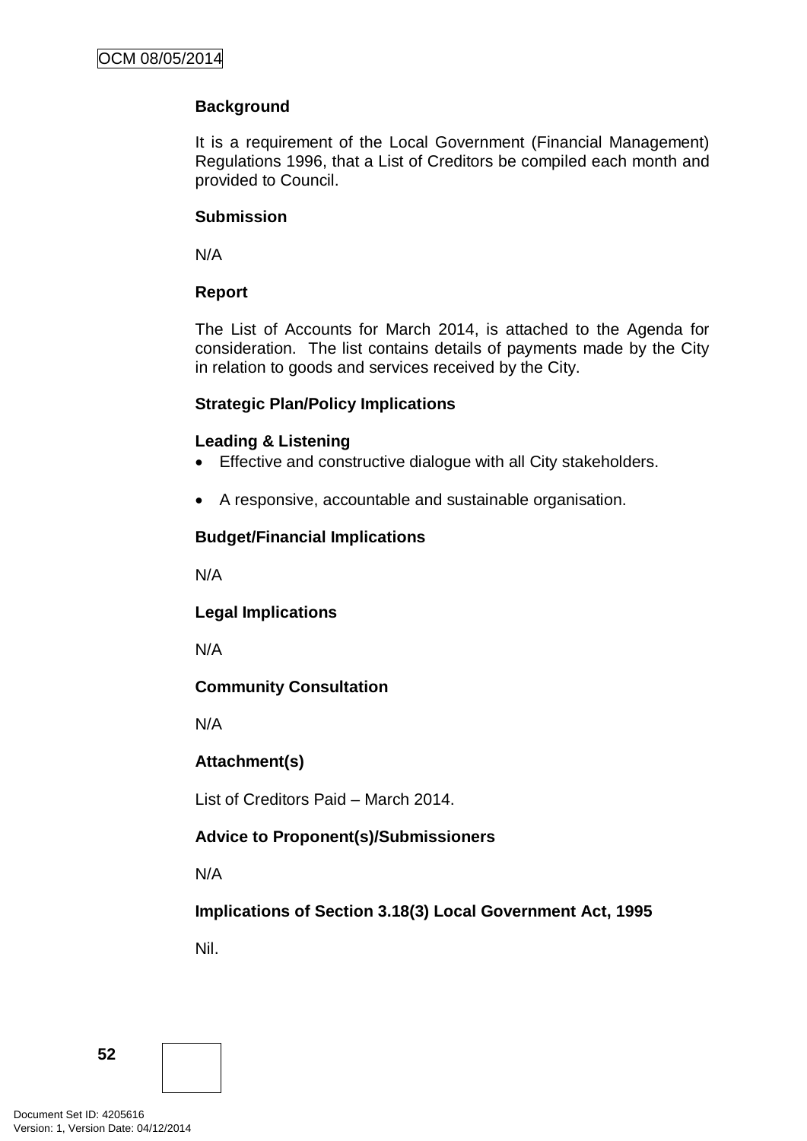# **Background**

It is a requirement of the Local Government (Financial Management) Regulations 1996, that a List of Creditors be compiled each month and provided to Council.

### **Submission**

N/A

# **Report**

The List of Accounts for March 2014, is attached to the Agenda for consideration. The list contains details of payments made by the City in relation to goods and services received by the City.

# **Strategic Plan/Policy Implications**

# **Leading & Listening**

- Effective and constructive dialogue with all City stakeholders.
- A responsive, accountable and sustainable organisation.

# **Budget/Financial Implications**

N/A

**Legal Implications**

N/A

# **Community Consultation**

N/A

# **Attachment(s)**

List of Creditors Paid – March 2014.

# **Advice to Proponent(s)/Submissioners**

N/A

**Implications of Section 3.18(3) Local Government Act, 1995**

Nil.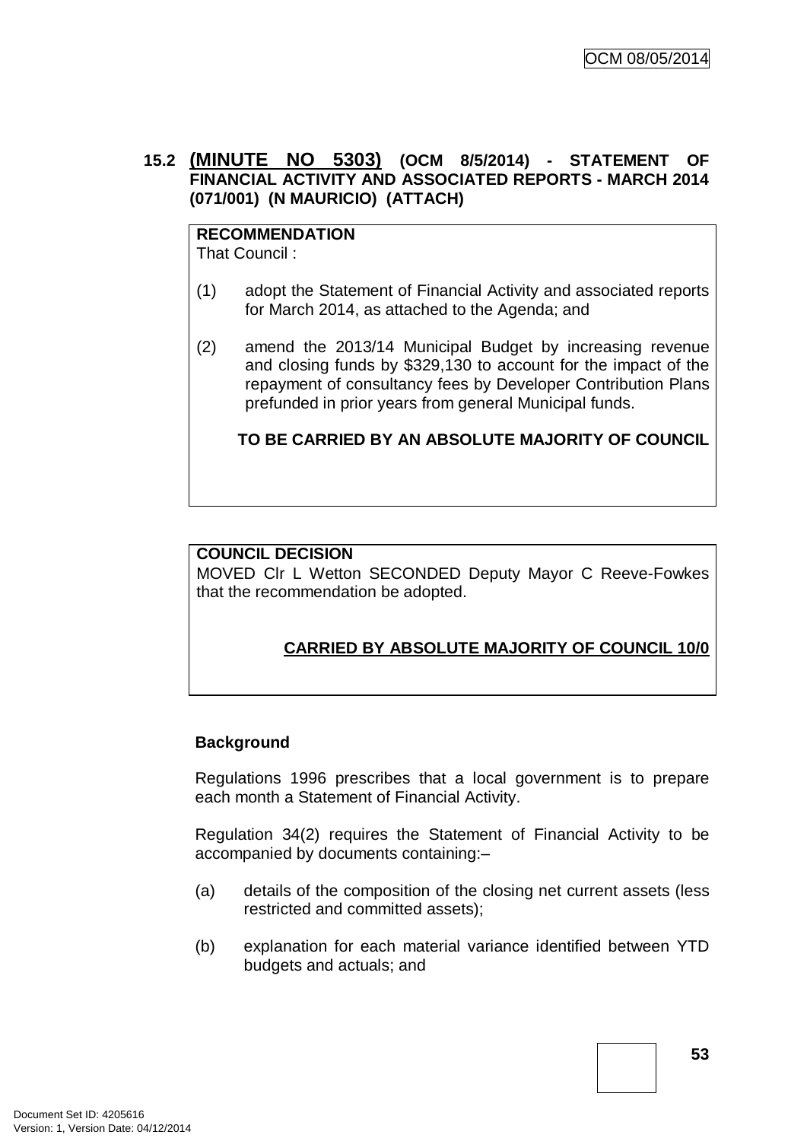# **15.2 (MINUTE NO 5303) (OCM 8/5/2014) - STATEMENT OF FINANCIAL ACTIVITY AND ASSOCIATED REPORTS - MARCH 2014 (071/001) (N MAURICIO) (ATTACH)**

# **RECOMMENDATION**

That Council :

- (1) adopt the Statement of Financial Activity and associated reports for March 2014, as attached to the Agenda; and
- (2) amend the 2013/14 Municipal Budget by increasing revenue and closing funds by \$329,130 to account for the impact of the repayment of consultancy fees by Developer Contribution Plans prefunded in prior years from general Municipal funds.

# **TO BE CARRIED BY AN ABSOLUTE MAJORITY OF COUNCIL**

# **COUNCIL DECISION**

MOVED Clr L Wetton SECONDED Deputy Mayor C Reeve-Fowkes that the recommendation be adopted.

# **CARRIED BY ABSOLUTE MAJORITY OF COUNCIL 10/0**

# **Background**

Regulations 1996 prescribes that a local government is to prepare each month a Statement of Financial Activity.

Regulation 34(2) requires the Statement of Financial Activity to be accompanied by documents containing:–

- (a) details of the composition of the closing net current assets (less restricted and committed assets);
- (b) explanation for each material variance identified between YTD budgets and actuals; and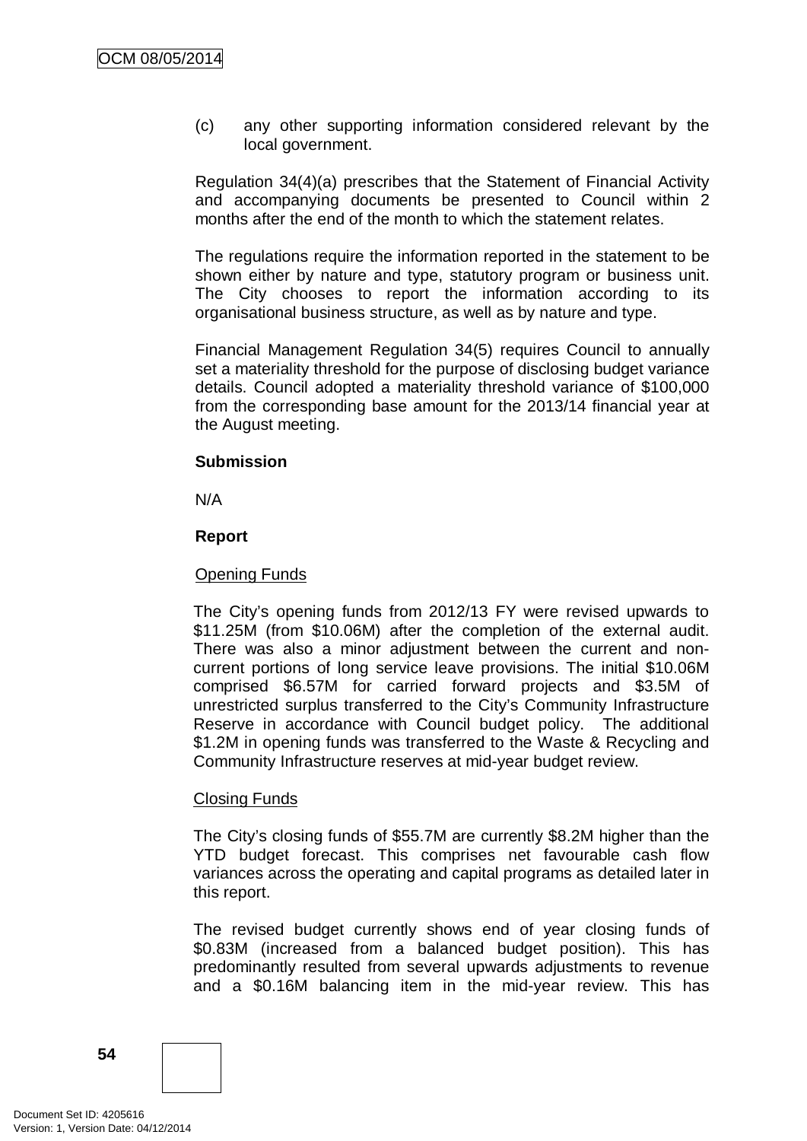(c) any other supporting information considered relevant by the local government.

Regulation 34(4)(a) prescribes that the Statement of Financial Activity and accompanying documents be presented to Council within 2 months after the end of the month to which the statement relates.

The regulations require the information reported in the statement to be shown either by nature and type, statutory program or business unit. The City chooses to report the information according to its organisational business structure, as well as by nature and type.

Financial Management Regulation 34(5) requires Council to annually set a materiality threshold for the purpose of disclosing budget variance details. Council adopted a materiality threshold variance of \$100,000 from the corresponding base amount for the 2013/14 financial year at the August meeting.

### **Submission**

N/A

### **Report**

### Opening Funds

The City's opening funds from 2012/13 FY were revised upwards to \$11.25M (from \$10.06M) after the completion of the external audit. There was also a minor adjustment between the current and noncurrent portions of long service leave provisions. The initial \$10.06M comprised \$6.57M for carried forward projects and \$3.5M of unrestricted surplus transferred to the City's Community Infrastructure Reserve in accordance with Council budget policy. The additional \$1.2M in opening funds was transferred to the Waste & Recycling and Community Infrastructure reserves at mid-year budget review.

# Closing Funds

The City's closing funds of \$55.7M are currently \$8.2M higher than the YTD budget forecast. This comprises net favourable cash flow variances across the operating and capital programs as detailed later in this report.

The revised budget currently shows end of year closing funds of \$0.83M (increased from a balanced budget position). This has predominantly resulted from several upwards adjustments to revenue and a \$0.16M balancing item in the mid-year review. This has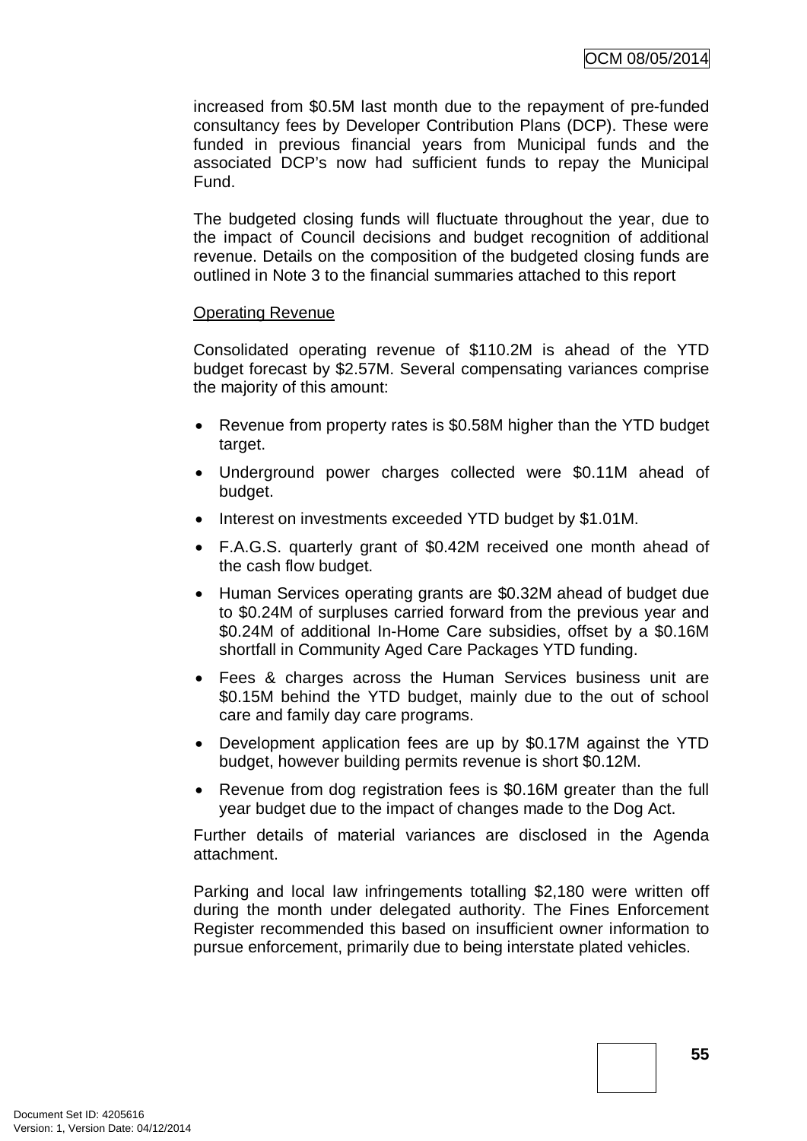increased from \$0.5M last month due to the repayment of pre-funded consultancy fees by Developer Contribution Plans (DCP). These were funded in previous financial years from Municipal funds and the associated DCP's now had sufficient funds to repay the Municipal Fund.

The budgeted closing funds will fluctuate throughout the year, due to the impact of Council decisions and budget recognition of additional revenue. Details on the composition of the budgeted closing funds are outlined in Note 3 to the financial summaries attached to this report

### Operating Revenue

Consolidated operating revenue of \$110.2M is ahead of the YTD budget forecast by \$2.57M. Several compensating variances comprise the majority of this amount:

- Revenue from property rates is \$0.58M higher than the YTD budget target.
- Underground power charges collected were \$0.11M ahead of budget.
- Interest on investments exceeded YTD budget by \$1.01M.
- F.A.G.S. quarterly grant of \$0.42M received one month ahead of the cash flow budget.
- Human Services operating grants are \$0.32M ahead of budget due to \$0.24M of surpluses carried forward from the previous year and \$0.24M of additional In-Home Care subsidies, offset by a \$0.16M shortfall in Community Aged Care Packages YTD funding.
- Fees & charges across the Human Services business unit are \$0.15M behind the YTD budget, mainly due to the out of school care and family day care programs.
- Development application fees are up by \$0.17M against the YTD budget, however building permits revenue is short \$0.12M.
- Revenue from dog registration fees is \$0.16M greater than the full year budget due to the impact of changes made to the Dog Act.

Further details of material variances are disclosed in the Agenda attachment.

Parking and local law infringements totalling \$2,180 were written off during the month under delegated authority. The Fines Enforcement Register recommended this based on insufficient owner information to pursue enforcement, primarily due to being interstate plated vehicles.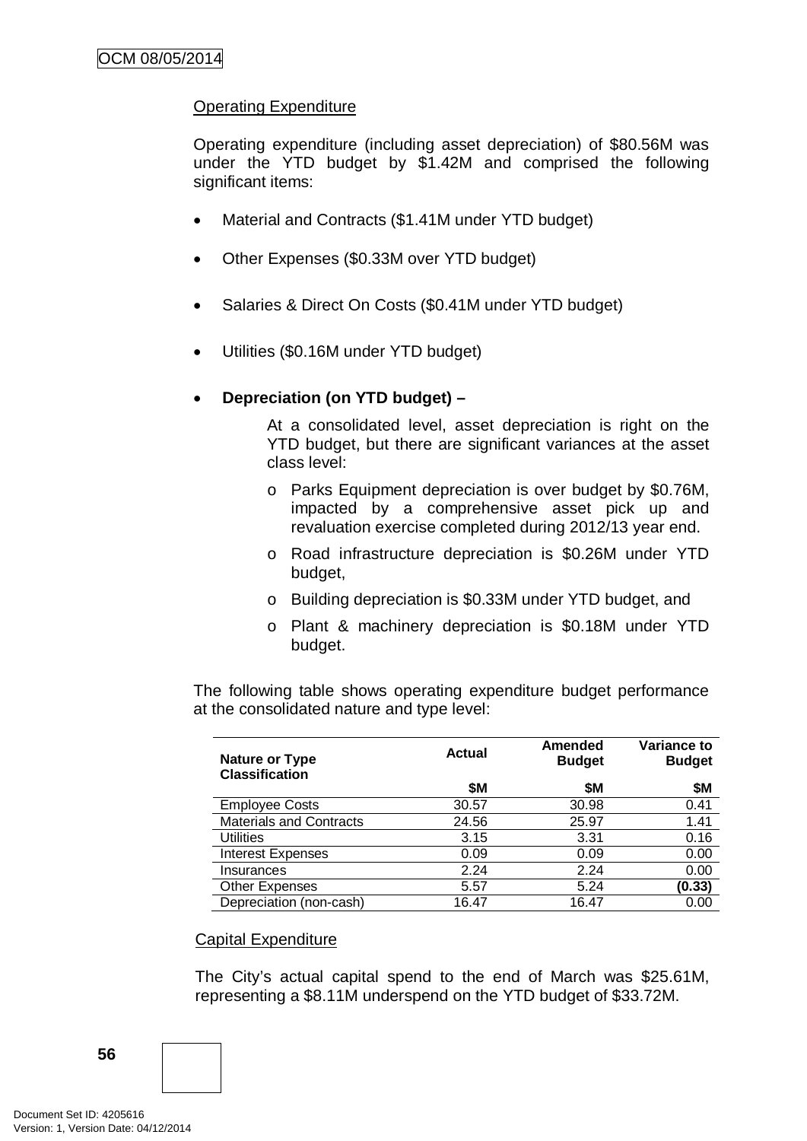# Operating Expenditure

Operating expenditure (including asset depreciation) of \$80.56M was under the YTD budget by \$1.42M and comprised the following significant items:

- Material and Contracts (\$1.41M under YTD budget)
- Other Expenses (\$0.33M over YTD budget)
- Salaries & Direct On Costs (\$0.41M under YTD budget)
- Utilities (\$0.16M under YTD budget)

# • **Depreciation (on YTD budget) –**

At a consolidated level, asset depreciation is right on the YTD budget, but there are significant variances at the asset class level:

- o Parks Equipment depreciation is over budget by \$0.76M, impacted by a comprehensive asset pick up and revaluation exercise completed during 2012/13 year end.
- o Road infrastructure depreciation is \$0.26M under YTD budget,
- o Building depreciation is \$0.33M under YTD budget, and
- o Plant & machinery depreciation is \$0.18M under YTD budget.

The following table shows operating expenditure budget performance at the consolidated nature and type level:

| Nature or Type<br><b>Classification</b> | Actual | <b>Amended</b><br><b>Budget</b> | Variance to<br><b>Budget</b> |
|-----------------------------------------|--------|---------------------------------|------------------------------|
|                                         | \$M    | \$M                             | \$Μ                          |
| <b>Employee Costs</b>                   | 30.57  | 30.98                           | 0.41                         |
| <b>Materials and Contracts</b>          | 24.56  | 25.97                           | 1.41                         |
| <b>Utilities</b>                        | 3.15   | 3.31                            | 0.16                         |
| <b>Interest Expenses</b>                | 0.09   | 0.09                            | 0.00                         |
| Insurances                              | 2.24   | 2.24                            | 0.00                         |
| <b>Other Expenses</b>                   | 5.57   | 5.24                            | (0.33)                       |
| Depreciation (non-cash)                 | 16.47  | 16.47                           | 0.00                         |

#### Capital Expenditure

The City's actual capital spend to the end of March was \$25.61M, representing a \$8.11M underspend on the YTD budget of \$33.72M.

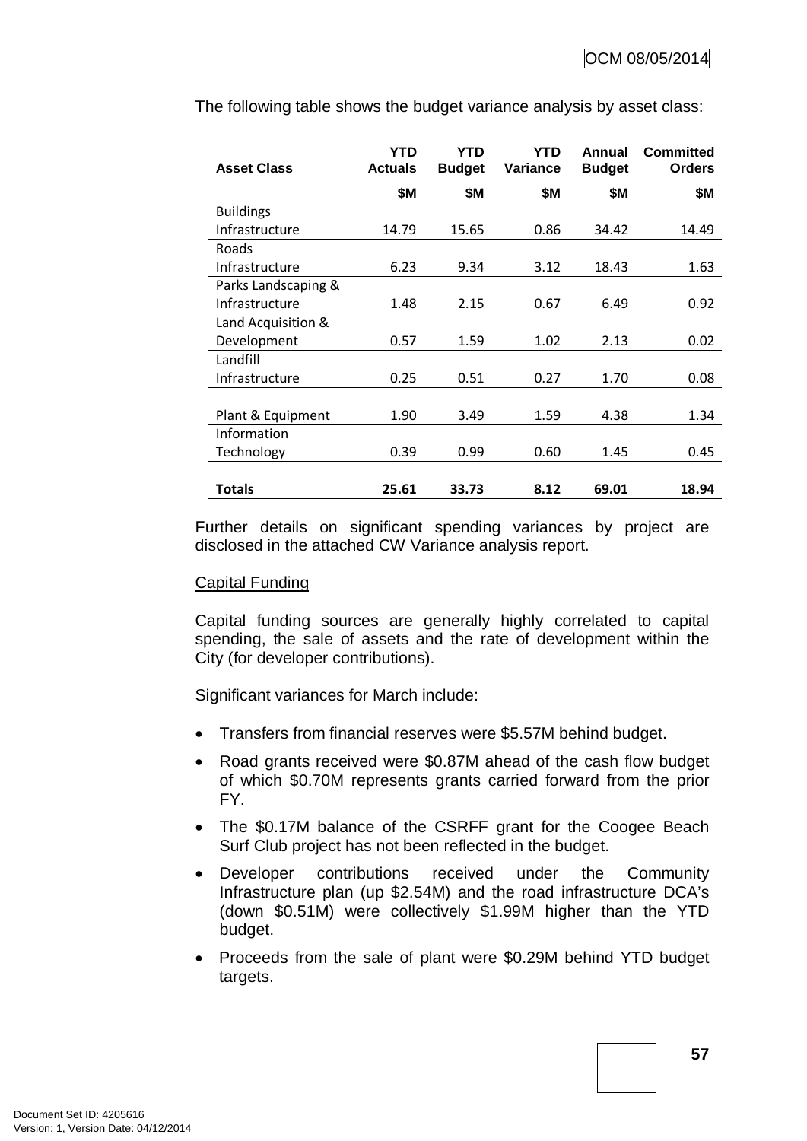| <b>Asset Class</b>  | <b>YTD</b><br><b>Actuals</b> | YTD<br><b>Budget</b> | <b>YTD</b><br>Variance | Annual<br><b>Budget</b> | <b>Committed</b><br><b>Orders</b> |
|---------------------|------------------------------|----------------------|------------------------|-------------------------|-----------------------------------|
|                     | <b>\$M</b>                   | <b>\$M</b>           | \$M                    | \$Μ                     | \$M                               |
| <b>Buildings</b>    |                              |                      |                        |                         |                                   |
| Infrastructure      | 14.79                        | 15.65                | 0.86                   | 34.42                   | 14.49                             |
| Roads               |                              |                      |                        |                         |                                   |
| Infrastructure      | 6.23                         | 9.34                 | 3.12                   | 18.43                   | 1.63                              |
| Parks Landscaping & |                              |                      |                        |                         |                                   |
| Infrastructure      | 1.48                         | 2.15                 | 0.67                   | 6.49                    | 0.92                              |
| Land Acquisition &  |                              |                      |                        |                         |                                   |
| Development         | 0.57                         | 1.59                 | 1.02                   | 2.13                    | 0.02                              |
| Landfill            |                              |                      |                        |                         |                                   |
| Infrastructure      | 0.25                         | 0.51                 | 0.27                   | 1.70                    | 0.08                              |
|                     |                              |                      |                        |                         |                                   |
| Plant & Equipment   | 1.90                         | 3.49                 | 1.59                   | 4.38                    | 1.34                              |
| Information         |                              |                      |                        |                         |                                   |
| Technology          | 0.39                         | 0.99                 | 0.60                   | 1.45                    | 0.45                              |
|                     |                              |                      |                        |                         |                                   |
| <b>Totals</b>       | 25.61                        | 33.73                | 8.12                   | 69.01                   | 18.94                             |

The following table shows the budget variance analysis by asset class:

Further details on significant spending variances by project are disclosed in the attached CW Variance analysis report.

#### Capital Funding

Capital funding sources are generally highly correlated to capital spending, the sale of assets and the rate of development within the City (for developer contributions).

Significant variances for March include:

- Transfers from financial reserves were \$5.57M behind budget.
- Road grants received were \$0.87M ahead of the cash flow budget of which \$0.70M represents grants carried forward from the prior FY.
- The \$0.17M balance of the CSRFF grant for the Coogee Beach Surf Club project has not been reflected in the budget.
- Developer contributions received under the Community Infrastructure plan (up \$2.54M) and the road infrastructure DCA's (down \$0.51M) were collectively \$1.99M higher than the YTD budget.
- Proceeds from the sale of plant were \$0.29M behind YTD budget targets.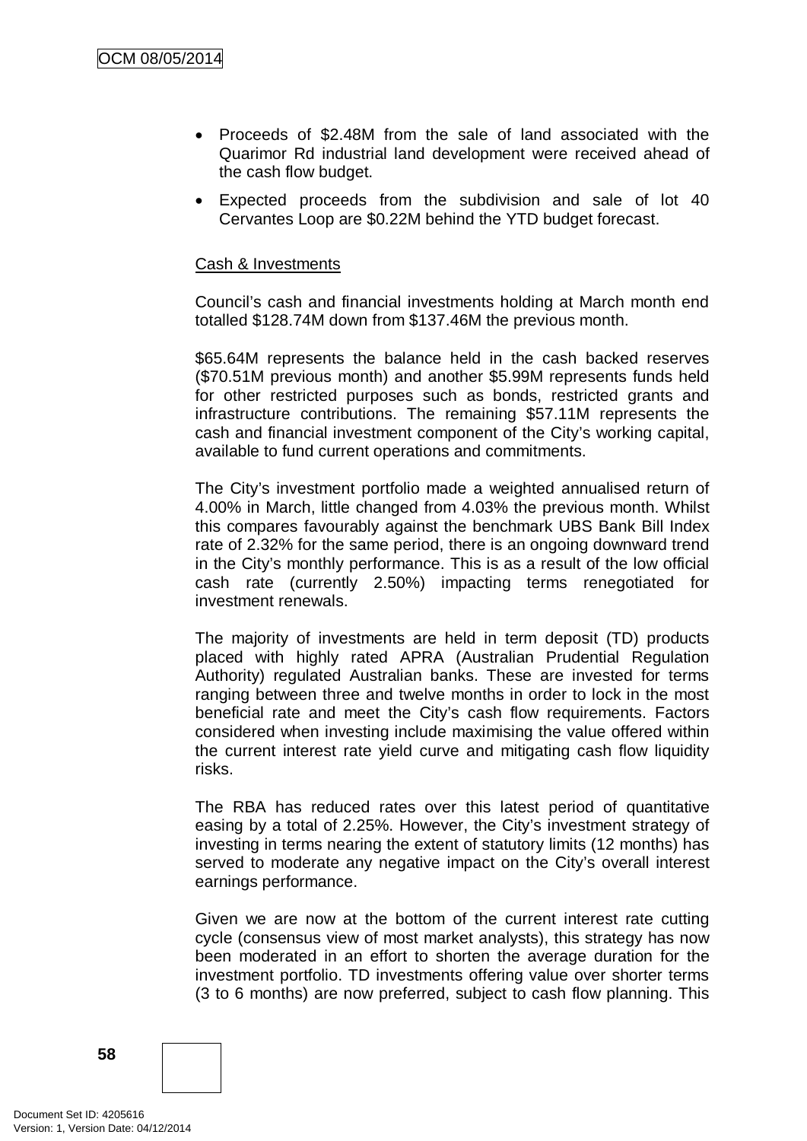- Proceeds of \$2.48M from the sale of land associated with the Quarimor Rd industrial land development were received ahead of the cash flow budget.
- Expected proceeds from the subdivision and sale of lot 40 Cervantes Loop are \$0.22M behind the YTD budget forecast.

### Cash & Investments

Council's cash and financial investments holding at March month end totalled \$128.74M down from \$137.46M the previous month.

\$65.64M represents the balance held in the cash backed reserves (\$70.51M previous month) and another \$5.99M represents funds held for other restricted purposes such as bonds, restricted grants and infrastructure contributions. The remaining \$57.11M represents the cash and financial investment component of the City's working capital, available to fund current operations and commitments.

The City's investment portfolio made a weighted annualised return of 4.00% in March, little changed from 4.03% the previous month. Whilst this compares favourably against the benchmark UBS Bank Bill Index rate of 2.32% for the same period, there is an ongoing downward trend in the City's monthly performance. This is as a result of the low official cash rate (currently 2.50%) impacting terms renegotiated for investment renewals.

The majority of investments are held in term deposit (TD) products placed with highly rated APRA (Australian Prudential Regulation Authority) regulated Australian banks. These are invested for terms ranging between three and twelve months in order to lock in the most beneficial rate and meet the City's cash flow requirements. Factors considered when investing include maximising the value offered within the current interest rate yield curve and mitigating cash flow liquidity risks.

The RBA has reduced rates over this latest period of quantitative easing by a total of 2.25%. However, the City's investment strategy of investing in terms nearing the extent of statutory limits (12 months) has served to moderate any negative impact on the City's overall interest earnings performance.

Given we are now at the bottom of the current interest rate cutting cycle (consensus view of most market analysts), this strategy has now been moderated in an effort to shorten the average duration for the investment portfolio. TD investments offering value over shorter terms (3 to 6 months) are now preferred, subject to cash flow planning. This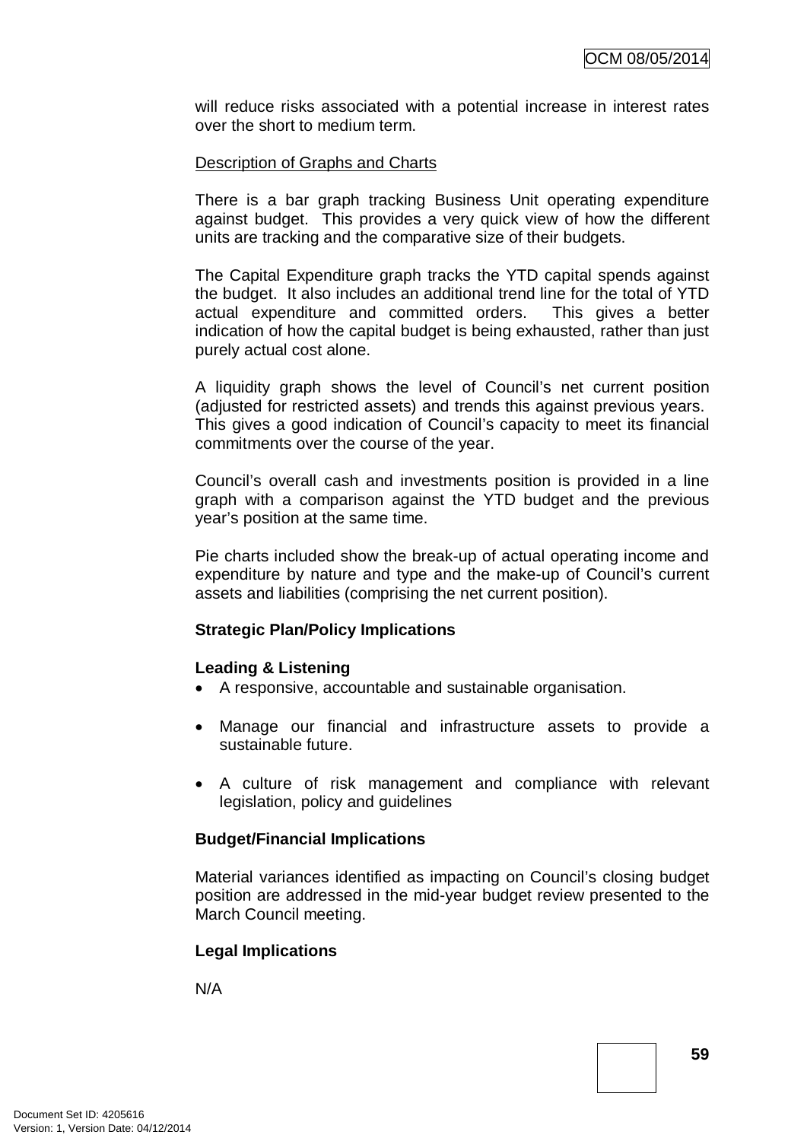will reduce risks associated with a potential increase in interest rates over the short to medium term.

### Description of Graphs and Charts

There is a bar graph tracking Business Unit operating expenditure against budget. This provides a very quick view of how the different units are tracking and the comparative size of their budgets.

The Capital Expenditure graph tracks the YTD capital spends against the budget. It also includes an additional trend line for the total of YTD actual expenditure and committed orders. This gives a better indication of how the capital budget is being exhausted, rather than just purely actual cost alone.

A liquidity graph shows the level of Council's net current position (adjusted for restricted assets) and trends this against previous years. This gives a good indication of Council's capacity to meet its financial commitments over the course of the year.

Council's overall cash and investments position is provided in a line graph with a comparison against the YTD budget and the previous year's position at the same time.

Pie charts included show the break-up of actual operating income and expenditure by nature and type and the make-up of Council's current assets and liabilities (comprising the net current position).

#### **Strategic Plan/Policy Implications**

#### **Leading & Listening**

- A responsive, accountable and sustainable organisation.
- Manage our financial and infrastructure assets to provide a sustainable future.
- A culture of risk management and compliance with relevant legislation, policy and guidelines

#### **Budget/Financial Implications**

Material variances identified as impacting on Council's closing budget position are addressed in the mid-year budget review presented to the March Council meeting.

# **Legal Implications**

N/A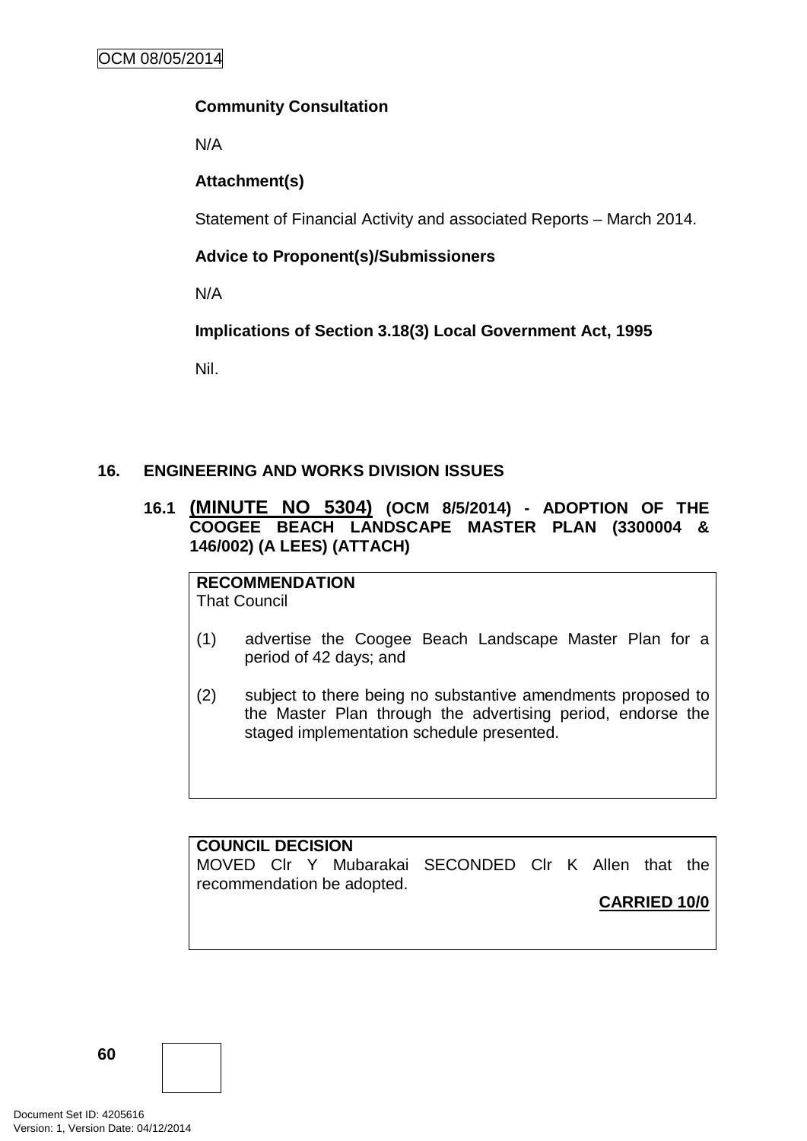# **Community Consultation**

N/A

# **Attachment(s)**

Statement of Financial Activity and associated Reports – March 2014.

# **Advice to Proponent(s)/Submissioners**

N/A

# **Implications of Section 3.18(3) Local Government Act, 1995**

Nil.

# **16. ENGINEERING AND WORKS DIVISION ISSUES**

# **16.1 (MINUTE NO 5304) (OCM 8/5/2014) - ADOPTION OF THE COOGEE BEACH LANDSCAPE MASTER PLAN (3300004 & 146/002) (A LEES) (ATTACH)**

# **RECOMMENDATION**

That Council

- (1) advertise the Coogee Beach Landscape Master Plan for a period of 42 days; and
- (2) subject to there being no substantive amendments proposed to the Master Plan through the advertising period, endorse the staged implementation schedule presented.

### **COUNCIL DECISION**

MOVED Clr Y Mubarakai SECONDED Clr K Allen that the recommendation be adopted.

**CARRIED 10/0**

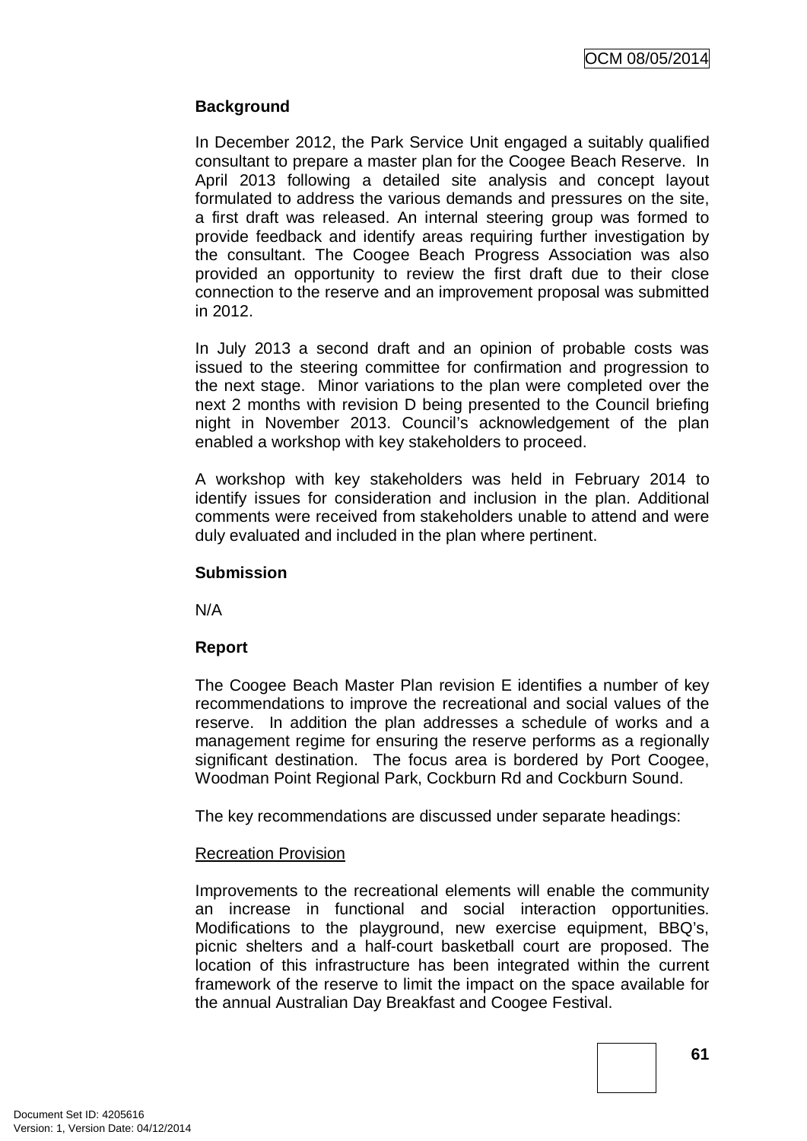# **Background**

In December 2012, the Park Service Unit engaged a suitably qualified consultant to prepare a master plan for the Coogee Beach Reserve. In April 2013 following a detailed site analysis and concept layout formulated to address the various demands and pressures on the site, a first draft was released. An internal steering group was formed to provide feedback and identify areas requiring further investigation by the consultant. The Coogee Beach Progress Association was also provided an opportunity to review the first draft due to their close connection to the reserve and an improvement proposal was submitted in 2012.

In July 2013 a second draft and an opinion of probable costs was issued to the steering committee for confirmation and progression to the next stage. Minor variations to the plan were completed over the next 2 months with revision D being presented to the Council briefing night in November 2013. Council's acknowledgement of the plan enabled a workshop with key stakeholders to proceed.

A workshop with key stakeholders was held in February 2014 to identify issues for consideration and inclusion in the plan. Additional comments were received from stakeholders unable to attend and were duly evaluated and included in the plan where pertinent.

### **Submission**

N/A

# **Report**

The Coogee Beach Master Plan revision E identifies a number of key recommendations to improve the recreational and social values of the reserve. In addition the plan addresses a schedule of works and a management regime for ensuring the reserve performs as a regionally significant destination. The focus area is bordered by Port Coogee, Woodman Point Regional Park, Cockburn Rd and Cockburn Sound.

The key recommendations are discussed under separate headings:

# Recreation Provision

Improvements to the recreational elements will enable the community an increase in functional and social interaction opportunities. Modifications to the playground, new exercise equipment, BBQ's, picnic shelters and a half-court basketball court are proposed. The location of this infrastructure has been integrated within the current framework of the reserve to limit the impact on the space available for the annual Australian Day Breakfast and Coogee Festival.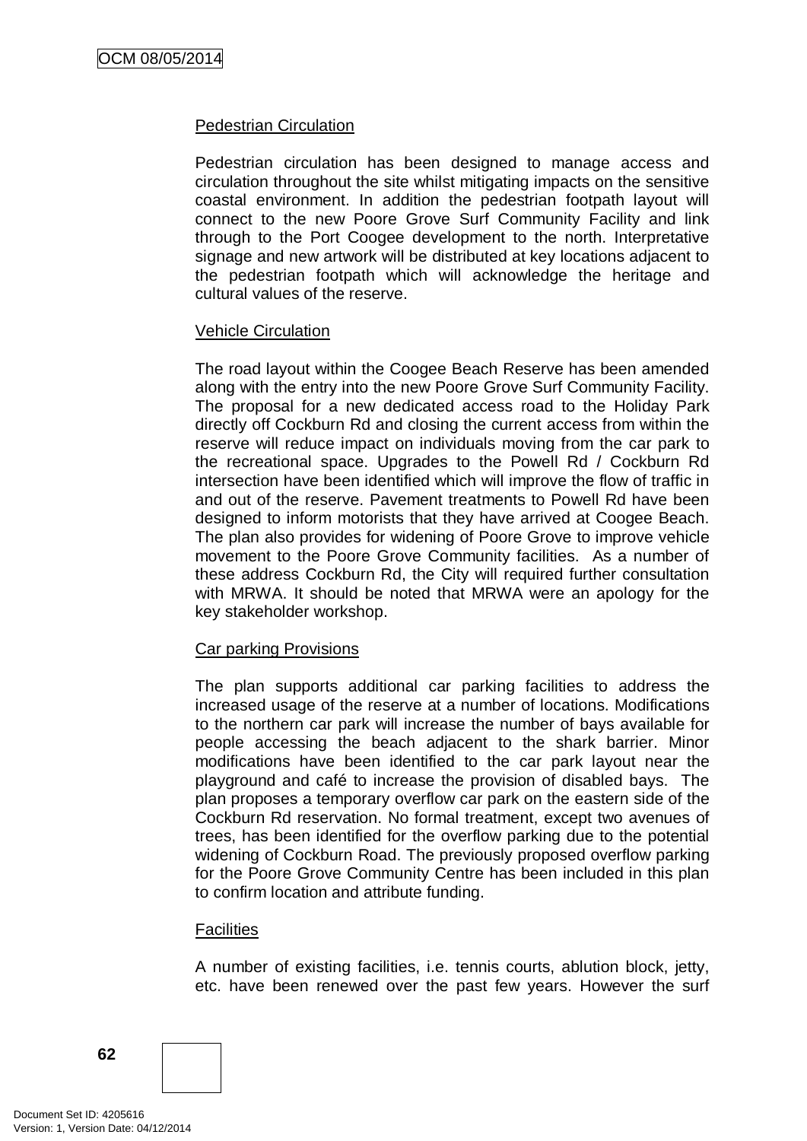### Pedestrian Circulation

Pedestrian circulation has been designed to manage access and circulation throughout the site whilst mitigating impacts on the sensitive coastal environment. In addition the pedestrian footpath layout will connect to the new Poore Grove Surf Community Facility and link through to the Port Coogee development to the north. Interpretative signage and new artwork will be distributed at key locations adjacent to the pedestrian footpath which will acknowledge the heritage and cultural values of the reserve.

### Vehicle Circulation

The road layout within the Coogee Beach Reserve has been amended along with the entry into the new Poore Grove Surf Community Facility. The proposal for a new dedicated access road to the Holiday Park directly off Cockburn Rd and closing the current access from within the reserve will reduce impact on individuals moving from the car park to the recreational space. Upgrades to the Powell Rd / Cockburn Rd intersection have been identified which will improve the flow of traffic in and out of the reserve. Pavement treatments to Powell Rd have been designed to inform motorists that they have arrived at Coogee Beach. The plan also provides for widening of Poore Grove to improve vehicle movement to the Poore Grove Community facilities. As a number of these address Cockburn Rd, the City will required further consultation with MRWA. It should be noted that MRWA were an apology for the key stakeholder workshop.

# Car parking Provisions

The plan supports additional car parking facilities to address the increased usage of the reserve at a number of locations. Modifications to the northern car park will increase the number of bays available for people accessing the beach adjacent to the shark barrier. Minor modifications have been identified to the car park layout near the playground and café to increase the provision of disabled bays. The plan proposes a temporary overflow car park on the eastern side of the Cockburn Rd reservation. No formal treatment, except two avenues of trees, has been identified for the overflow parking due to the potential widening of Cockburn Road. The previously proposed overflow parking for the Poore Grove Community Centre has been included in this plan to confirm location and attribute funding.

# **Facilities**

A number of existing facilities, i.e. tennis courts, ablution block, jetty, etc. have been renewed over the past few years. However the surf

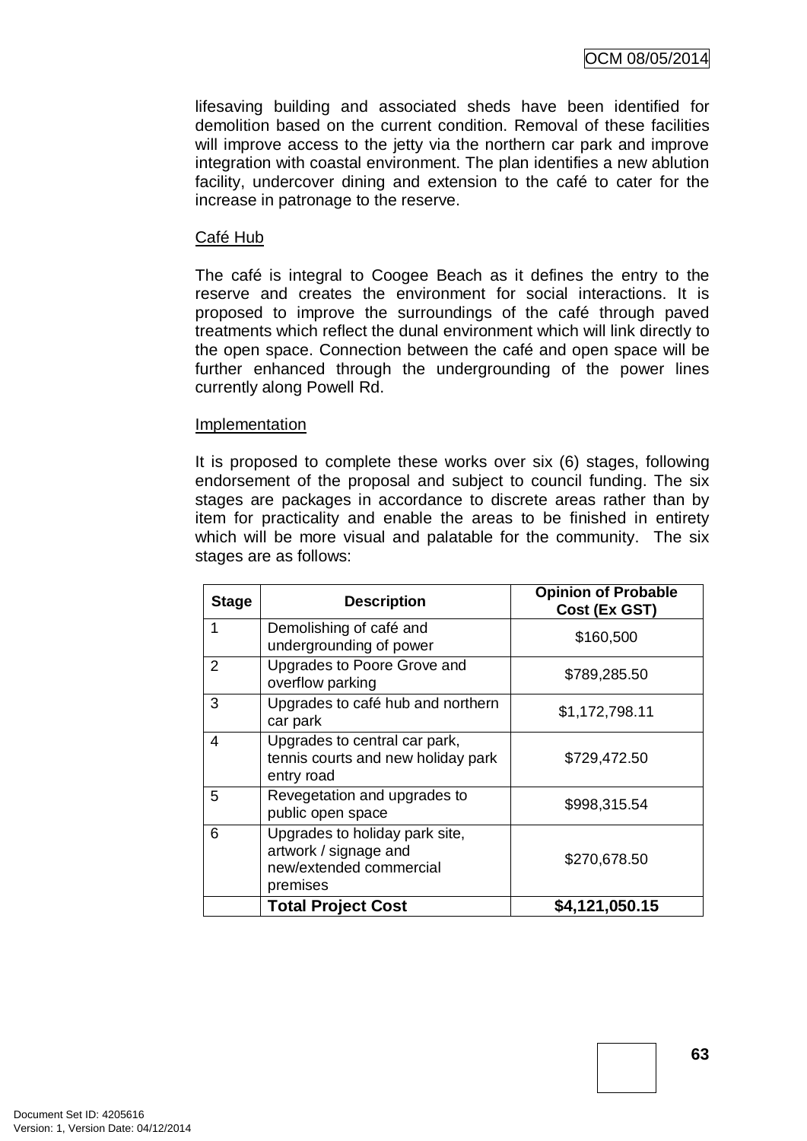lifesaving building and associated sheds have been identified for demolition based on the current condition. Removal of these facilities will improve access to the jetty via the northern car park and improve integration with coastal environment. The plan identifies a new ablution facility, undercover dining and extension to the café to cater for the increase in patronage to the reserve.

### Café Hub

The café is integral to Coogee Beach as it defines the entry to the reserve and creates the environment for social interactions. It is proposed to improve the surroundings of the café through paved treatments which reflect the dunal environment which will link directly to the open space. Connection between the café and open space will be further enhanced through the undergrounding of the power lines currently along Powell Rd.

#### Implementation

It is proposed to complete these works over six (6) stages, following endorsement of the proposal and subject to council funding. The six stages are packages in accordance to discrete areas rather than by item for practicality and enable the areas to be finished in entirety which will be more visual and palatable for the community. The six stages are as follows:

| <b>Stage</b> | <b>Description</b>                                                                             | <b>Opinion of Probable</b><br>Cost (Ex GST) |
|--------------|------------------------------------------------------------------------------------------------|---------------------------------------------|
|              | Demolishing of café and<br>undergrounding of power                                             | \$160,500                                   |
| 2            | Upgrades to Poore Grove and<br>overflow parking                                                | \$789,285.50                                |
| 3            | Upgrades to café hub and northern<br>car park                                                  | \$1,172,798.11                              |
| 4            | Upgrades to central car park,<br>tennis courts and new holiday park<br>entry road              | \$729,472.50                                |
| 5            | Revegetation and upgrades to<br>public open space                                              | \$998,315.54                                |
| 6            | Upgrades to holiday park site,<br>artwork / signage and<br>new/extended commercial<br>premises | \$270,678.50                                |
|              | <b>Total Project Cost</b>                                                                      | \$4,121,050.15                              |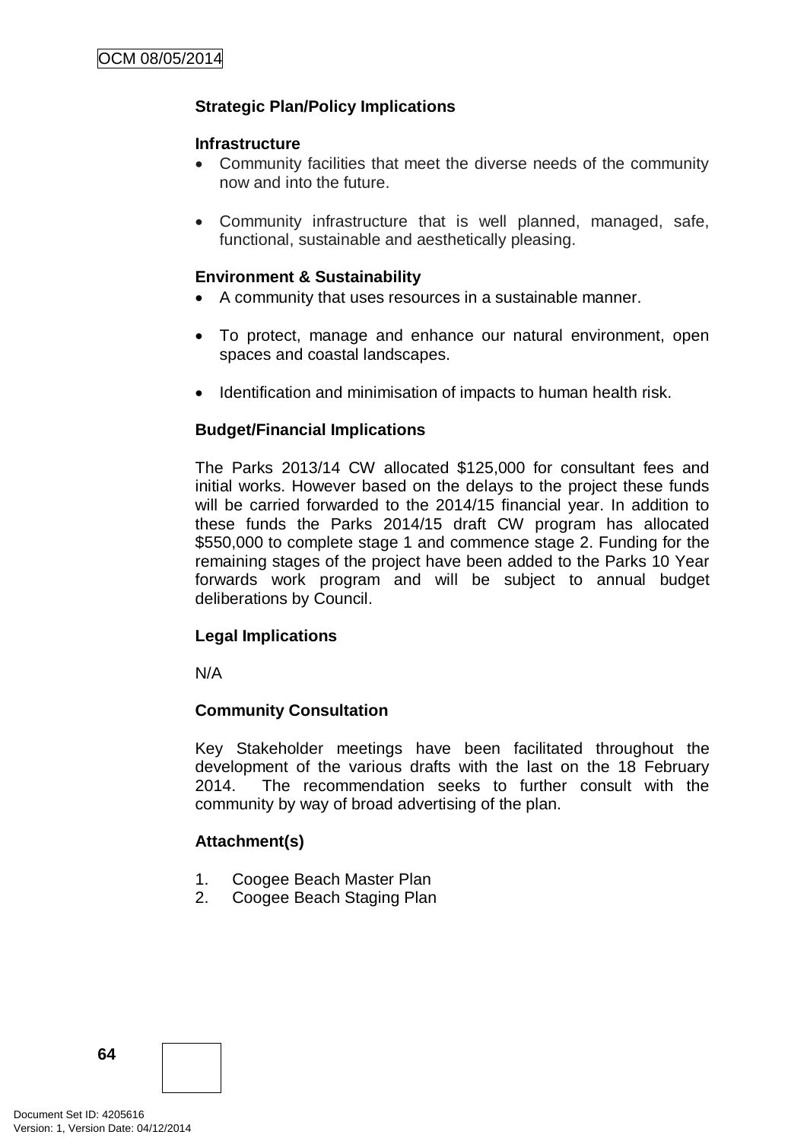# **Strategic Plan/Policy Implications**

#### **Infrastructure**

- Community facilities that meet the diverse needs of the community now and into the future.
- Community infrastructure that is well planned, managed, safe, functional, sustainable and aesthetically pleasing.

# **Environment & Sustainability**

- A community that uses resources in a sustainable manner.
- To protect, manage and enhance our natural environment, open spaces and coastal landscapes.
- Identification and minimisation of impacts to human health risk.

# **Budget/Financial Implications**

The Parks 2013/14 CW allocated \$125,000 for consultant fees and initial works. However based on the delays to the project these funds will be carried forwarded to the 2014/15 financial year. In addition to these funds the Parks 2014/15 draft CW program has allocated \$550,000 to complete stage 1 and commence stage 2. Funding for the remaining stages of the project have been added to the Parks 10 Year forwards work program and will be subject to annual budget deliberations by Council.

# **Legal Implications**

N/A

# **Community Consultation**

Key Stakeholder meetings have been facilitated throughout the development of the various drafts with the last on the 18 February 2014. The recommendation seeks to further consult with the community by way of broad advertising of the plan.

# **Attachment(s)**

- 1. Coogee Beach Master Plan
- 2. Coogee Beach Staging Plan

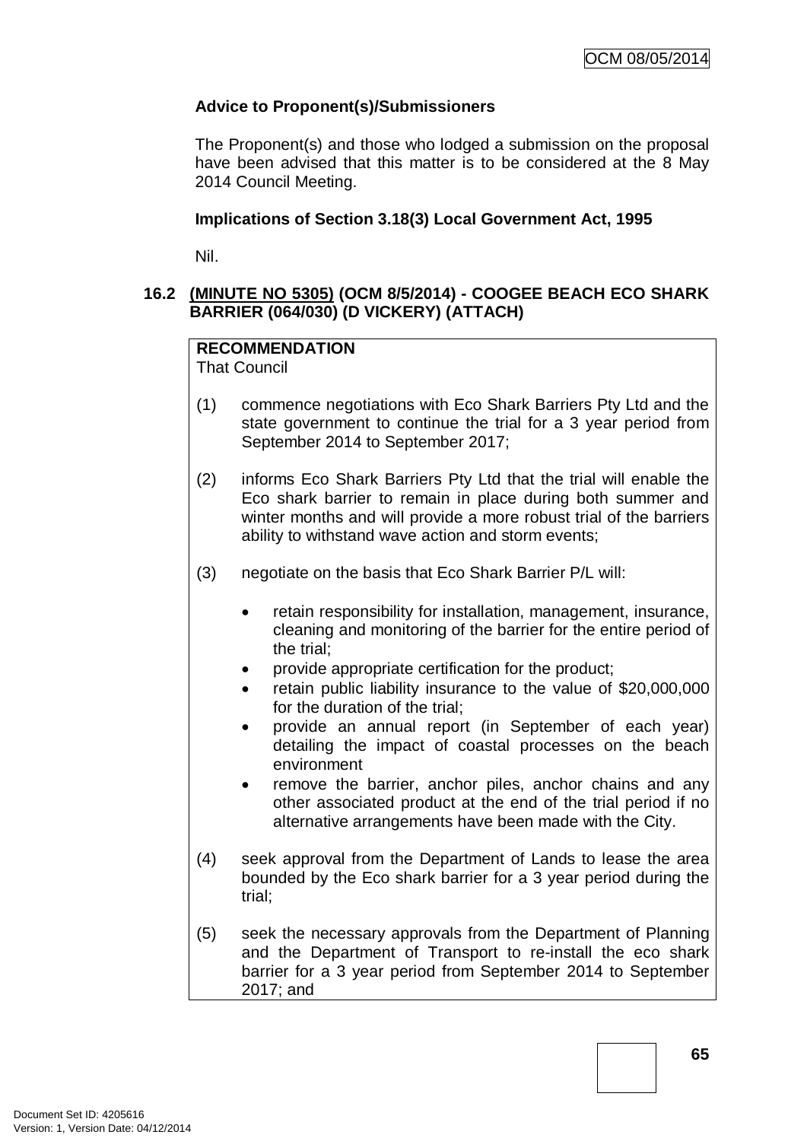# **Advice to Proponent(s)/Submissioners**

The Proponent(s) and those who lodged a submission on the proposal have been advised that this matter is to be considered at the 8 May 2014 Council Meeting.

### **Implications of Section 3.18(3) Local Government Act, 1995**

Nil.

# **16.2 (MINUTE NO 5305) (OCM 8/5/2014) - COOGEE BEACH ECO SHARK BARRIER (064/030) (D VICKERY) (ATTACH)**

# **RECOMMENDATION**

That Council

- (1) commence negotiations with Eco Shark Barriers Pty Ltd and the state government to continue the trial for a 3 year period from September 2014 to September 2017;
- (2) informs Eco Shark Barriers Pty Ltd that the trial will enable the Eco shark barrier to remain in place during both summer and winter months and will provide a more robust trial of the barriers ability to withstand wave action and storm events;
- (3) negotiate on the basis that Eco Shark Barrier P/L will:
	- retain responsibility for installation, management, insurance, cleaning and monitoring of the barrier for the entire period of the trial;
	- provide appropriate certification for the product;
	- retain public liability insurance to the value of \$20,000,000 for the duration of the trial;
	- provide an annual report (in September of each year) detailing the impact of coastal processes on the beach environment
	- remove the barrier, anchor piles, anchor chains and any other associated product at the end of the trial period if no alternative arrangements have been made with the City.
- (4) seek approval from the Department of Lands to lease the area bounded by the Eco shark barrier for a 3 year period during the trial;
- (5) seek the necessary approvals from the Department of Planning and the Department of Transport to re-install the eco shark barrier for a 3 year period from September 2014 to September 2017; and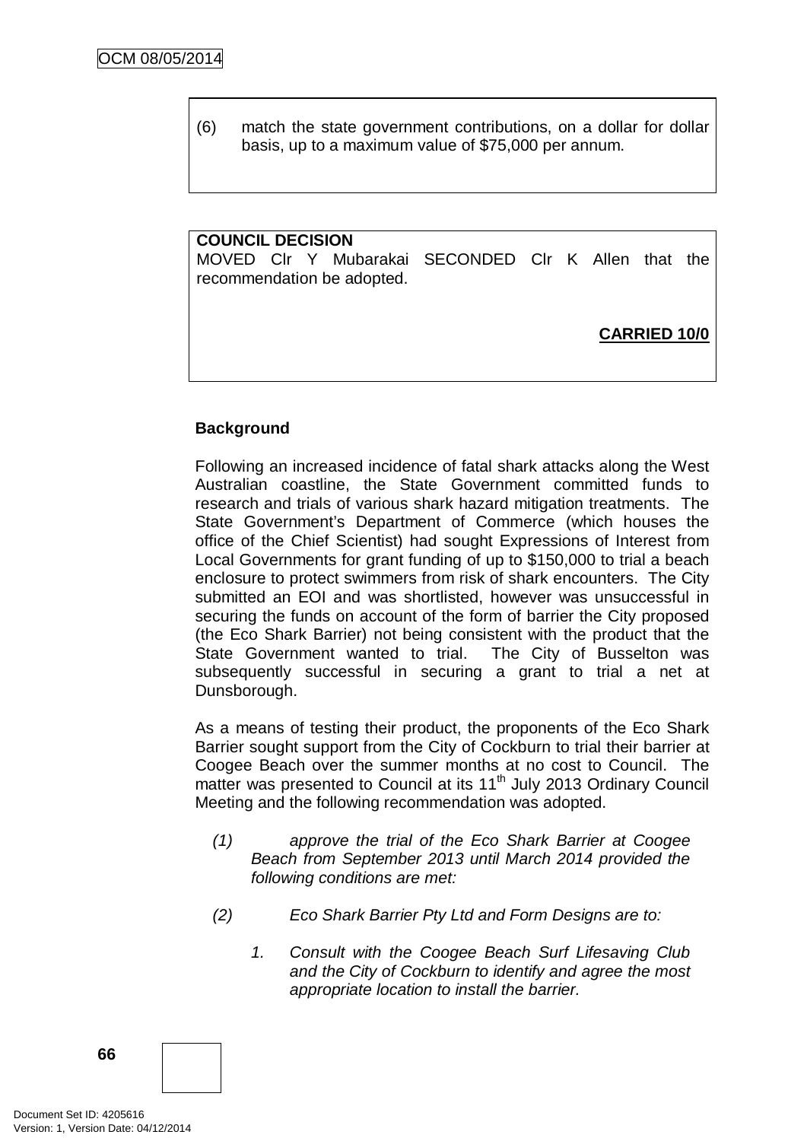(6) match the state government contributions, on a dollar for dollar basis, up to a maximum value of \$75,000 per annum.

### **COUNCIL DECISION**

MOVED Clr Y Mubarakai SECONDED Clr K Allen that the recommendation be adopted.

**CARRIED 10/0**

# **Background**

Following an increased incidence of fatal shark attacks along the West Australian coastline, the State Government committed funds to research and trials of various shark hazard mitigation treatments. The State Government's Department of Commerce (which houses the office of the Chief Scientist) had sought Expressions of Interest from Local Governments for grant funding of up to \$150,000 to trial a beach enclosure to protect swimmers from risk of shark encounters. The City submitted an EOI and was shortlisted, however was unsuccessful in securing the funds on account of the form of barrier the City proposed (the Eco Shark Barrier) not being consistent with the product that the State Government wanted to trial. The City of Busselton was subsequently successful in securing a grant to trial a net at Dunsborough.

As a means of testing their product, the proponents of the Eco Shark Barrier sought support from the City of Cockburn to trial their barrier at Coogee Beach over the summer months at no cost to Council. The matter was presented to Council at its 11<sup>th</sup> July 2013 Ordinary Council Meeting and the following recommendation was adopted.

- *(1) approve the trial of the Eco Shark Barrier at Coogee Beach from September 2013 until March 2014 provided the following conditions are met:*
- *(2) Eco Shark Barrier Pty Ltd and Form Designs are to:*
	- *1. Consult with the Coogee Beach Surf Lifesaving Club and the City of Cockburn to identify and agree the most appropriate location to install the barrier.*

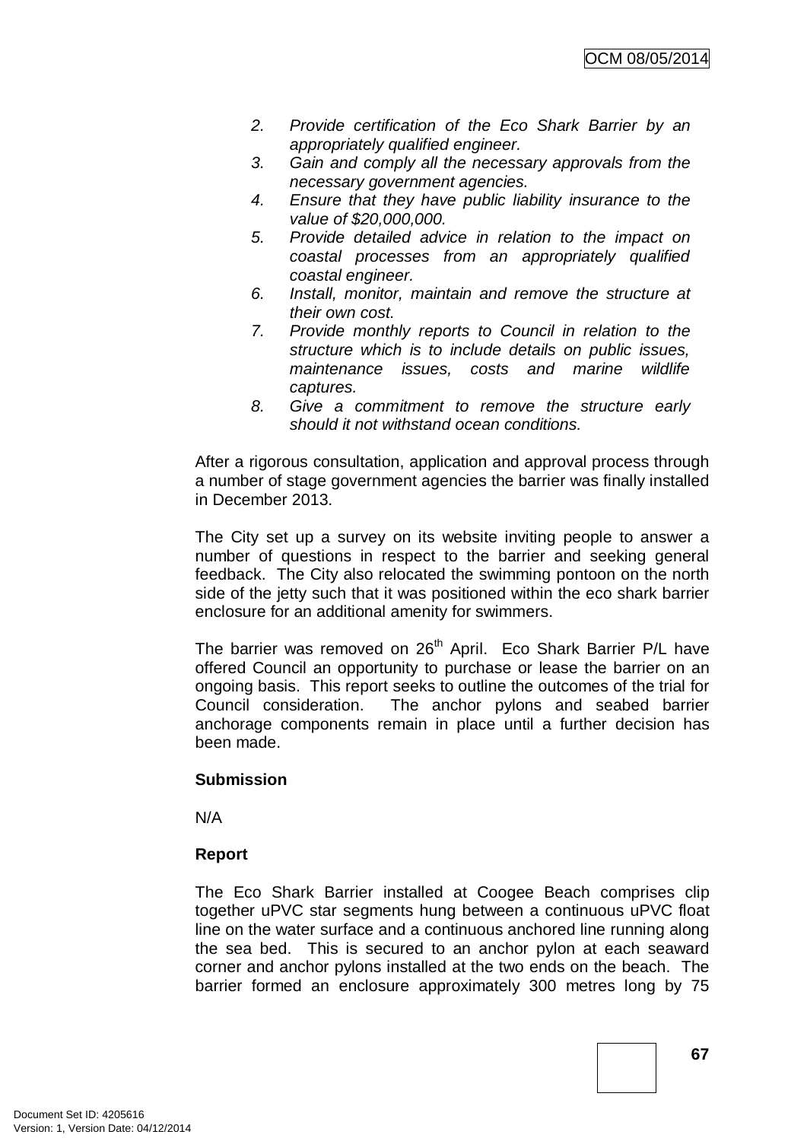- *2. Provide certification of the Eco Shark Barrier by an appropriately qualified engineer.*
- *3. Gain and comply all the necessary approvals from the necessary government agencies.*
- *4. Ensure that they have public liability insurance to the value of \$20,000,000.*
- *5. Provide detailed advice in relation to the impact on coastal processes from an appropriately qualified coastal engineer.*
- *6. Install, monitor, maintain and remove the structure at their own cost.*
- *7. Provide monthly reports to Council in relation to the structure which is to include details on public issues, maintenance issues, costs and marine wildlife captures.*
- *8. Give a commitment to remove the structure early should it not withstand ocean conditions.*

After a rigorous consultation, application and approval process through a number of stage government agencies the barrier was finally installed in December 2013.

The City set up a survey on its website inviting people to answer a number of questions in respect to the barrier and seeking general feedback. The City also relocated the swimming pontoon on the north side of the jetty such that it was positioned within the eco shark barrier enclosure for an additional amenity for swimmers.

The barrier was removed on 26<sup>th</sup> April. Eco Shark Barrier P/L have offered Council an opportunity to purchase or lease the barrier on an ongoing basis. This report seeks to outline the outcomes of the trial for Council consideration. The anchor pylons and seabed barrier anchorage components remain in place until a further decision has been made.

# **Submission**

N/A

# **Report**

The Eco Shark Barrier installed at Coogee Beach comprises clip together uPVC star segments hung between a continuous uPVC float line on the water surface and a continuous anchored line running along the sea bed. This is secured to an anchor pylon at each seaward corner and anchor pylons installed at the two ends on the beach. The barrier formed an enclosure approximately 300 metres long by 75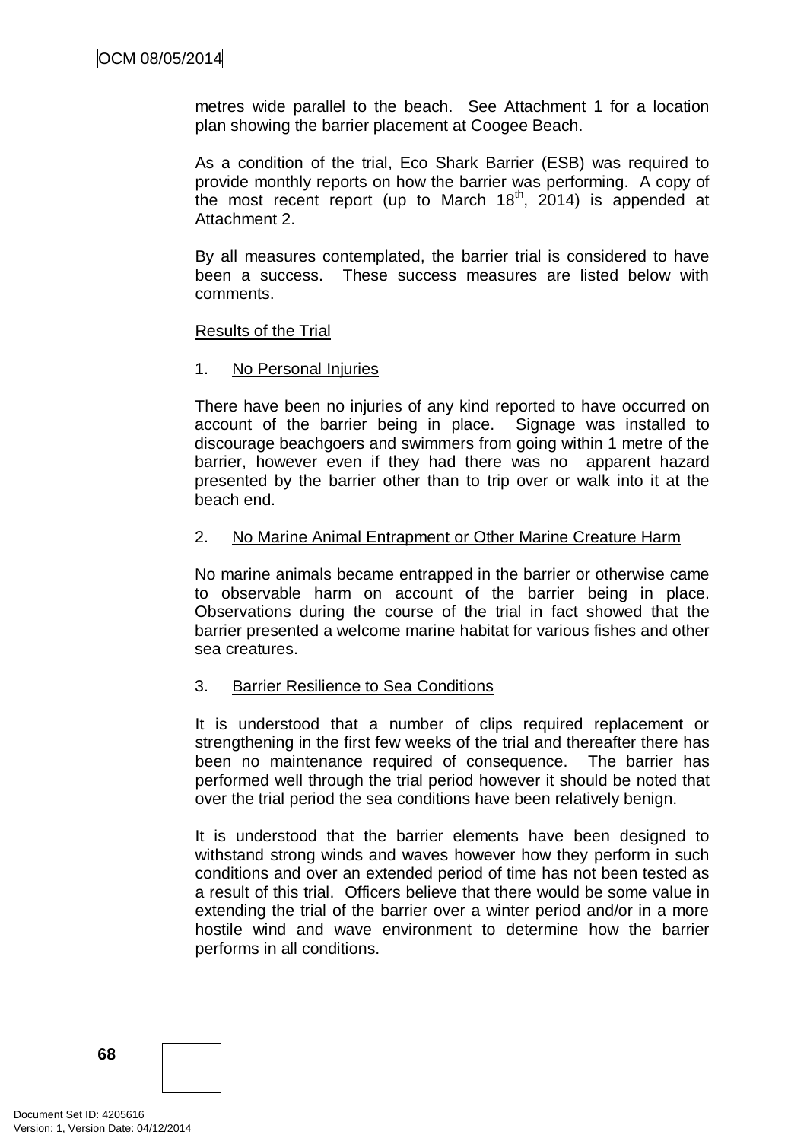metres wide parallel to the beach. See Attachment 1 for a location plan showing the barrier placement at Coogee Beach.

As a condition of the trial, Eco Shark Barrier (ESB) was required to provide monthly reports on how the barrier was performing. A copy of the most recent report (up to March 18<sup>th</sup>, 2014) is appended at Attachment 2.

By all measures contemplated, the barrier trial is considered to have been a success. These success measures are listed below with comments.

### Results of the Trial

### 1. No Personal Injuries

There have been no injuries of any kind reported to have occurred on account of the barrier being in place. Signage was installed to discourage beachgoers and swimmers from going within 1 metre of the barrier, however even if they had there was no apparent hazard presented by the barrier other than to trip over or walk into it at the beach end.

### 2. No Marine Animal Entrapment or Other Marine Creature Harm

No marine animals became entrapped in the barrier or otherwise came to observable harm on account of the barrier being in place. Observations during the course of the trial in fact showed that the barrier presented a welcome marine habitat for various fishes and other sea creatures.

# 3. Barrier Resilience to Sea Conditions

It is understood that a number of clips required replacement or strengthening in the first few weeks of the trial and thereafter there has been no maintenance required of consequence. The barrier has performed well through the trial period however it should be noted that over the trial period the sea conditions have been relatively benign.

It is understood that the barrier elements have been designed to withstand strong winds and waves however how they perform in such conditions and over an extended period of time has not been tested as a result of this trial. Officers believe that there would be some value in extending the trial of the barrier over a winter period and/or in a more hostile wind and wave environment to determine how the barrier performs in all conditions.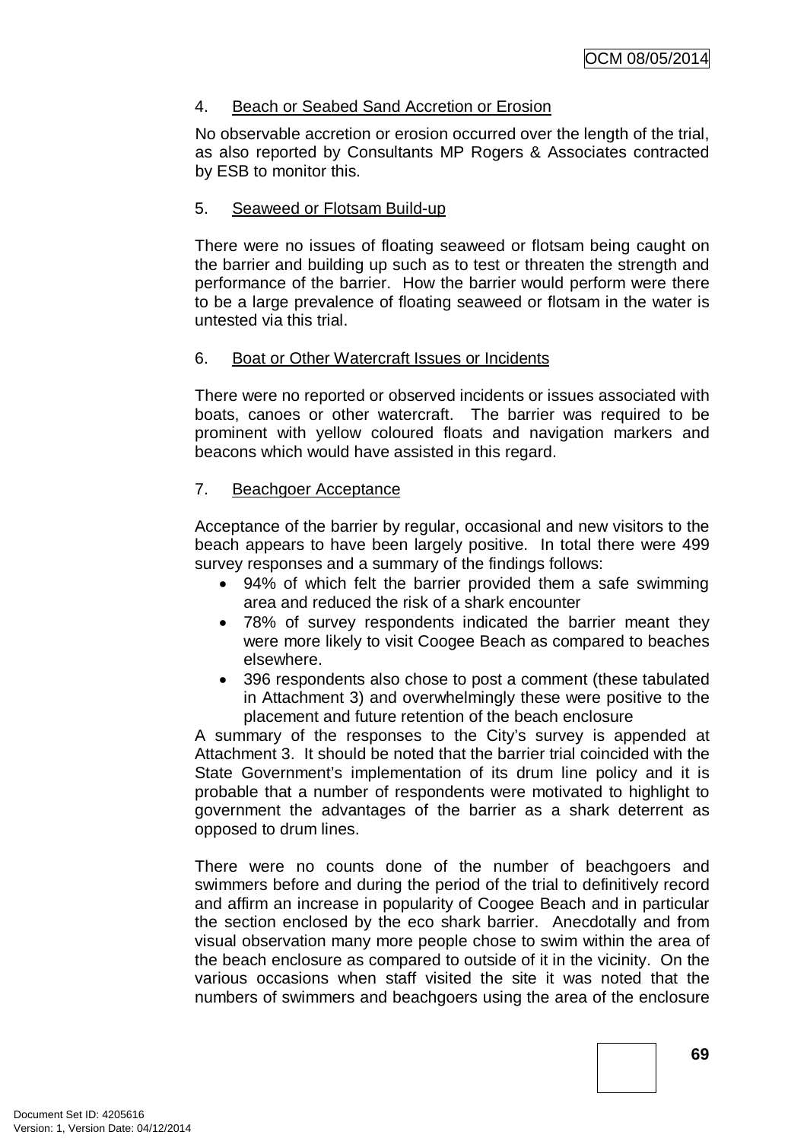# 4. Beach or Seabed Sand Accretion or Erosion

No observable accretion or erosion occurred over the length of the trial, as also reported by Consultants MP Rogers & Associates contracted by ESB to monitor this.

# 5. Seaweed or Flotsam Build-up

There were no issues of floating seaweed or flotsam being caught on the barrier and building up such as to test or threaten the strength and performance of the barrier. How the barrier would perform were there to be a large prevalence of floating seaweed or flotsam in the water is untested via this trial.

# 6. Boat or Other Watercraft Issues or Incidents

There were no reported or observed incidents or issues associated with boats, canoes or other watercraft. The barrier was required to be prominent with yellow coloured floats and navigation markers and beacons which would have assisted in this regard.

### 7. Beachgoer Acceptance

Acceptance of the barrier by regular, occasional and new visitors to the beach appears to have been largely positive. In total there were 499 survey responses and a summary of the findings follows:

- 94% of which felt the barrier provided them a safe swimming area and reduced the risk of a shark encounter
- 78% of survey respondents indicated the barrier meant they were more likely to visit Coogee Beach as compared to beaches elsewhere.
- 396 respondents also chose to post a comment (these tabulated in Attachment 3) and overwhelmingly these were positive to the placement and future retention of the beach enclosure

A summary of the responses to the City's survey is appended at Attachment 3. It should be noted that the barrier trial coincided with the State Government's implementation of its drum line policy and it is probable that a number of respondents were motivated to highlight to government the advantages of the barrier as a shark deterrent as opposed to drum lines.

There were no counts done of the number of beachgoers and swimmers before and during the period of the trial to definitively record and affirm an increase in popularity of Coogee Beach and in particular the section enclosed by the eco shark barrier. Anecdotally and from visual observation many more people chose to swim within the area of the beach enclosure as compared to outside of it in the vicinity. On the various occasions when staff visited the site it was noted that the numbers of swimmers and beachgoers using the area of the enclosure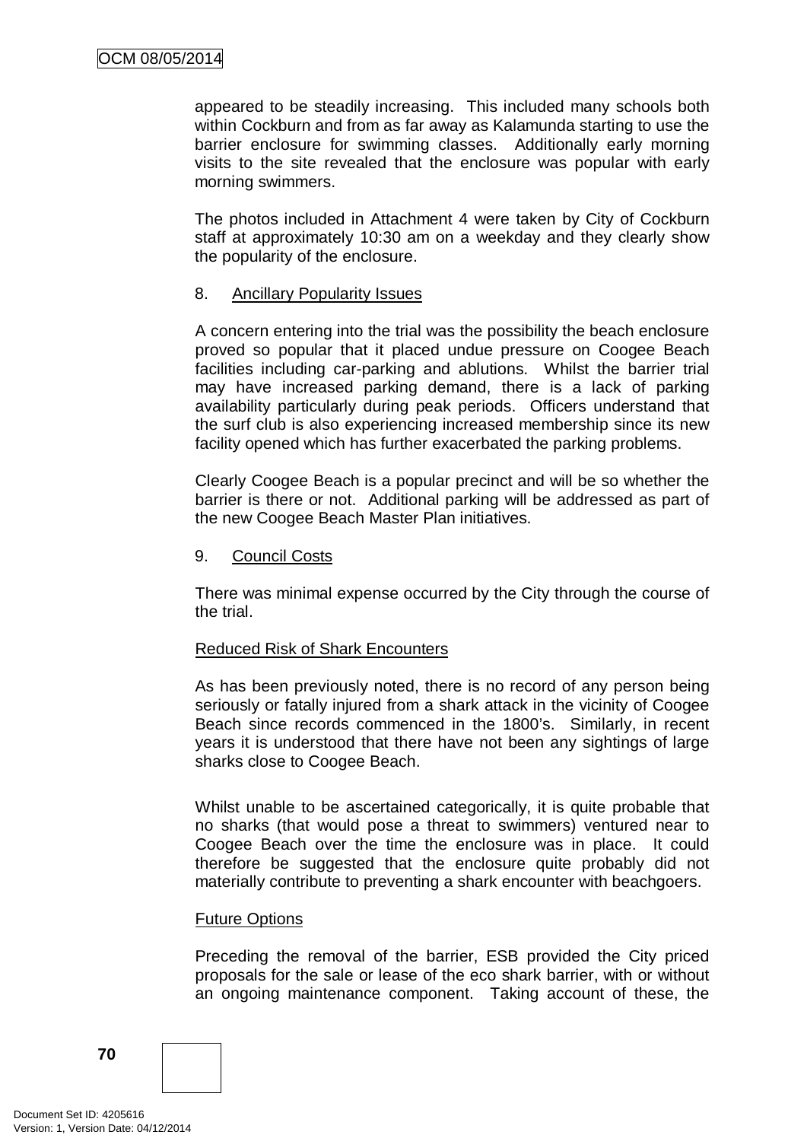appeared to be steadily increasing. This included many schools both within Cockburn and from as far away as Kalamunda starting to use the barrier enclosure for swimming classes. Additionally early morning visits to the site revealed that the enclosure was popular with early morning swimmers.

The photos included in Attachment 4 were taken by City of Cockburn staff at approximately 10:30 am on a weekday and they clearly show the popularity of the enclosure.

### 8. Ancillary Popularity Issues

A concern entering into the trial was the possibility the beach enclosure proved so popular that it placed undue pressure on Coogee Beach facilities including car-parking and ablutions. Whilst the barrier trial may have increased parking demand, there is a lack of parking availability particularly during peak periods. Officers understand that the surf club is also experiencing increased membership since its new facility opened which has further exacerbated the parking problems.

Clearly Coogee Beach is a popular precinct and will be so whether the barrier is there or not. Additional parking will be addressed as part of the new Coogee Beach Master Plan initiatives.

### 9. Council Costs

There was minimal expense occurred by the City through the course of the trial.

# Reduced Risk of Shark Encounters

As has been previously noted, there is no record of any person being seriously or fatally injured from a shark attack in the vicinity of Coogee Beach since records commenced in the 1800's. Similarly, in recent years it is understood that there have not been any sightings of large sharks close to Coogee Beach.

Whilst unable to be ascertained categorically, it is quite probable that no sharks (that would pose a threat to swimmers) ventured near to Coogee Beach over the time the enclosure was in place. It could therefore be suggested that the enclosure quite probably did not materially contribute to preventing a shark encounter with beachgoers.

#### Future Options

Preceding the removal of the barrier, ESB provided the City priced proposals for the sale or lease of the eco shark barrier, with or without an ongoing maintenance component. Taking account of these, the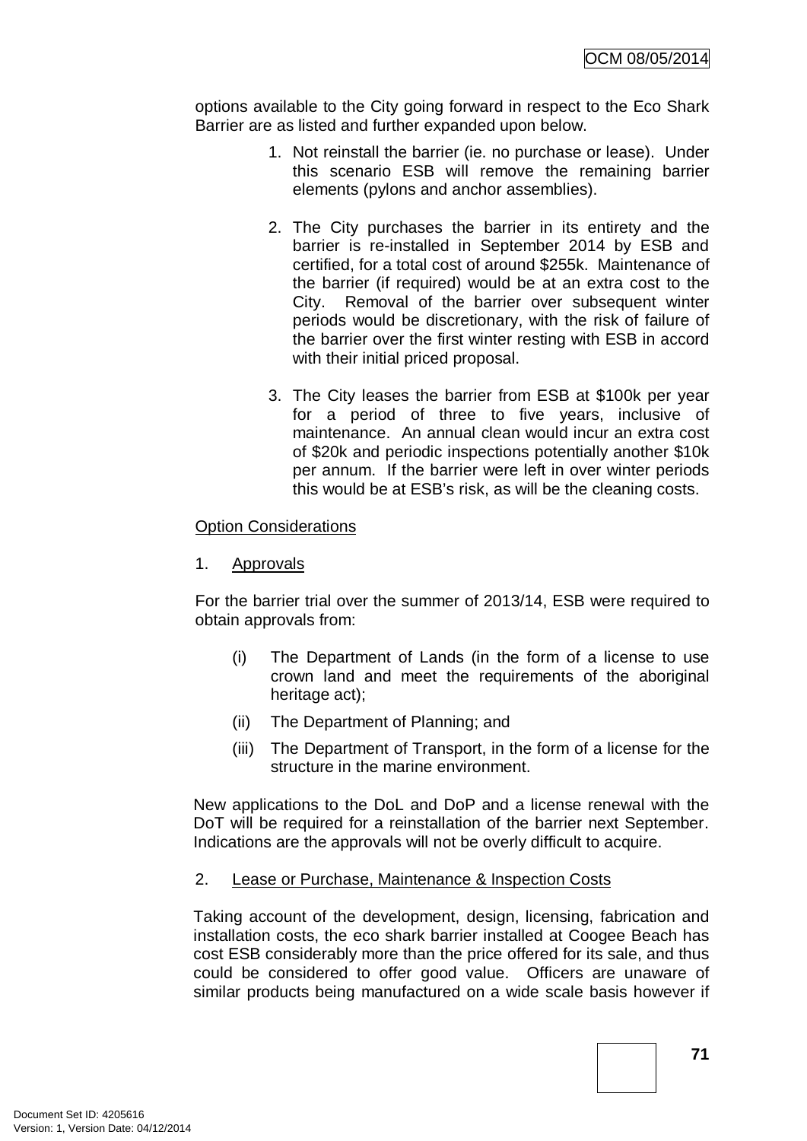options available to the City going forward in respect to the Eco Shark Barrier are as listed and further expanded upon below.

- 1. Not reinstall the barrier (ie. no purchase or lease). Under this scenario ESB will remove the remaining barrier elements (pylons and anchor assemblies).
- 2. The City purchases the barrier in its entirety and the barrier is re-installed in September 2014 by ESB and certified, for a total cost of around \$255k. Maintenance of the barrier (if required) would be at an extra cost to the City. Removal of the barrier over subsequent winter periods would be discretionary, with the risk of failure of the barrier over the first winter resting with ESB in accord with their initial priced proposal.
- 3. The City leases the barrier from ESB at \$100k per year for a period of three to five years, inclusive of maintenance. An annual clean would incur an extra cost of \$20k and periodic inspections potentially another \$10k per annum. If the barrier were left in over winter periods this would be at ESB's risk, as will be the cleaning costs.

## Option Considerations

1. Approvals

For the barrier trial over the summer of 2013/14, ESB were required to obtain approvals from:

- (i) The Department of Lands (in the form of a license to use crown land and meet the requirements of the aboriginal heritage act);
- (ii) The Department of Planning; and
- (iii) The Department of Transport, in the form of a license for the structure in the marine environment.

New applications to the DoL and DoP and a license renewal with the DoT will be required for a reinstallation of the barrier next September. Indications are the approvals will not be overly difficult to acquire.

## 2. Lease or Purchase, Maintenance & Inspection Costs

Taking account of the development, design, licensing, fabrication and installation costs, the eco shark barrier installed at Coogee Beach has cost ESB considerably more than the price offered for its sale, and thus could be considered to offer good value. Officers are unaware of similar products being manufactured on a wide scale basis however if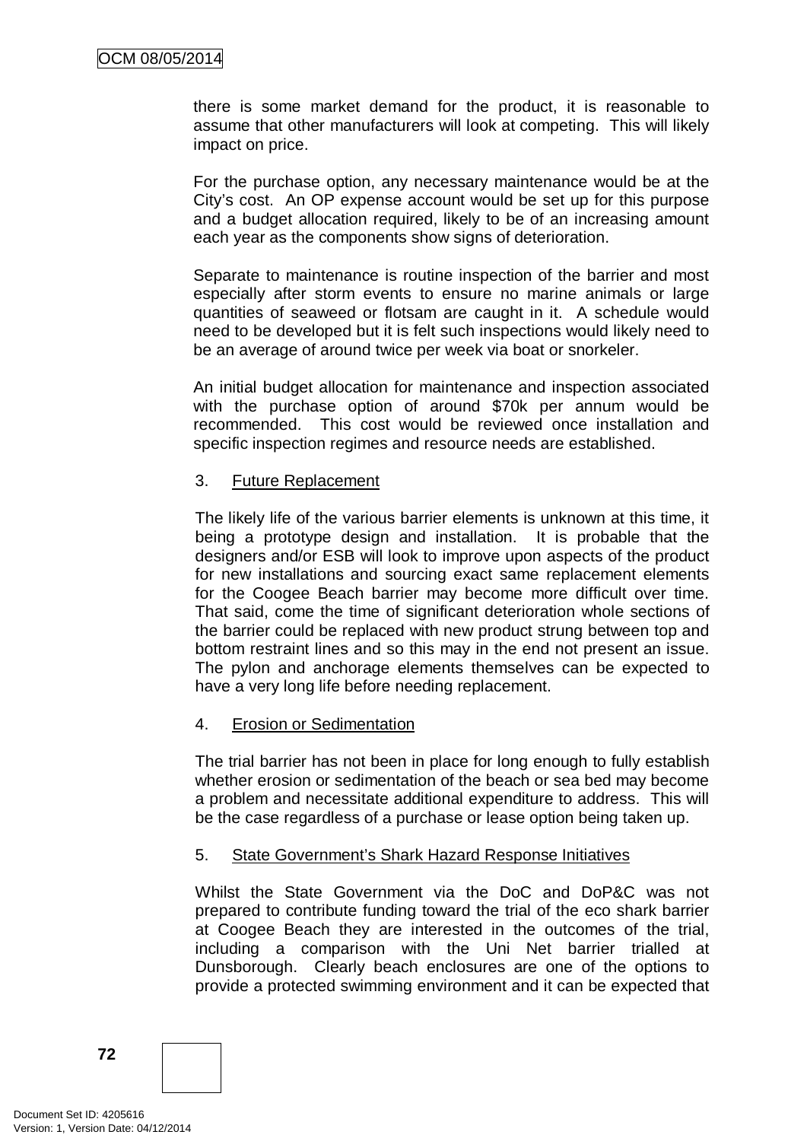there is some market demand for the product, it is reasonable to assume that other manufacturers will look at competing. This will likely impact on price.

For the purchase option, any necessary maintenance would be at the City's cost. An OP expense account would be set up for this purpose and a budget allocation required, likely to be of an increasing amount each year as the components show signs of deterioration.

Separate to maintenance is routine inspection of the barrier and most especially after storm events to ensure no marine animals or large quantities of seaweed or flotsam are caught in it. A schedule would need to be developed but it is felt such inspections would likely need to be an average of around twice per week via boat or snorkeler.

An initial budget allocation for maintenance and inspection associated with the purchase option of around \$70k per annum would be recommended. This cost would be reviewed once installation and specific inspection regimes and resource needs are established.

## 3. Future Replacement

The likely life of the various barrier elements is unknown at this time, it being a prototype design and installation. It is probable that the designers and/or ESB will look to improve upon aspects of the product for new installations and sourcing exact same replacement elements for the Coogee Beach barrier may become more difficult over time. That said, come the time of significant deterioration whole sections of the barrier could be replaced with new product strung between top and bottom restraint lines and so this may in the end not present an issue. The pylon and anchorage elements themselves can be expected to have a very long life before needing replacement.

## 4. Erosion or Sedimentation

The trial barrier has not been in place for long enough to fully establish whether erosion or sedimentation of the beach or sea bed may become a problem and necessitate additional expenditure to address. This will be the case regardless of a purchase or lease option being taken up.

## 5. State Government's Shark Hazard Response Initiatives

Whilst the State Government via the DoC and DoP&C was not prepared to contribute funding toward the trial of the eco shark barrier at Coogee Beach they are interested in the outcomes of the trial, including a comparison with the Uni Net barrier trialled at Dunsborough. Clearly beach enclosures are one of the options to provide a protected swimming environment and it can be expected that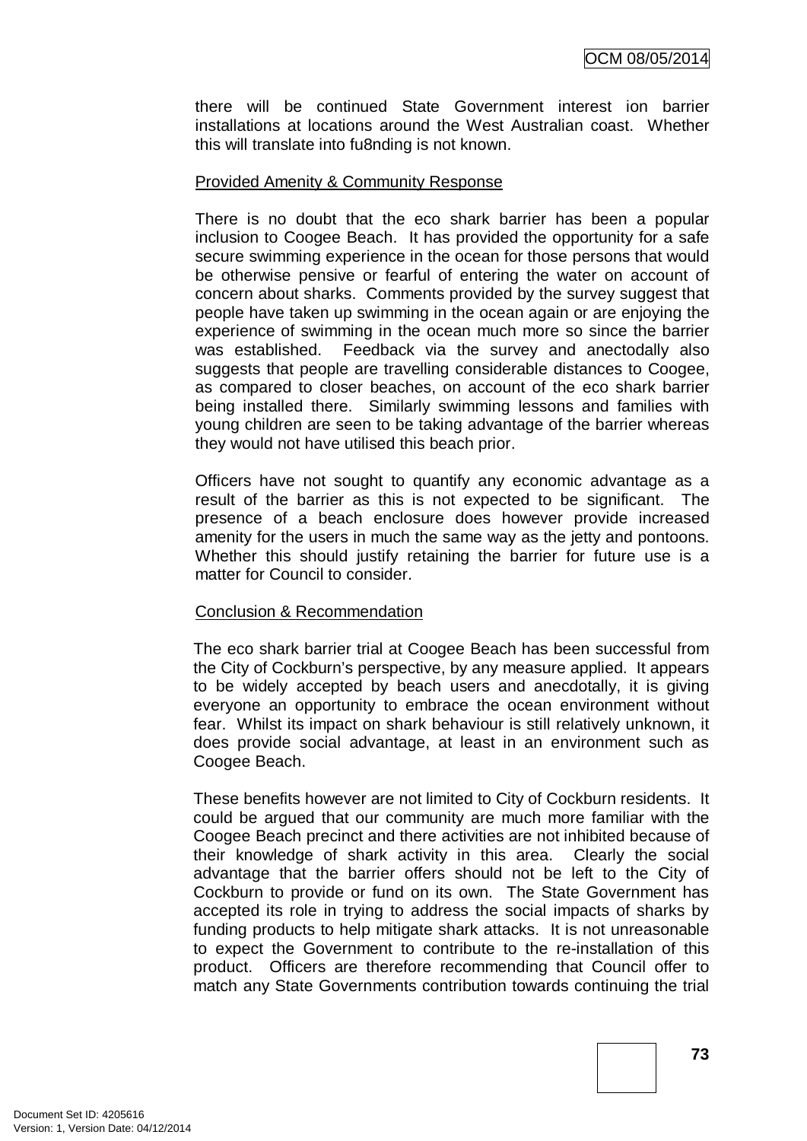there will be continued State Government interest ion barrier installations at locations around the West Australian coast. Whether this will translate into fu8nding is not known.

#### Provided Amenity & Community Response

There is no doubt that the eco shark barrier has been a popular inclusion to Coogee Beach. It has provided the opportunity for a safe secure swimming experience in the ocean for those persons that would be otherwise pensive or fearful of entering the water on account of concern about sharks. Comments provided by the survey suggest that people have taken up swimming in the ocean again or are enjoying the experience of swimming in the ocean much more so since the barrier was established. Feedback via the survey and anectodally also suggests that people are travelling considerable distances to Coogee, as compared to closer beaches, on account of the eco shark barrier being installed there. Similarly swimming lessons and families with young children are seen to be taking advantage of the barrier whereas they would not have utilised this beach prior.

Officers have not sought to quantify any economic advantage as a result of the barrier as this is not expected to be significant. The presence of a beach enclosure does however provide increased amenity for the users in much the same way as the jetty and pontoons. Whether this should justify retaining the barrier for future use is a matter for Council to consider.

## Conclusion & Recommendation

The eco shark barrier trial at Coogee Beach has been successful from the City of Cockburn's perspective, by any measure applied. It appears to be widely accepted by beach users and anecdotally, it is giving everyone an opportunity to embrace the ocean environment without fear. Whilst its impact on shark behaviour is still relatively unknown, it does provide social advantage, at least in an environment such as Coogee Beach.

These benefits however are not limited to City of Cockburn residents. It could be argued that our community are much more familiar with the Coogee Beach precinct and there activities are not inhibited because of their knowledge of shark activity in this area. Clearly the social advantage that the barrier offers should not be left to the City of Cockburn to provide or fund on its own. The State Government has accepted its role in trying to address the social impacts of sharks by funding products to help mitigate shark attacks. It is not unreasonable to expect the Government to contribute to the re-installation of this product. Officers are therefore recommending that Council offer to match any State Governments contribution towards continuing the trial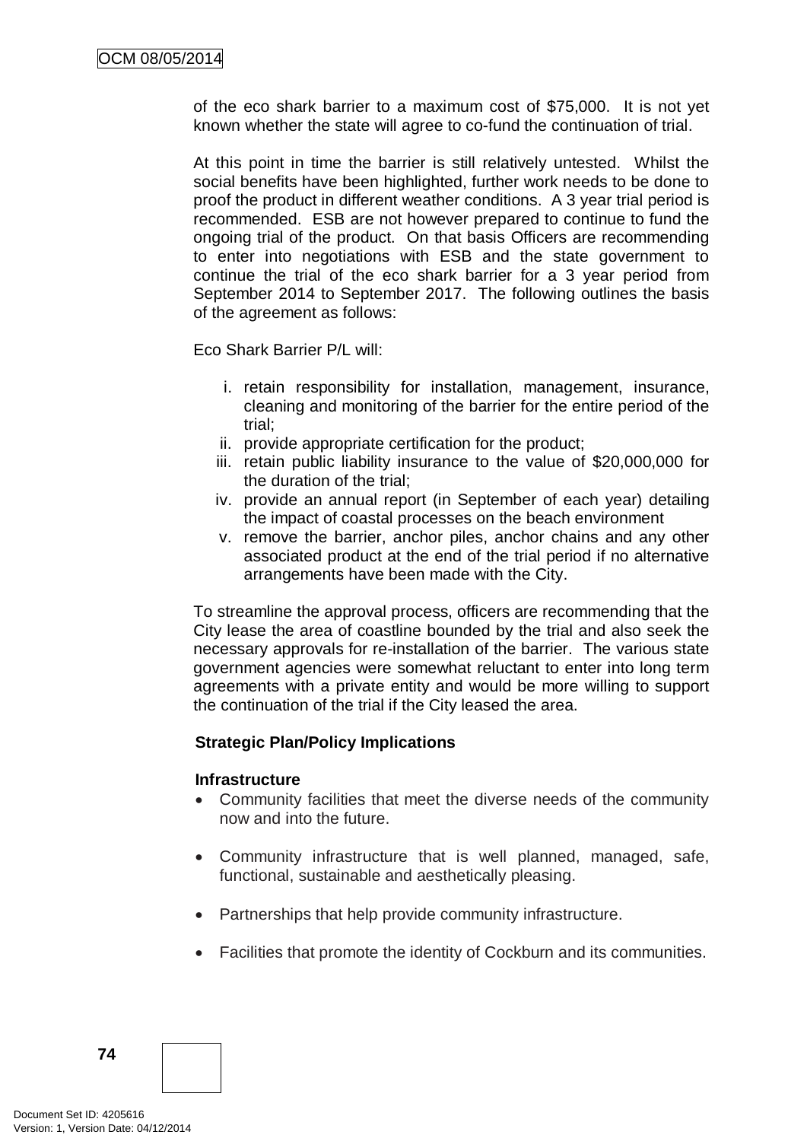of the eco shark barrier to a maximum cost of \$75,000. It is not yet known whether the state will agree to co-fund the continuation of trial.

At this point in time the barrier is still relatively untested. Whilst the social benefits have been highlighted, further work needs to be done to proof the product in different weather conditions. A 3 year trial period is recommended. ESB are not however prepared to continue to fund the ongoing trial of the product. On that basis Officers are recommending to enter into negotiations with ESB and the state government to continue the trial of the eco shark barrier for a 3 year period from September 2014 to September 2017. The following outlines the basis of the agreement as follows:

Eco Shark Barrier P/L will:

- i. retain responsibility for installation, management, insurance, cleaning and monitoring of the barrier for the entire period of the trial;
- ii. provide appropriate certification for the product;
- iii. retain public liability insurance to the value of \$20,000,000 for the duration of the trial;
- iv. provide an annual report (in September of each year) detailing the impact of coastal processes on the beach environment
- v. remove the barrier, anchor piles, anchor chains and any other associated product at the end of the trial period if no alternative arrangements have been made with the City.

To streamline the approval process, officers are recommending that the City lease the area of coastline bounded by the trial and also seek the necessary approvals for re-installation of the barrier. The various state government agencies were somewhat reluctant to enter into long term agreements with a private entity and would be more willing to support the continuation of the trial if the City leased the area.

## **Strategic Plan/Policy Implications**

#### **Infrastructure**

- Community facilities that meet the diverse needs of the community now and into the future.
- Community infrastructure that is well planned, managed, safe, functional, sustainable and aesthetically pleasing.
- Partnerships that help provide community infrastructure.
- Facilities that promote the identity of Cockburn and its communities.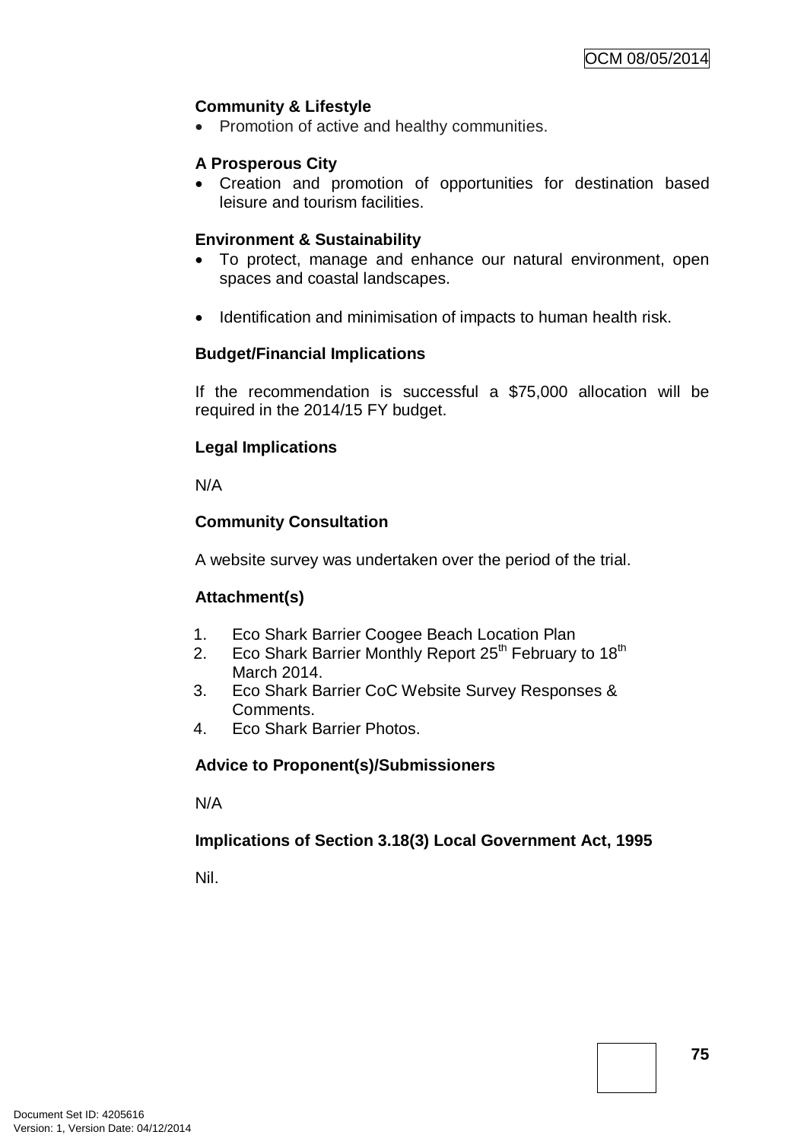## **Community & Lifestyle**

• Promotion of active and healthy communities.

## **A Prosperous City**

• Creation and promotion of opportunities for destination based leisure and tourism facilities.

## **Environment & Sustainability**

- To protect, manage and enhance our natural environment, open spaces and coastal landscapes.
- Identification and minimisation of impacts to human health risk.

## **Budget/Financial Implications**

If the recommendation is successful a \$75,000 allocation will be required in the 2014/15 FY budget.

## **Legal Implications**

N/A

## **Community Consultation**

A website survey was undertaken over the period of the trial.

## **Attachment(s)**

- 1. Eco Shark Barrier Coogee Beach Location Plan
- 2. Eco Shark Barrier Monthly Report  $25<sup>th</sup>$  February to  $18<sup>th</sup>$ March 2014.
- 3. Eco Shark Barrier CoC Website Survey Responses & Comments.
- 4. Eco Shark Barrier Photos.

## **Advice to Proponent(s)/Submissioners**

N/A

## **Implications of Section 3.18(3) Local Government Act, 1995**

Nil.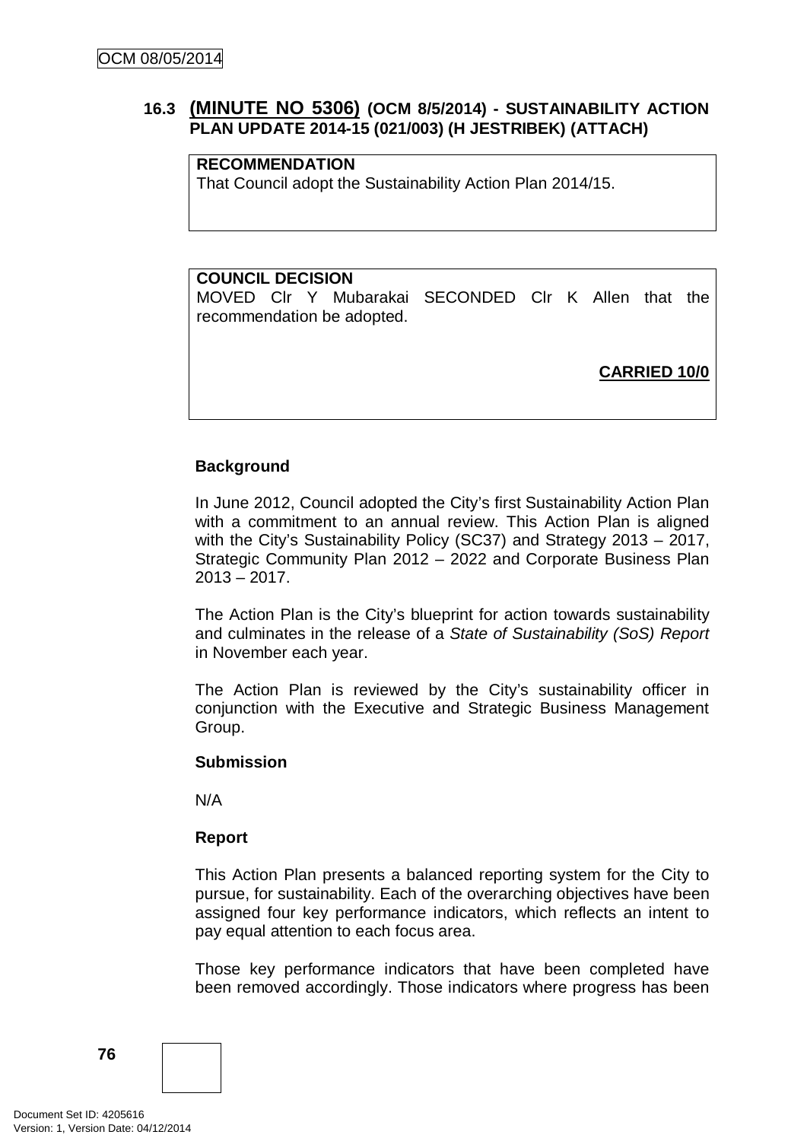## **16.3 (MINUTE NO 5306) (OCM 8/5/2014) - SUSTAINABILITY ACTION PLAN UPDATE 2014-15 (021/003) (H JESTRIBEK) (ATTACH)**

## **RECOMMENDATION**

That Council adopt the Sustainability Action Plan 2014/15.

## **COUNCIL DECISION**

MOVED Clr Y Mubarakai SECONDED Clr K Allen that the recommendation be adopted.

**CARRIED 10/0**

## **Background**

In June 2012, Council adopted the City's first Sustainability Action Plan with a commitment to an annual review. This Action Plan is aligned with the City's Sustainability Policy (SC37) and Strategy 2013 – 2017, Strategic Community Plan 2012 – 2022 and Corporate Business Plan  $2013 - 2017$ .

The Action Plan is the City's blueprint for action towards sustainability and culminates in the release of a *State of Sustainability (SoS) Report*  in November each year.

The Action Plan is reviewed by the City's sustainability officer in conjunction with the Executive and Strategic Business Management Group.

#### **Submission**

N/A

## **Report**

This Action Plan presents a balanced reporting system for the City to pursue, for sustainability. Each of the overarching objectives have been assigned four key performance indicators, which reflects an intent to pay equal attention to each focus area.

Those key performance indicators that have been completed have been removed accordingly. Those indicators where progress has been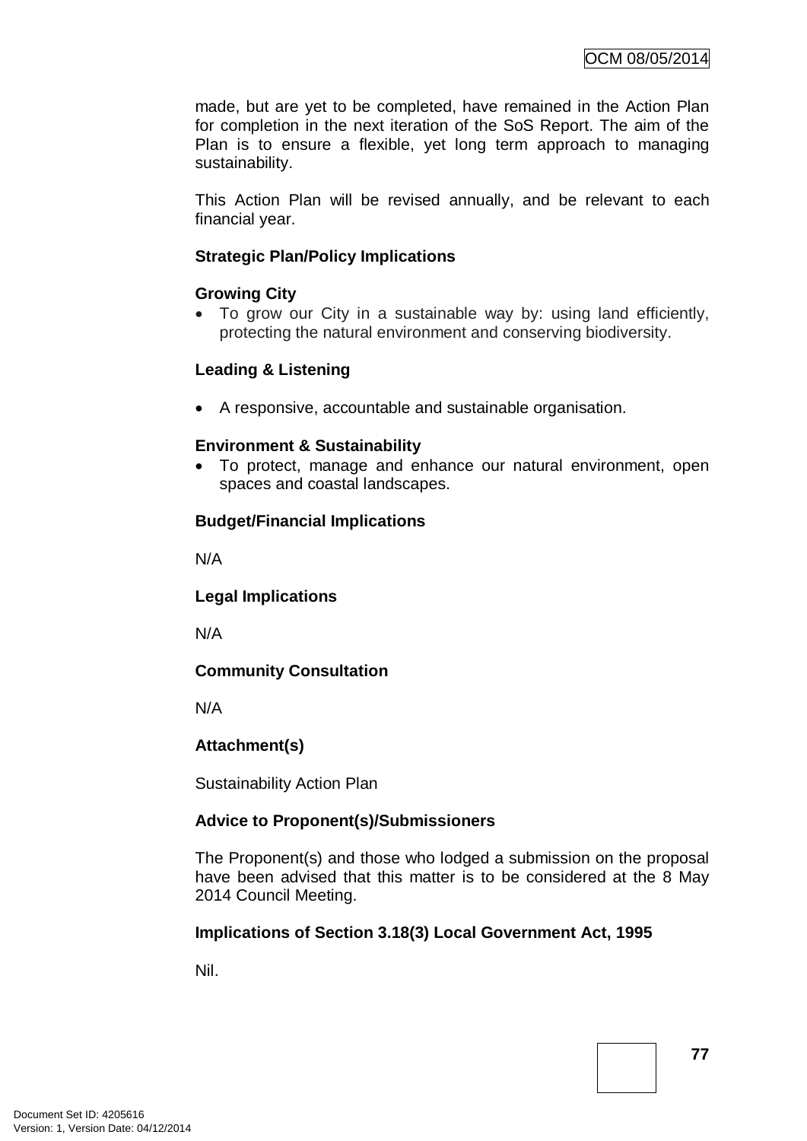made, but are yet to be completed, have remained in the Action Plan for completion in the next iteration of the SoS Report. The aim of the Plan is to ensure a flexible, yet long term approach to managing sustainability.

This Action Plan will be revised annually, and be relevant to each financial year.

## **Strategic Plan/Policy Implications**

## **Growing City**

• To grow our City in a sustainable way by: using land efficiently, protecting the natural environment and conserving biodiversity.

## **Leading & Listening**

• A responsive, accountable and sustainable organisation.

## **Environment & Sustainability**

• To protect, manage and enhance our natural environment, open spaces and coastal landscapes.

## **Budget/Financial Implications**

N/A

**Legal Implications**

N/A

# **Community Consultation**

N/A

## **Attachment(s)**

Sustainability Action Plan

## **Advice to Proponent(s)/Submissioners**

The Proponent(s) and those who lodged a submission on the proposal have been advised that this matter is to be considered at the 8 May 2014 Council Meeting.

## **Implications of Section 3.18(3) Local Government Act, 1995**

Nil.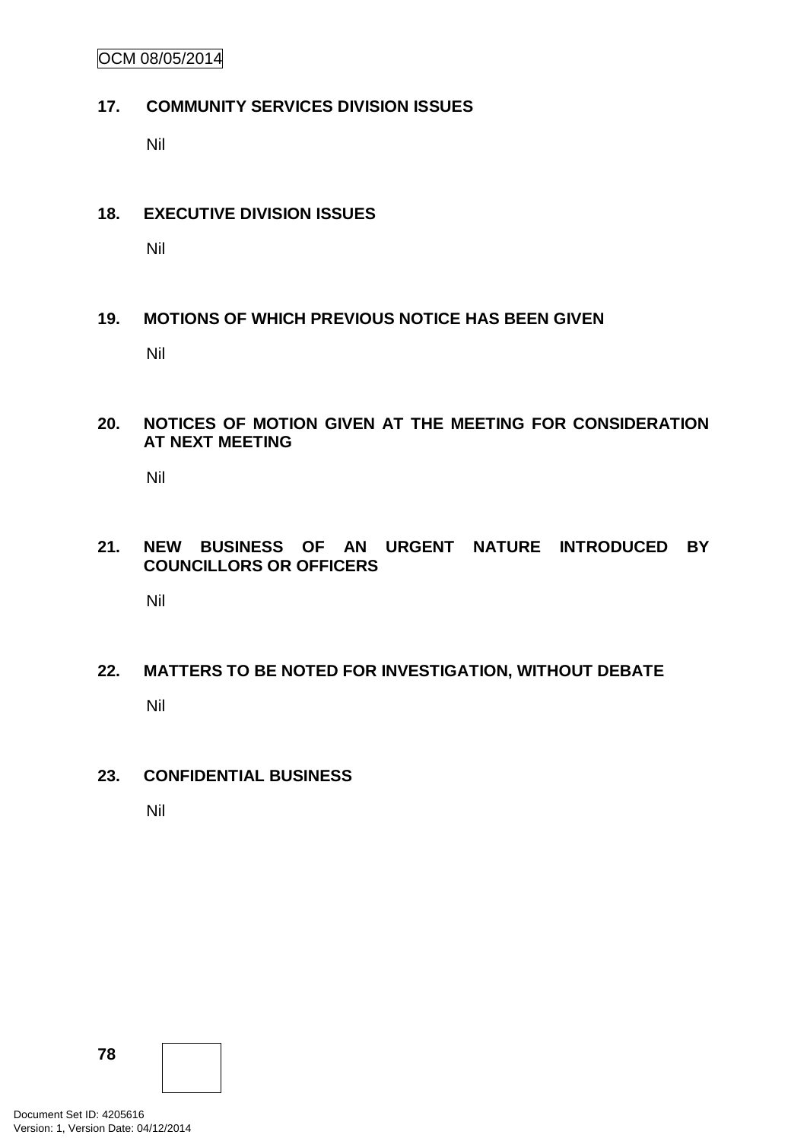OCM 08/05/2014

#### **17. COMMUNITY SERVICES DIVISION ISSUES**

Nil

#### **18. EXECUTIVE DIVISION ISSUES**

Nil

## **19. MOTIONS OF WHICH PREVIOUS NOTICE HAS BEEN GIVEN**

Nil

#### **20. NOTICES OF MOTION GIVEN AT THE MEETING FOR CONSIDERATION AT NEXT MEETING**

Nil

## **21. NEW BUSINESS OF AN URGENT NATURE INTRODUCED BY COUNCILLORS OR OFFICERS**

Nil

# **22. MATTERS TO BE NOTED FOR INVESTIGATION, WITHOUT DEBATE** Nil

## **23. CONFIDENTIAL BUSINESS**

Nil